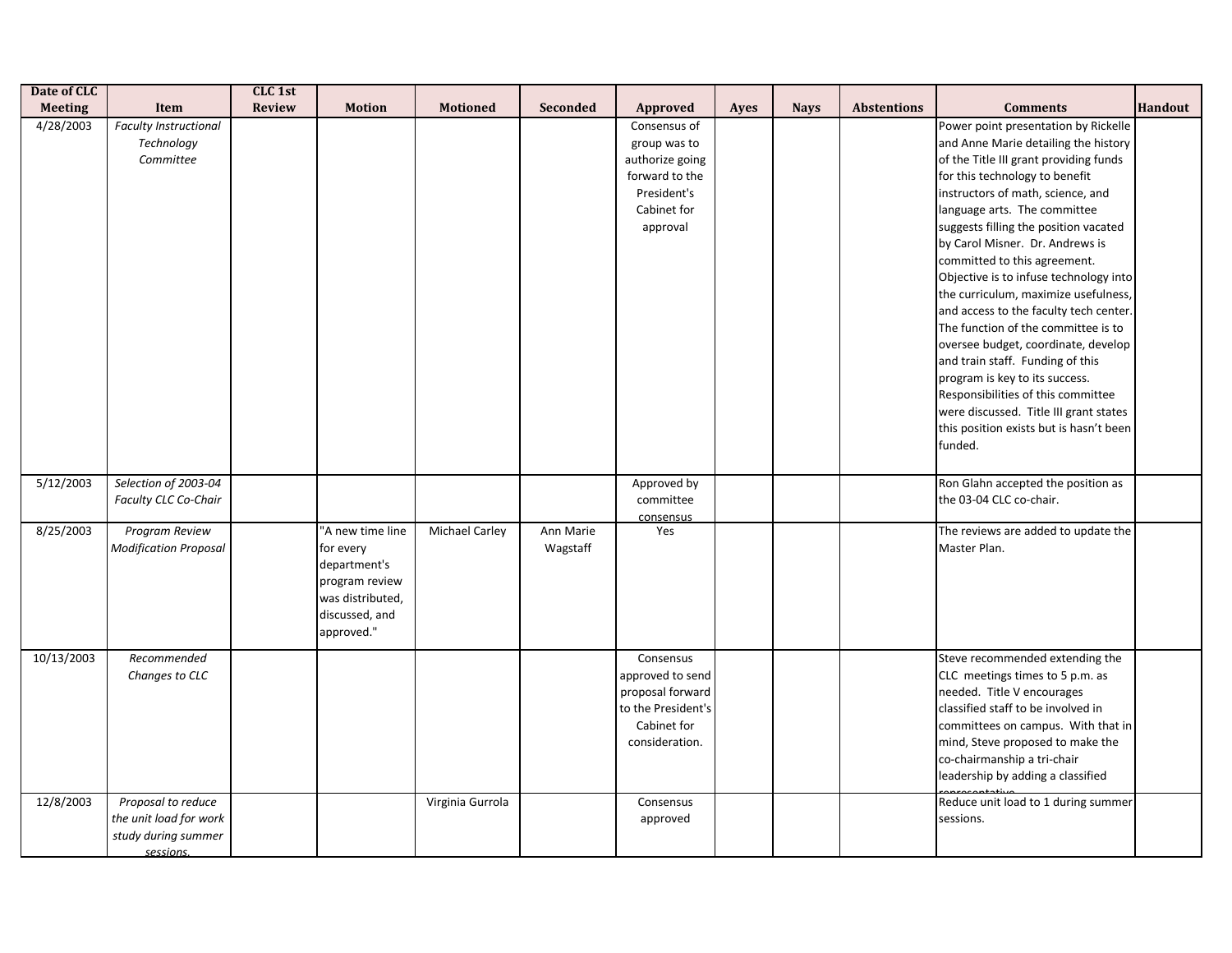| Date of CLC    |                                                                                  | CLC 1st       |                                                                                                                     |                       |                       |                                                                                                             |             |             |                    |                                                                                                                                                                                                                                                                                                                                                                                                                                                                                                                                                                                                                                                                                                                                                                 |                |
|----------------|----------------------------------------------------------------------------------|---------------|---------------------------------------------------------------------------------------------------------------------|-----------------------|-----------------------|-------------------------------------------------------------------------------------------------------------|-------------|-------------|--------------------|-----------------------------------------------------------------------------------------------------------------------------------------------------------------------------------------------------------------------------------------------------------------------------------------------------------------------------------------------------------------------------------------------------------------------------------------------------------------------------------------------------------------------------------------------------------------------------------------------------------------------------------------------------------------------------------------------------------------------------------------------------------------|----------------|
| <b>Meeting</b> | Item                                                                             | <b>Review</b> | <b>Motion</b>                                                                                                       | <b>Motioned</b>       | <b>Seconded</b>       | Approved                                                                                                    | <b>Ayes</b> | <b>Nays</b> | <b>Abstentions</b> | <b>Comments</b>                                                                                                                                                                                                                                                                                                                                                                                                                                                                                                                                                                                                                                                                                                                                                 | <b>Handout</b> |
| 4/28/2003      | <b>Faculty Instructional</b><br>Technology<br>Committee                          |               |                                                                                                                     |                       |                       | Consensus of<br>group was to<br>authorize going<br>forward to the<br>President's<br>Cabinet for<br>approval |             |             |                    | Power point presentation by Rickelle<br>and Anne Marie detailing the history<br>of the Title III grant providing funds<br>for this technology to benefit<br>instructors of math, science, and<br>language arts. The committee<br>suggests filling the position vacated<br>by Carol Misner. Dr. Andrews is<br>committed to this agreement.<br>Objective is to infuse technology into<br>the curriculum, maximize usefulness,<br>and access to the faculty tech center.<br>The function of the committee is to<br>oversee budget, coordinate, develop<br>and train staff. Funding of this<br>program is key to its success.<br>Responsibilities of this committee<br>were discussed. Title III grant states<br>this position exists but is hasn't been<br>funded. |                |
| 5/12/2003      | Selection of 2003-04<br><b>Faculty CLC Co-Chair</b>                              |               |                                                                                                                     |                       |                       | Approved by<br>committee<br>consensus                                                                       |             |             |                    | Ron Glahn accepted the position as<br>the 03-04 CLC co-chair.                                                                                                                                                                                                                                                                                                                                                                                                                                                                                                                                                                                                                                                                                                   |                |
| 8/25/2003      | <b>Program Review</b><br><b>Modification Proposal</b>                            |               | 'A new time line<br>for every<br>department's<br>program review<br>was distributed,<br>discussed, and<br>approved." | <b>Michael Carley</b> | Ann Marie<br>Wagstaff | Yes                                                                                                         |             |             |                    | The reviews are added to update the<br>Master Plan.                                                                                                                                                                                                                                                                                                                                                                                                                                                                                                                                                                                                                                                                                                             |                |
| 10/13/2003     | Recommended<br>Changes to CLC                                                    |               |                                                                                                                     |                       |                       | Consensus<br>approved to send<br>proposal forward<br>to the President's<br>Cabinet for<br>consideration.    |             |             |                    | Steve recommended extending the<br>CLC meetings times to 5 p.m. as<br>needed. Title V encourages<br>classified staff to be involved in<br>committees on campus. With that in<br>mind, Steve proposed to make the<br>co-chairmanship a tri-chair<br>leadership by adding a classified                                                                                                                                                                                                                                                                                                                                                                                                                                                                            |                |
| 12/8/2003      | Proposal to reduce<br>the unit load for work<br>study during summer<br>sessions. |               |                                                                                                                     | Virginia Gurrola      |                       | Consensus<br>approved                                                                                       |             |             |                    | Reduce unit load to 1 during summer<br>sessions.                                                                                                                                                                                                                                                                                                                                                                                                                                                                                                                                                                                                                                                                                                                |                |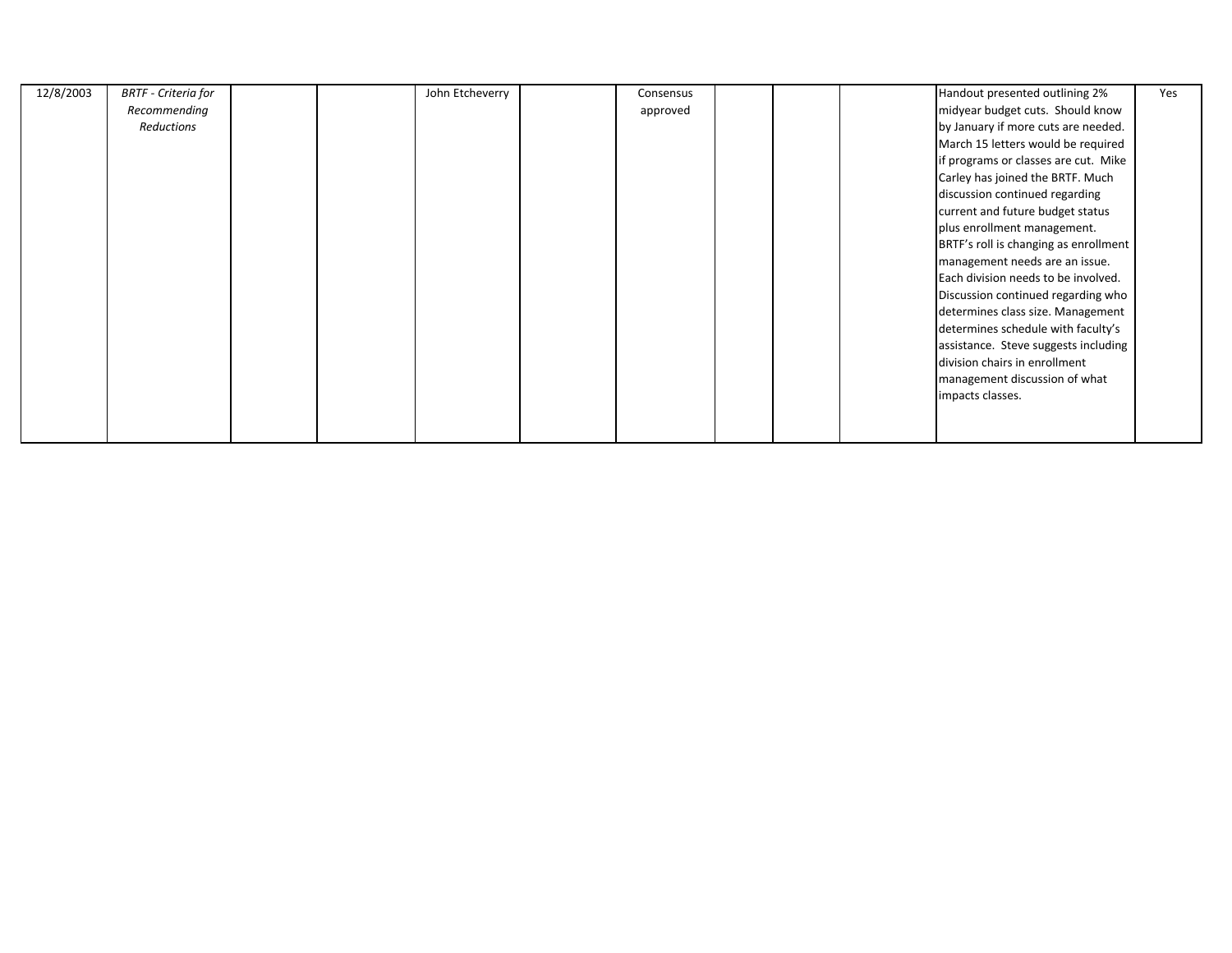| 12/8/2003 | <b>BRTF</b> - Criteria for |  | John Etcheverry | Consensus |  | Handout presented outlining 2%        | Yes |
|-----------|----------------------------|--|-----------------|-----------|--|---------------------------------------|-----|
|           | Recommending               |  |                 | approved  |  | midyear budget cuts. Should know      |     |
|           | Reductions                 |  |                 |           |  | by January if more cuts are needed.   |     |
|           |                            |  |                 |           |  | March 15 letters would be required    |     |
|           |                            |  |                 |           |  | if programs or classes are cut. Mike  |     |
|           |                            |  |                 |           |  | Carley has joined the BRTF. Much      |     |
|           |                            |  |                 |           |  | discussion continued regarding        |     |
|           |                            |  |                 |           |  | current and future budget status      |     |
|           |                            |  |                 |           |  | plus enrollment management.           |     |
|           |                            |  |                 |           |  | BRTF's roll is changing as enrollment |     |
|           |                            |  |                 |           |  | management needs are an issue.        |     |
|           |                            |  |                 |           |  | Each division needs to be involved.   |     |
|           |                            |  |                 |           |  | Discussion continued regarding who    |     |
|           |                            |  |                 |           |  | determines class size. Management     |     |
|           |                            |  |                 |           |  | determines schedule with faculty's    |     |
|           |                            |  |                 |           |  | assistance. Steve suggests including  |     |
|           |                            |  |                 |           |  | division chairs in enrollment         |     |
|           |                            |  |                 |           |  | management discussion of what         |     |
|           |                            |  |                 |           |  | impacts classes.                      |     |
|           |                            |  |                 |           |  |                                       |     |
|           |                            |  |                 |           |  |                                       |     |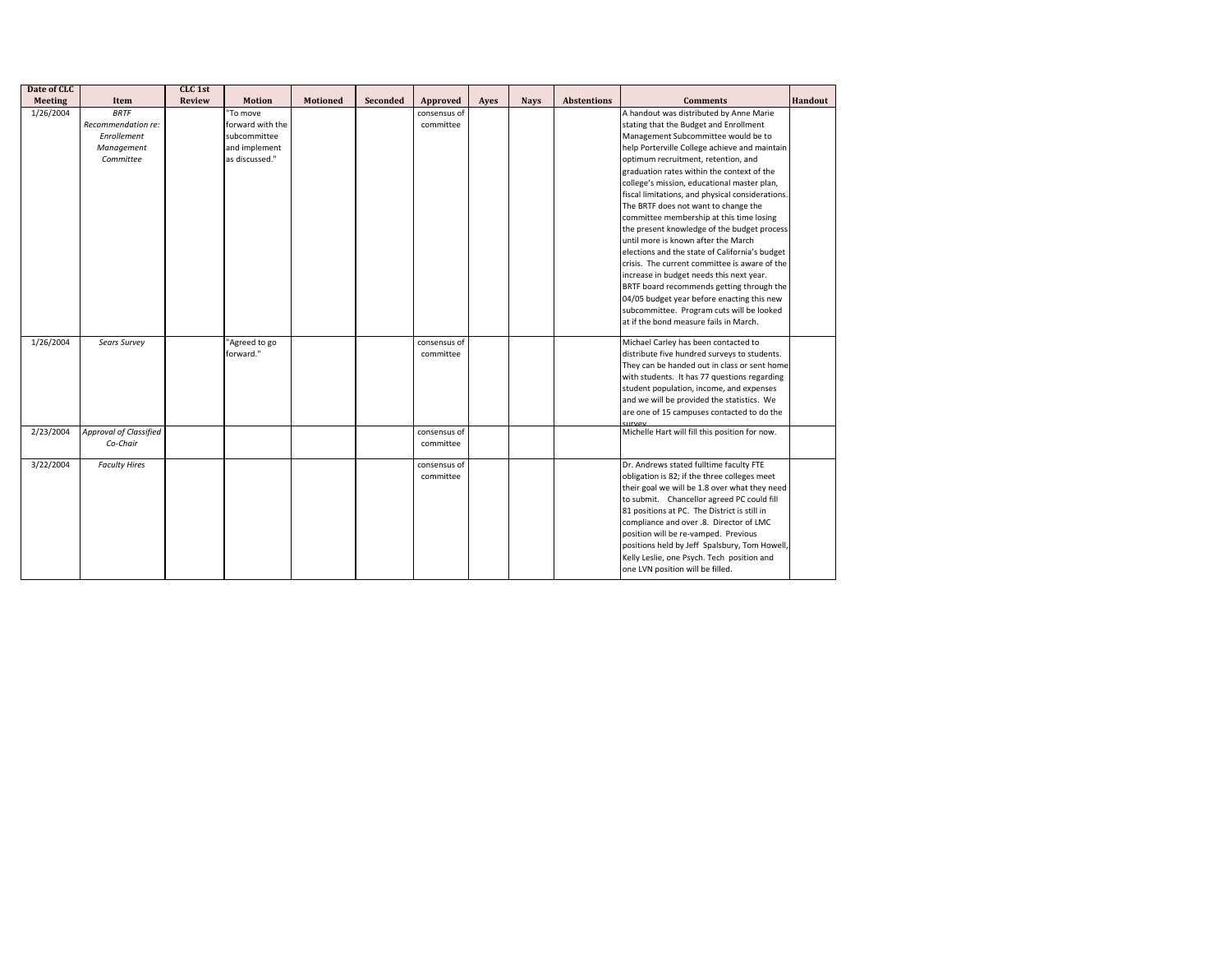| Date of CLC            |                                                                             | CLC 1st       |                                                                                 |                 |          |                                           |      |             |                    |                                                                                                                                                                                                                                                                                                                                                                                                                                                                                                                                                                                                                                                                                                                                                                                                                                                                              |         |
|------------------------|-----------------------------------------------------------------------------|---------------|---------------------------------------------------------------------------------|-----------------|----------|-------------------------------------------|------|-------------|--------------------|------------------------------------------------------------------------------------------------------------------------------------------------------------------------------------------------------------------------------------------------------------------------------------------------------------------------------------------------------------------------------------------------------------------------------------------------------------------------------------------------------------------------------------------------------------------------------------------------------------------------------------------------------------------------------------------------------------------------------------------------------------------------------------------------------------------------------------------------------------------------------|---------|
| <b>Meeting</b>         | Item                                                                        | <b>Review</b> | <b>Motion</b>                                                                   | <b>Motioned</b> | Seconded | Approved                                  | Ayes | <b>Nays</b> | <b>Abstentions</b> | <b>Comments</b>                                                                                                                                                                                                                                                                                                                                                                                                                                                                                                                                                                                                                                                                                                                                                                                                                                                              | Handout |
| 1/26/2004              | <b>BRTF</b><br>Recommendation re:<br>Enrollement<br>Management<br>Committee |               | "To move<br>forward with the<br>subcommittee<br>and implement<br>as discussed." |                 |          | consensus of<br>committee                 |      |             |                    | A handout was distributed by Anne Marie<br>stating that the Budget and Enrollment<br>Management Subcommittee would be to<br>help Porterville College achieve and maintain<br>optimum recruitment, retention, and<br>graduation rates within the context of the<br>college's mission, educational master plan,<br>fiscal limitations, and physical considerations.<br>The BRTF does not want to change the<br>committee membership at this time losing<br>the present knowledge of the budget process<br>until more is known after the March<br>elections and the state of California's budget<br>crisis. The current committee is aware of the<br>increase in budget needs this next year.<br>BRTF board recommends getting through the<br>04/05 budget year before enacting this new<br>subcommittee. Program cuts will be looked<br>at if the bond measure fails in March. |         |
| 1/26/2004<br>2/23/2004 | Sears Survey<br><b>Approval of Classified</b>                               |               | "Agreed to go<br>forward."                                                      |                 |          | consensus of<br>committee<br>consensus of |      |             |                    | Michael Carley has been contacted to<br>distribute five hundred surveys to students.<br>They can be handed out in class or sent home<br>with students. It has 77 questions regarding<br>student population, income, and expenses<br>and we will be provided the statistics. We<br>are one of 15 campuses contacted to do the<br>survey<br>Michelle Hart will fill this position for now.                                                                                                                                                                                                                                                                                                                                                                                                                                                                                     |         |
|                        | Co-Chair                                                                    |               |                                                                                 |                 |          | committee                                 |      |             |                    |                                                                                                                                                                                                                                                                                                                                                                                                                                                                                                                                                                                                                                                                                                                                                                                                                                                                              |         |
| 3/22/2004              | <b>Faculty Hires</b>                                                        |               |                                                                                 |                 |          | consensus of<br>committee                 |      |             |                    | Dr. Andrews stated fulltime faculty FTE<br>obligation is 82; if the three colleges meet<br>their goal we will be 1.8 over what they need<br>to submit. Chancellor agreed PC could fill<br>81 positions at PC. The District is still in<br>compliance and over .8. Director of LMC<br>position will be re-vamped. Previous<br>positions held by Jeff Spalsbury, Tom Howell,<br>Kelly Leslie, one Psych. Tech position and<br>one LVN position will be filled.                                                                                                                                                                                                                                                                                                                                                                                                                 |         |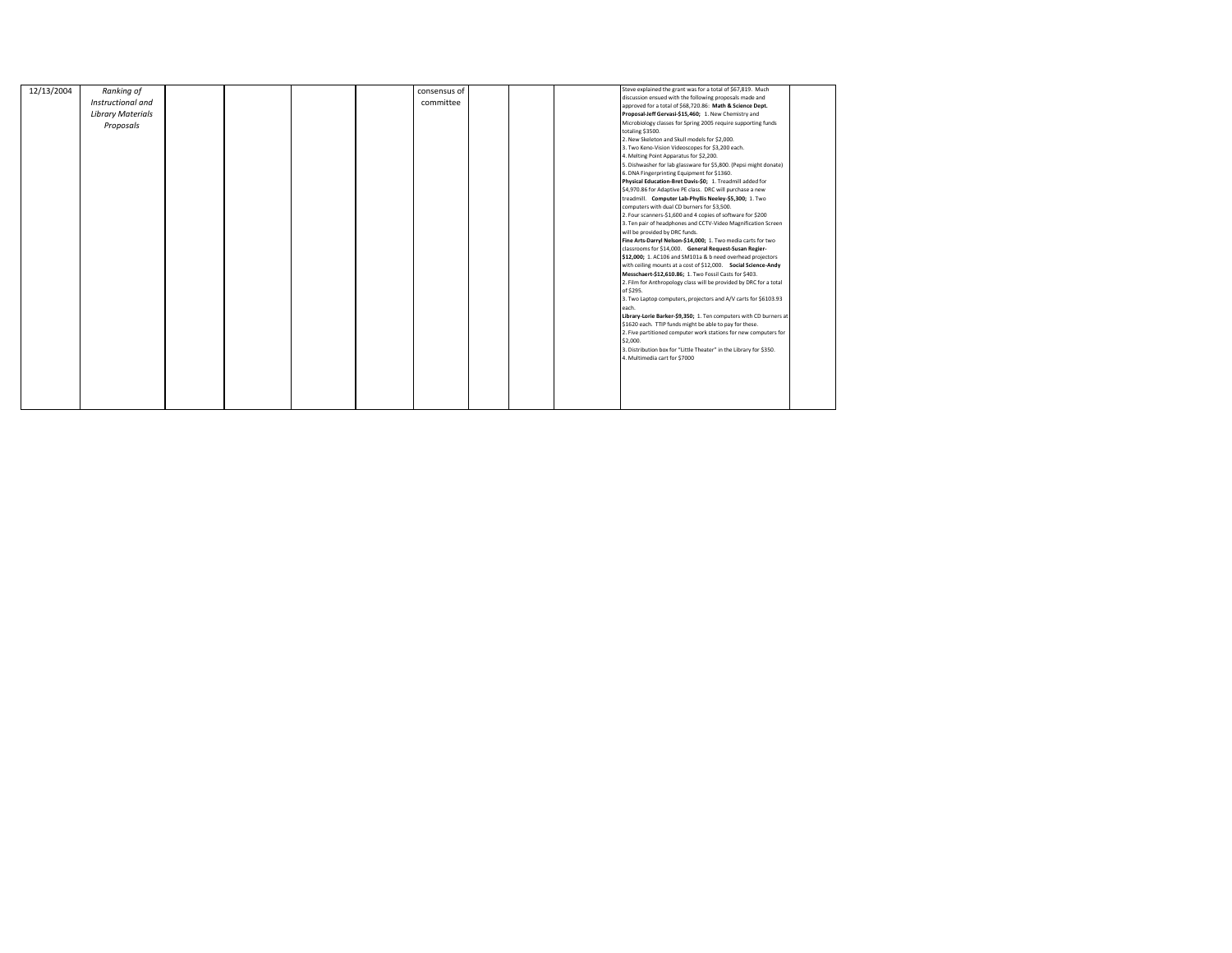| 12/13/2004 | Ranking of               |  |  | consensus of |  | Steve explained the grant was for a total of \$67,819. Much        |  |
|------------|--------------------------|--|--|--------------|--|--------------------------------------------------------------------|--|
|            | Instructional and        |  |  |              |  | discussion ensued with the following proposals made and            |  |
|            |                          |  |  | committee    |  | approved for a total of \$68,720.86: Math & Science Dept.          |  |
|            | <b>Library Materials</b> |  |  |              |  | Proposal-Jeff Gervasi-\$15,460; 1. New Chemistry and               |  |
|            | Proposals                |  |  |              |  | Microbiology classes for Spring 2005 require supporting funds      |  |
|            |                          |  |  |              |  | totaling \$3500.                                                   |  |
|            |                          |  |  |              |  | 2. New Skeleton and Skull models for \$2,000.                      |  |
|            |                          |  |  |              |  | 3. Two Keno-Vision Videoscopes for \$3,200 each.                   |  |
|            |                          |  |  |              |  | 4. Melting Point Apparatus for \$2,200.                            |  |
|            |                          |  |  |              |  | 5. Dishwasher for lab glassware for \$5,800. (Pepsi might donate)  |  |
|            |                          |  |  |              |  | 6. DNA Fingerprinting Equipment for \$1360.                        |  |
|            |                          |  |  |              |  | Physical Education-Bret Davis-\$0; 1. Treadmill added for          |  |
|            |                          |  |  |              |  | \$4,970.86 for Adaptive PE class. DRC will purchase a new          |  |
|            |                          |  |  |              |  | treadmill. Computer Lab-Phyllis Neeley-\$5,300; 1. Two             |  |
|            |                          |  |  |              |  | computers with dual CD burners for \$3,500.                        |  |
|            |                          |  |  |              |  | 2. Four scanners-\$1,600 and 4 copies of software for \$200        |  |
|            |                          |  |  |              |  | 3. Ten pair of headphones and CCTV-Video Magnification Screen      |  |
|            |                          |  |  |              |  | will be provided by DRC funds.                                     |  |
|            |                          |  |  |              |  | Fine Arts-Darryl Nelson-\$14,000; 1. Two media carts for two       |  |
|            |                          |  |  |              |  | classrooms for \$14,000. General Request-Susan Regier-             |  |
|            |                          |  |  |              |  | \$12,000; 1. AC106 and SM101a & b need overhead projectors         |  |
|            |                          |  |  |              |  | with ceiling mounts at a cost of \$12,000. Social Science-Andy     |  |
|            |                          |  |  |              |  | Messchaert-\$12,610.86; 1. Two Fossil Casts for \$403.             |  |
|            |                          |  |  |              |  | 2. Film for Anthropology class will be provided by DRC for a total |  |
|            |                          |  |  |              |  | of \$295.                                                          |  |
|            |                          |  |  |              |  | 3. Two Laptop computers, projectors and A/V carts for \$6103.93    |  |
|            |                          |  |  |              |  | each.                                                              |  |
|            |                          |  |  |              |  | Library-Lorie Barker-\$9,350; 1. Ten computers with CD burners at  |  |
|            |                          |  |  |              |  | \$1620 each. TTIP funds might be able to pay for these.            |  |
|            |                          |  |  |              |  | 2. Five partitioned computer work stations for new computers for   |  |
|            |                          |  |  |              |  | \$2,000.                                                           |  |
|            |                          |  |  |              |  | 3. Distribution box for "Little Theater" in the Library for \$350. |  |
|            |                          |  |  |              |  | 4. Multimedia cart for \$7000                                      |  |
|            |                          |  |  |              |  |                                                                    |  |
|            |                          |  |  |              |  |                                                                    |  |
|            |                          |  |  |              |  |                                                                    |  |
|            |                          |  |  |              |  |                                                                    |  |
|            |                          |  |  |              |  |                                                                    |  |
|            |                          |  |  |              |  |                                                                    |  |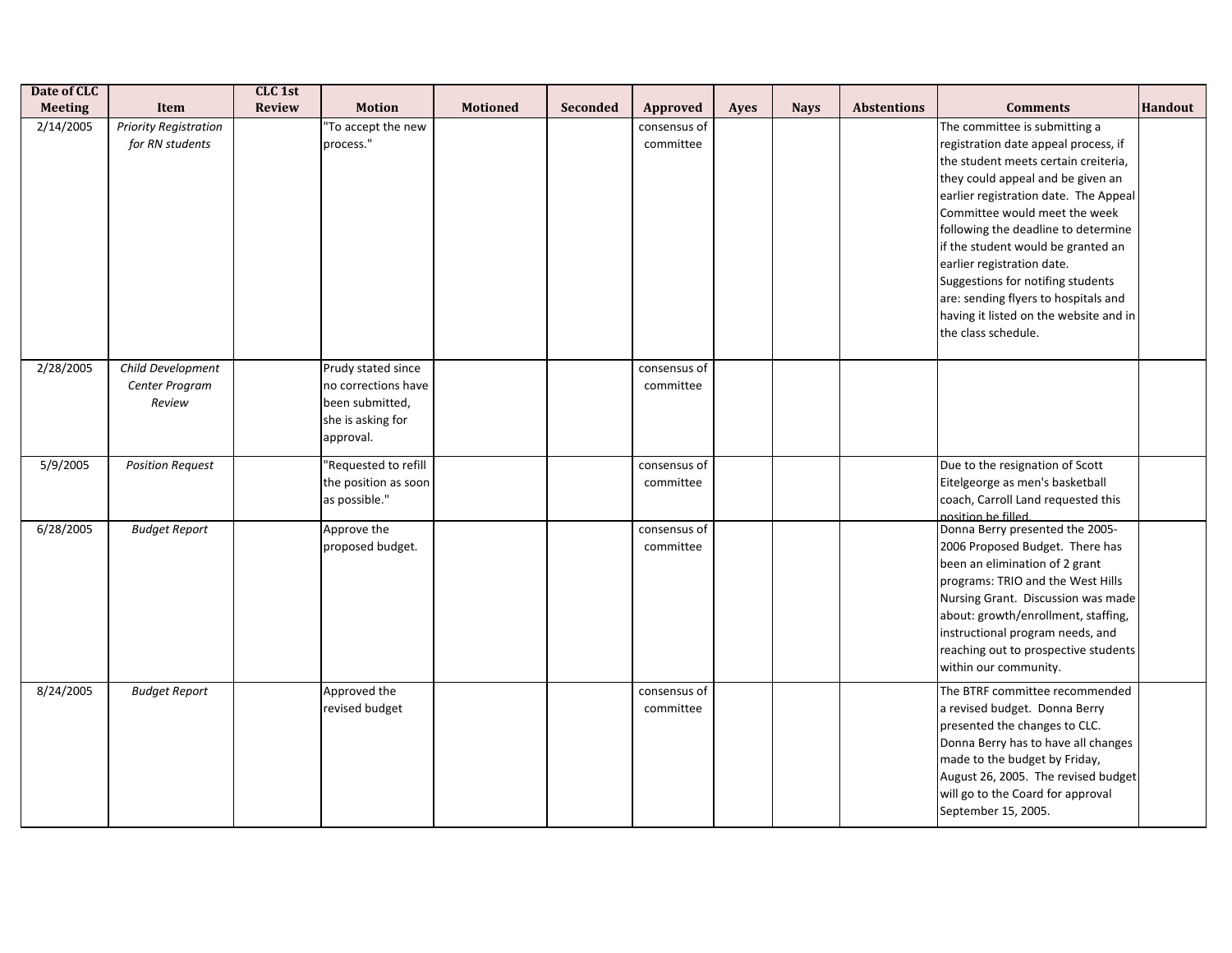| Date of CLC    |                                                 | CLC 1st       |                                                                                                |                 |                 |                           |             |             |                    |                                                                                                                                                                                                                                                                                                                                                                                                                                                                                       |                |
|----------------|-------------------------------------------------|---------------|------------------------------------------------------------------------------------------------|-----------------|-----------------|---------------------------|-------------|-------------|--------------------|---------------------------------------------------------------------------------------------------------------------------------------------------------------------------------------------------------------------------------------------------------------------------------------------------------------------------------------------------------------------------------------------------------------------------------------------------------------------------------------|----------------|
| <b>Meeting</b> | <b>Item</b>                                     | <b>Review</b> | <b>Motion</b>                                                                                  | <b>Motioned</b> | <b>Seconded</b> | Approved                  | <b>Ayes</b> | <b>Nays</b> | <b>Abstentions</b> | <b>Comments</b>                                                                                                                                                                                                                                                                                                                                                                                                                                                                       | <b>Handout</b> |
| 2/14/2005      | <b>Priority Registration</b><br>for RN students |               | 'To accept the new<br>process."                                                                |                 |                 | consensus of<br>committee |             |             |                    | The committee is submitting a<br>registration date appeal process, if<br>the student meets certain creiteria,<br>they could appeal and be given an<br>earlier registration date. The Appeal<br>Committee would meet the week<br>following the deadline to determine<br>if the student would be granted an<br>earlier registration date.<br>Suggestions for notifing students<br>are: sending flyers to hospitals and<br>having it listed on the website and in<br>the class schedule. |                |
| 2/28/2005      | Child Development<br>Center Program<br>Review   |               | Prudy stated since<br>no corrections have<br>been submitted,<br>she is asking for<br>approval. |                 |                 | consensus of<br>committee |             |             |                    |                                                                                                                                                                                                                                                                                                                                                                                                                                                                                       |                |
| 5/9/2005       | <b>Position Request</b>                         |               | "Requested to refill<br>the position as soon<br>as possible."                                  |                 |                 | consensus of<br>committee |             |             |                    | Due to the resignation of Scott<br>Eitelgeorge as men's basketball<br>coach, Carroll Land requested this<br>position be filled.                                                                                                                                                                                                                                                                                                                                                       |                |
| 6/28/2005      | <b>Budget Report</b>                            |               | Approve the<br>proposed budget.                                                                |                 |                 | consensus of<br>committee |             |             |                    | Donna Berry presented the 2005-<br>2006 Proposed Budget. There has<br>been an elimination of 2 grant<br>programs: TRIO and the West Hills<br>Nursing Grant. Discussion was made<br>about: growth/enrollment, staffing,<br>instructional program needs, and<br>reaching out to prospective students<br>within our community.                                                                                                                                                           |                |
| 8/24/2005      | <b>Budget Report</b>                            |               | Approved the<br>revised budget                                                                 |                 |                 | consensus of<br>committee |             |             |                    | The BTRF committee recommended<br>a revised budget. Donna Berry<br>presented the changes to CLC.<br>Donna Berry has to have all changes<br>made to the budget by Friday,<br>August 26, 2005. The revised budget<br>will go to the Coard for approval<br>September 15, 2005.                                                                                                                                                                                                           |                |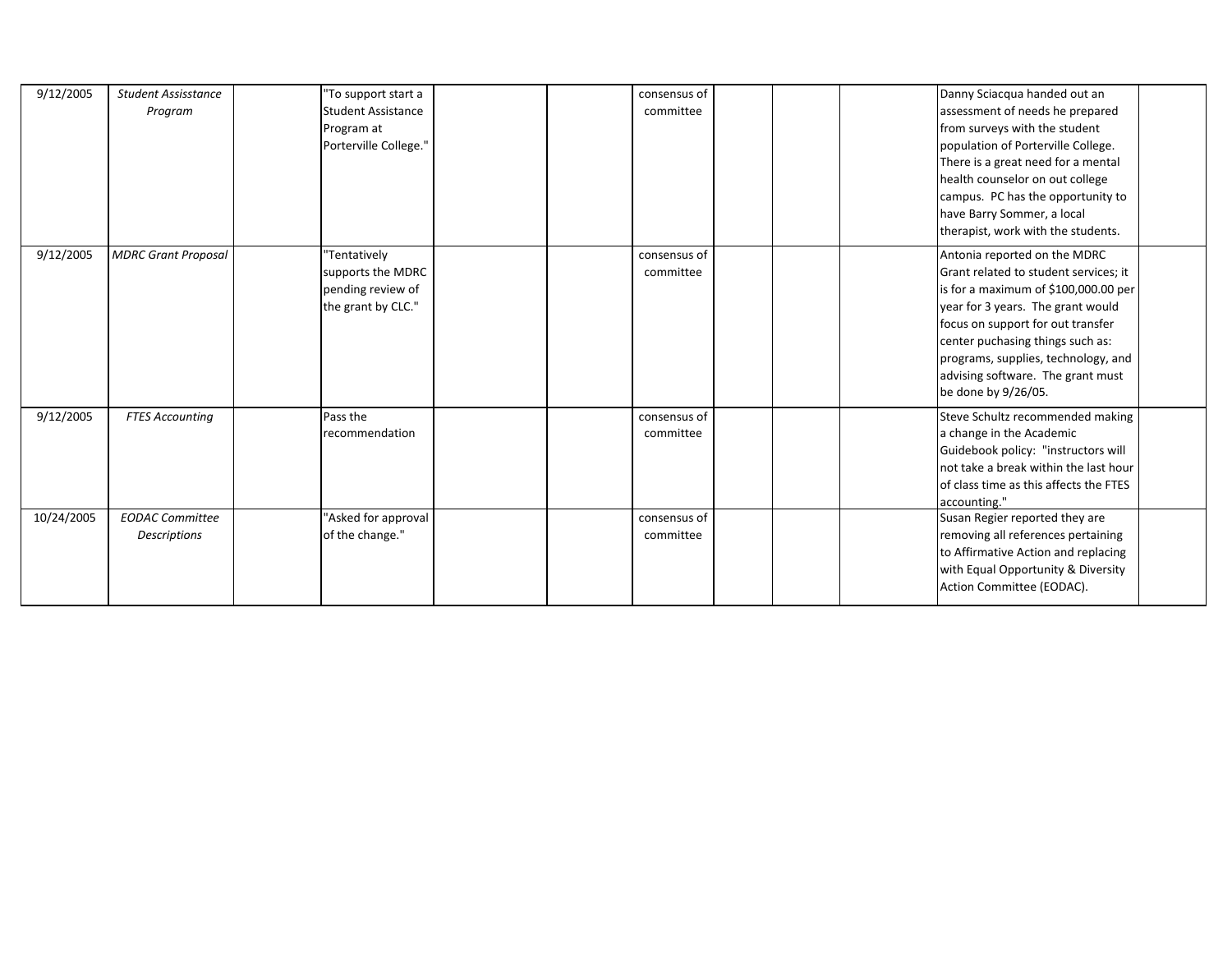| 9/12/2005  | <b>Student Assisstance</b><br>Program  | "To support start a<br><b>Student Assistance</b><br>Program at<br>Porterville College." | consensus of<br>committee | Danny Sciacqua handed out an<br>assessment of needs he prepared<br>from surveys with the student<br>population of Porterville College.<br>There is a great need for a mental<br>health counselor on out college<br>campus. PC has the opportunity to<br>have Barry Sommer, a local<br>therapist, work with the students.       |
|------------|----------------------------------------|-----------------------------------------------------------------------------------------|---------------------------|--------------------------------------------------------------------------------------------------------------------------------------------------------------------------------------------------------------------------------------------------------------------------------------------------------------------------------|
| 9/12/2005  | <b>MDRC Grant Proposal</b>             | "Tentatively<br>supports the MDRC<br>pending review of<br>the grant by CLC."            | consensus of<br>committee | Antonia reported on the MDRC<br>Grant related to student services; it<br>is for a maximum of \$100,000.00 per<br>year for 3 years. The grant would<br>focus on support for out transfer<br>center puchasing things such as:<br>programs, supplies, technology, and<br>advising software. The grant must<br>be done by 9/26/05. |
| 9/12/2005  | <b>FTES Accounting</b>                 | Pass the<br>recommendation                                                              | consensus of<br>committee | Steve Schultz recommended making<br>a change in the Academic<br>Guidebook policy: "instructors will<br>not take a break within the last hour<br>of class time as this affects the FTES<br>accounting."                                                                                                                         |
| 10/24/2005 | <b>EODAC Committee</b><br>Descriptions | "Asked for approval<br>of the change."                                                  | consensus of<br>committee | Susan Regier reported they are<br>removing all references pertaining<br>to Affirmative Action and replacing<br>with Equal Opportunity & Diversity<br>Action Committee (EODAC).                                                                                                                                                 |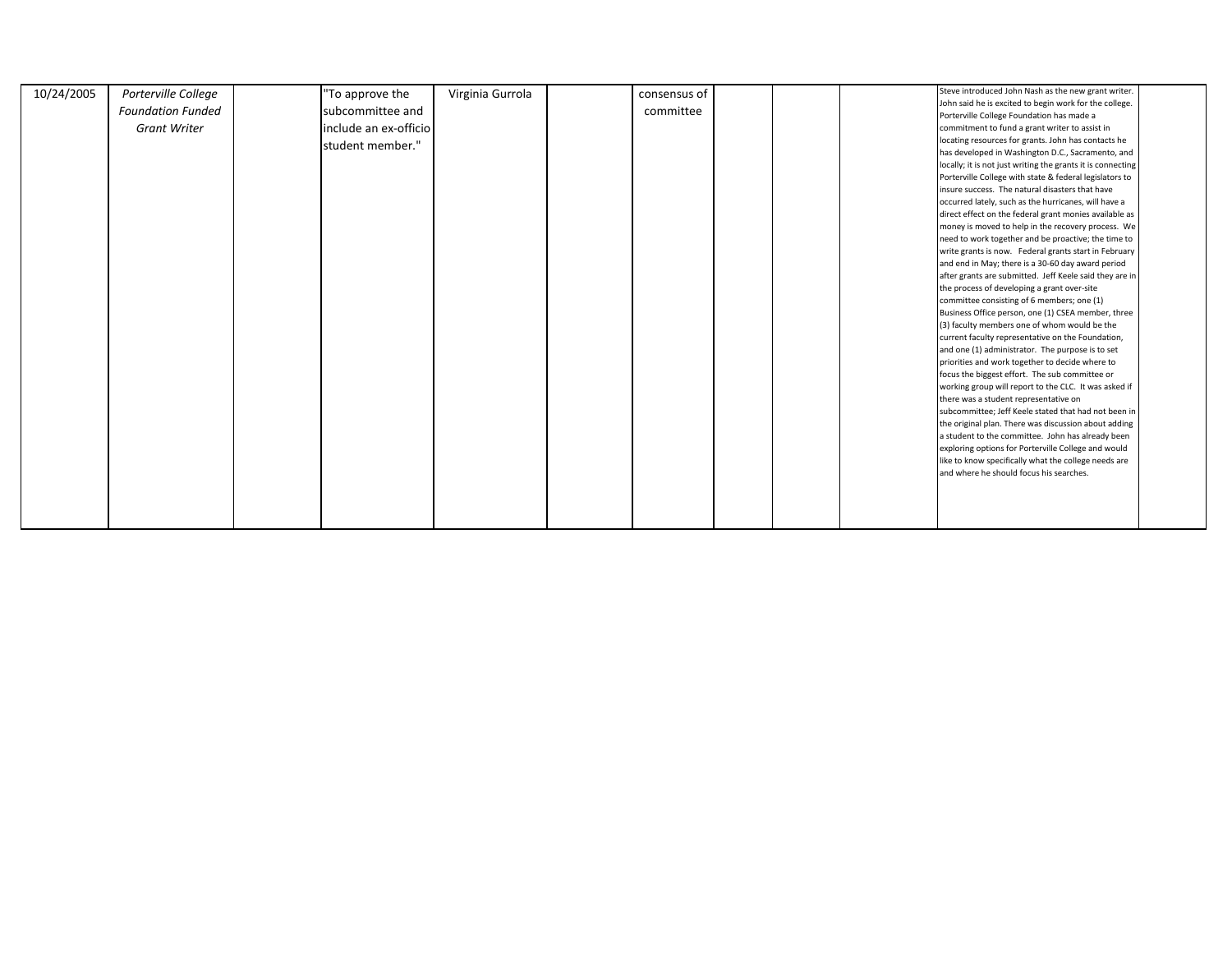| 10/24/2005 | Porterville College      | "To approve the       | Virginia Gurrola | consensus of |  | Steve introduced John Nash as the new grant writer.         |  |
|------------|--------------------------|-----------------------|------------------|--------------|--|-------------------------------------------------------------|--|
|            | <b>Foundation Funded</b> | subcommittee and      |                  | committee    |  | John said he is excited to begin work for the college.      |  |
|            |                          |                       |                  |              |  | Porterville College Foundation has made a                   |  |
|            | <b>Grant Writer</b>      | include an ex-officio |                  |              |  | commitment to fund a grant writer to assist in              |  |
|            |                          | student member."      |                  |              |  | locating resources for grants. John has contacts he         |  |
|            |                          |                       |                  |              |  | has developed in Washington D.C., Sacramento, and           |  |
|            |                          |                       |                  |              |  | locally; it is not just writing the grants it is connecting |  |
|            |                          |                       |                  |              |  | Porterville College with state & federal legislators to     |  |
|            |                          |                       |                  |              |  | insure success. The natural disasters that have             |  |
|            |                          |                       |                  |              |  | occurred lately, such as the hurricanes, will have a        |  |
|            |                          |                       |                  |              |  | direct effect on the federal grant monies available as      |  |
|            |                          |                       |                  |              |  | money is moved to help in the recovery process. We          |  |
|            |                          |                       |                  |              |  | need to work together and be proactive; the time to         |  |
|            |                          |                       |                  |              |  | write grants is now. Federal grants start in February       |  |
|            |                          |                       |                  |              |  | and end in May; there is a 30-60 day award period           |  |
|            |                          |                       |                  |              |  | after grants are submitted. Jeff Keele said they are in     |  |
|            |                          |                       |                  |              |  | the process of developing a grant over-site                 |  |
|            |                          |                       |                  |              |  | committee consisting of 6 members; one (1)                  |  |
|            |                          |                       |                  |              |  | Business Office person, one (1) CSEA member, three          |  |
|            |                          |                       |                  |              |  | (3) faculty members one of whom would be the                |  |
|            |                          |                       |                  |              |  | current faculty representative on the Foundation,           |  |
|            |                          |                       |                  |              |  | and one (1) administrator. The purpose is to set            |  |
|            |                          |                       |                  |              |  | priorities and work together to decide where to             |  |
|            |                          |                       |                  |              |  | focus the biggest effort. The sub committee or              |  |
|            |                          |                       |                  |              |  | working group will report to the CLC. It was asked if       |  |
|            |                          |                       |                  |              |  | there was a student representative on                       |  |
|            |                          |                       |                  |              |  | subcommittee; Jeff Keele stated that had not been in        |  |
|            |                          |                       |                  |              |  | the original plan. There was discussion about adding        |  |
|            |                          |                       |                  |              |  | a student to the committee. John has already been           |  |
|            |                          |                       |                  |              |  | exploring options for Porterville College and would         |  |
|            |                          |                       |                  |              |  | like to know specifically what the college needs are        |  |
|            |                          |                       |                  |              |  | and where he should focus his searches.                     |  |
|            |                          |                       |                  |              |  |                                                             |  |
|            |                          |                       |                  |              |  |                                                             |  |
|            |                          |                       |                  |              |  |                                                             |  |
|            |                          |                       |                  |              |  |                                                             |  |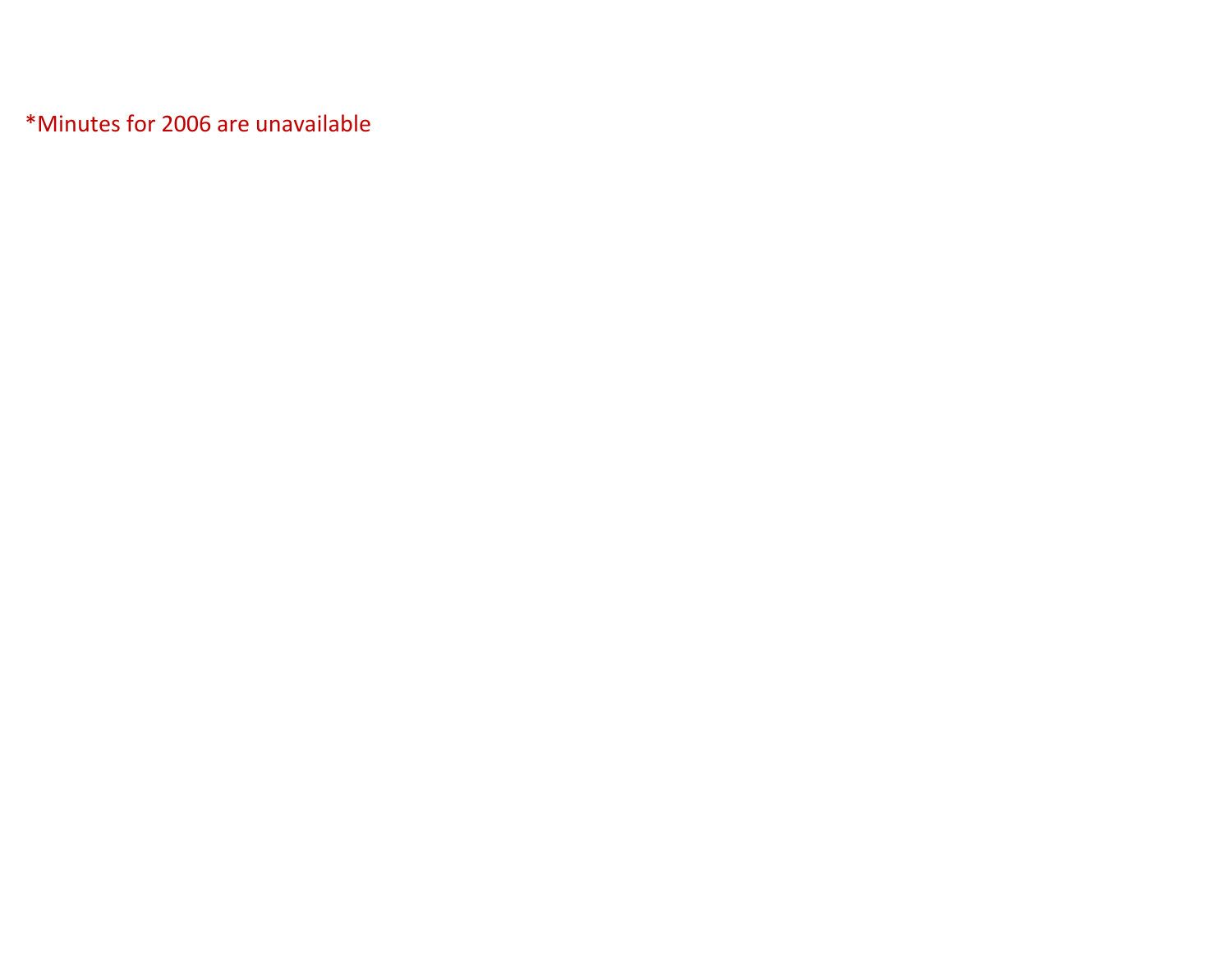\*Minutes for 2006 are unavailable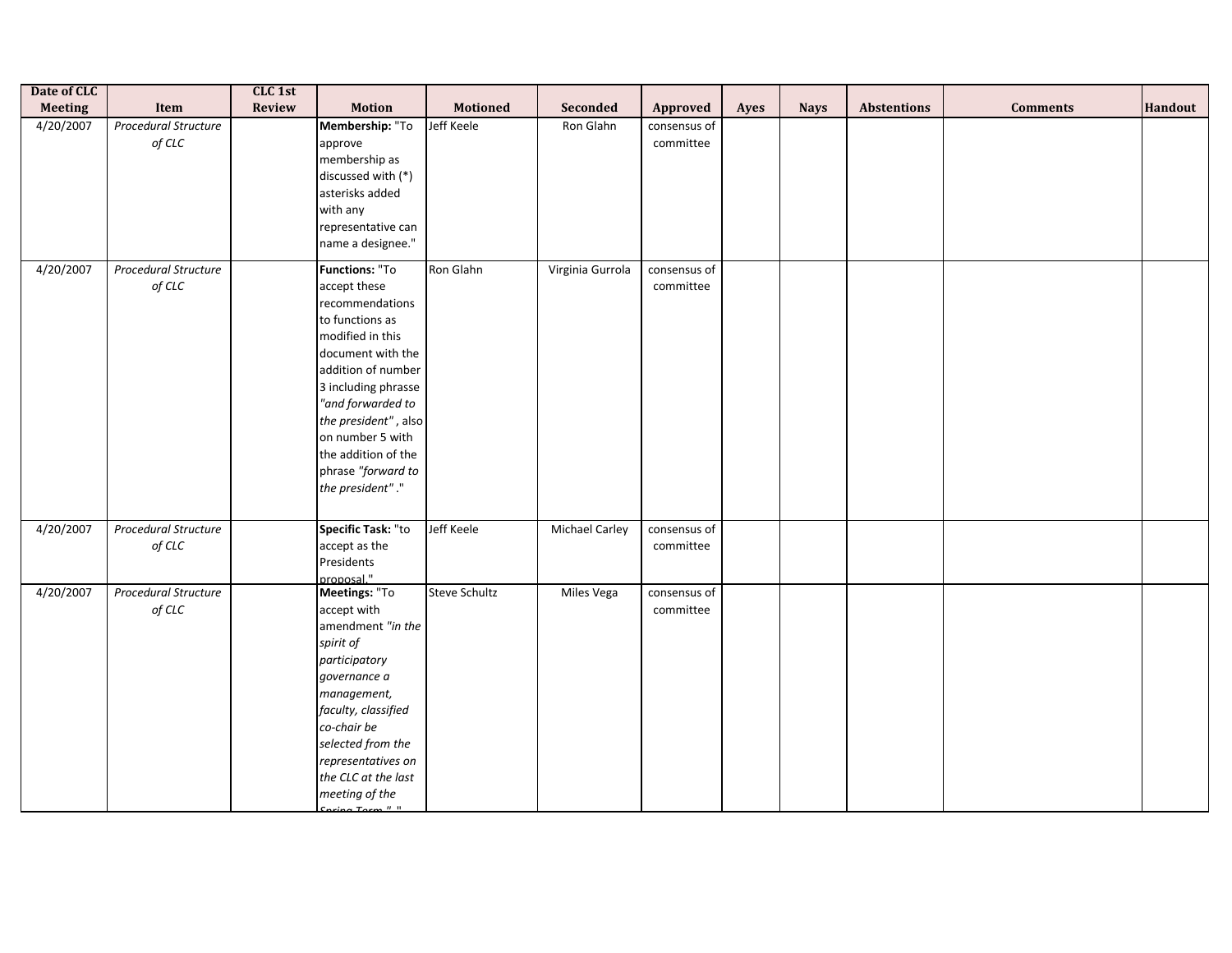| Date of CLC    |                                            | CLC 1st       |                                                                                                                                                                                                                                                                                              |                      |                       |                           |      |             |                    |                 |         |
|----------------|--------------------------------------------|---------------|----------------------------------------------------------------------------------------------------------------------------------------------------------------------------------------------------------------------------------------------------------------------------------------------|----------------------|-----------------------|---------------------------|------|-------------|--------------------|-----------------|---------|
| <b>Meeting</b> | Item                                       | <b>Review</b> | <b>Motion</b>                                                                                                                                                                                                                                                                                | <b>Motioned</b>      | Seconded              | Approved                  | Ayes | <b>Nays</b> | <b>Abstentions</b> | <b>Comments</b> | Handout |
| 4/20/2007      | Procedural Structure<br>of $\mathcal{CLC}$ |               | Membership: "To<br>approve<br>membership as<br>discussed with (*)<br>asterisks added<br>with any<br>representative can<br>name a designee."                                                                                                                                                  | Jeff Keele           | Ron Glahn             | consensus of<br>committee |      |             |                    |                 |         |
| 4/20/2007      | <b>Procedural Structure</b><br>of CLC      |               | Functions: "To<br>accept these<br>recommendations<br>to functions as<br>modified in this<br>document with the<br>addition of number<br>3 including phrasse<br>"and forwarded to<br>the president", also<br>on number 5 with<br>the addition of the<br>phrase "forward to<br>the president"." | Ron Glahn            | Virginia Gurrola      | consensus of<br>committee |      |             |                    |                 |         |
| 4/20/2007      | Procedural Structure<br>of CLC             |               | Specific Task: "to<br>accept as the<br>Presidents<br>proposal."                                                                                                                                                                                                                              | Jeff Keele           | <b>Michael Carley</b> | consensus of<br>committee |      |             |                    |                 |         |
| 4/20/2007      | <b>Procedural Structure</b><br>of CLC      |               | Meetings: "To<br>accept with<br>amendment "in the<br>spirit of<br>participatory<br>governance a<br>management,<br>faculty, classified<br>co-chair be<br>selected from the<br>representatives on<br>the CLC at the last<br>meeting of the<br>$Conning Form \frac{H}{H}$                       | <b>Steve Schultz</b> | Miles Vega            | consensus of<br>committee |      |             |                    |                 |         |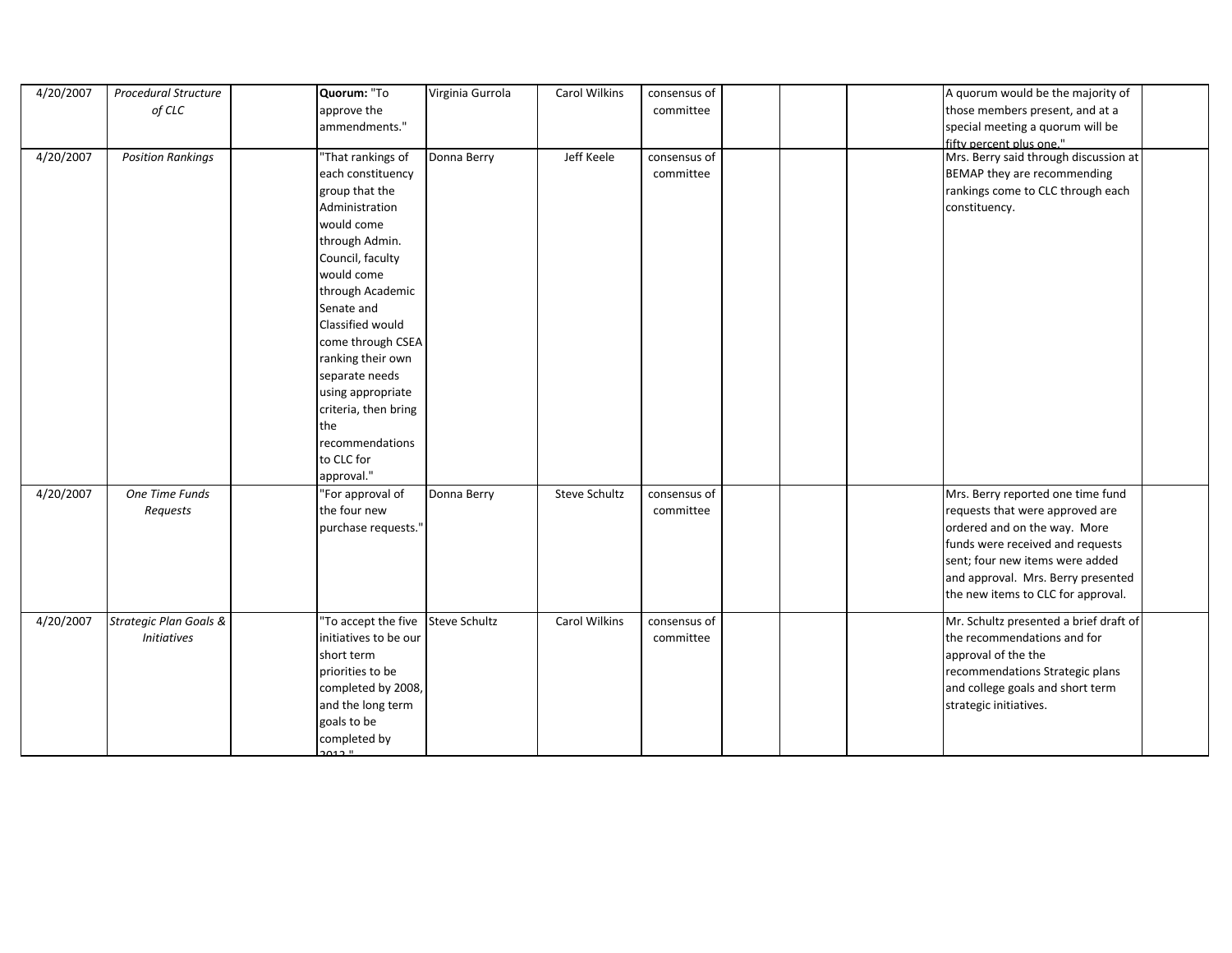| 4/20/2007 | Procedural Structure              | Quorum: "To                       | Virginia Gurrola | Carol Wilkins        | consensus of |  | A quorum would be the majority of      |  |
|-----------|-----------------------------------|-----------------------------------|------------------|----------------------|--------------|--|----------------------------------------|--|
|           | of CLC                            | approve the                       |                  |                      | committee    |  | those members present, and at a        |  |
|           |                                   | ammendments."                     |                  |                      |              |  | special meeting a quorum will be       |  |
|           |                                   |                                   |                  |                      |              |  | fifty percent plus one."               |  |
| 4/20/2007 | <b>Position Rankings</b>          | "That rankings of                 | Donna Berry      | Jeff Keele           | consensus of |  | Mrs. Berry said through discussion at  |  |
|           |                                   | each constituency                 |                  |                      | committee    |  | BEMAP they are recommending            |  |
|           |                                   | group that the                    |                  |                      |              |  | rankings come to CLC through each      |  |
|           |                                   | Administration                    |                  |                      |              |  | constituency.                          |  |
|           |                                   | would come                        |                  |                      |              |  |                                        |  |
|           |                                   | through Admin.                    |                  |                      |              |  |                                        |  |
|           |                                   | Council, faculty                  |                  |                      |              |  |                                        |  |
|           |                                   | would come                        |                  |                      |              |  |                                        |  |
|           |                                   | through Academic                  |                  |                      |              |  |                                        |  |
|           |                                   | Senate and                        |                  |                      |              |  |                                        |  |
|           |                                   | Classified would                  |                  |                      |              |  |                                        |  |
|           |                                   | come through CSEA                 |                  |                      |              |  |                                        |  |
|           |                                   | ranking their own                 |                  |                      |              |  |                                        |  |
|           |                                   | separate needs                    |                  |                      |              |  |                                        |  |
|           |                                   | using appropriate                 |                  |                      |              |  |                                        |  |
|           |                                   | criteria, then bring              |                  |                      |              |  |                                        |  |
|           |                                   | the                               |                  |                      |              |  |                                        |  |
|           |                                   | recommendations                   |                  |                      |              |  |                                        |  |
|           |                                   | to CLC for                        |                  |                      |              |  |                                        |  |
|           |                                   | approval."                        |                  |                      |              |  |                                        |  |
| 4/20/2007 | One Time Funds                    | "For approval of                  | Donna Berry      | Steve Schultz        | consensus of |  | Mrs. Berry reported one time fund      |  |
|           | Requests                          | the four new                      |                  |                      | committee    |  | requests that were approved are        |  |
|           |                                   | purchase requests.'               |                  |                      |              |  | ordered and on the way. More           |  |
|           |                                   |                                   |                  |                      |              |  | funds were received and requests       |  |
|           |                                   |                                   |                  |                      |              |  | sent; four new items were added        |  |
|           |                                   |                                   |                  |                      |              |  | and approval. Mrs. Berry presented     |  |
|           |                                   |                                   |                  |                      |              |  | the new items to CLC for approval.     |  |
| 4/20/2007 | <b>Strategic Plan Goals &amp;</b> | "To accept the five Steve Schultz |                  | <b>Carol Wilkins</b> | consensus of |  | Mr. Schultz presented a brief draft of |  |
|           | <b>Initiatives</b>                | initiatives to be our             |                  |                      | committee    |  | the recommendations and for            |  |
|           |                                   | short term                        |                  |                      |              |  | approval of the the                    |  |
|           |                                   | priorities to be                  |                  |                      |              |  | recommendations Strategic plans        |  |
|           |                                   | completed by 2008,                |                  |                      |              |  | and college goals and short term       |  |
|           |                                   | and the long term                 |                  |                      |              |  | strategic initiatives.                 |  |
|           |                                   | goals to be                       |                  |                      |              |  |                                        |  |
|           |                                   | completed by                      |                  |                      |              |  |                                        |  |
|           |                                   | 0.12H                             |                  |                      |              |  |                                        |  |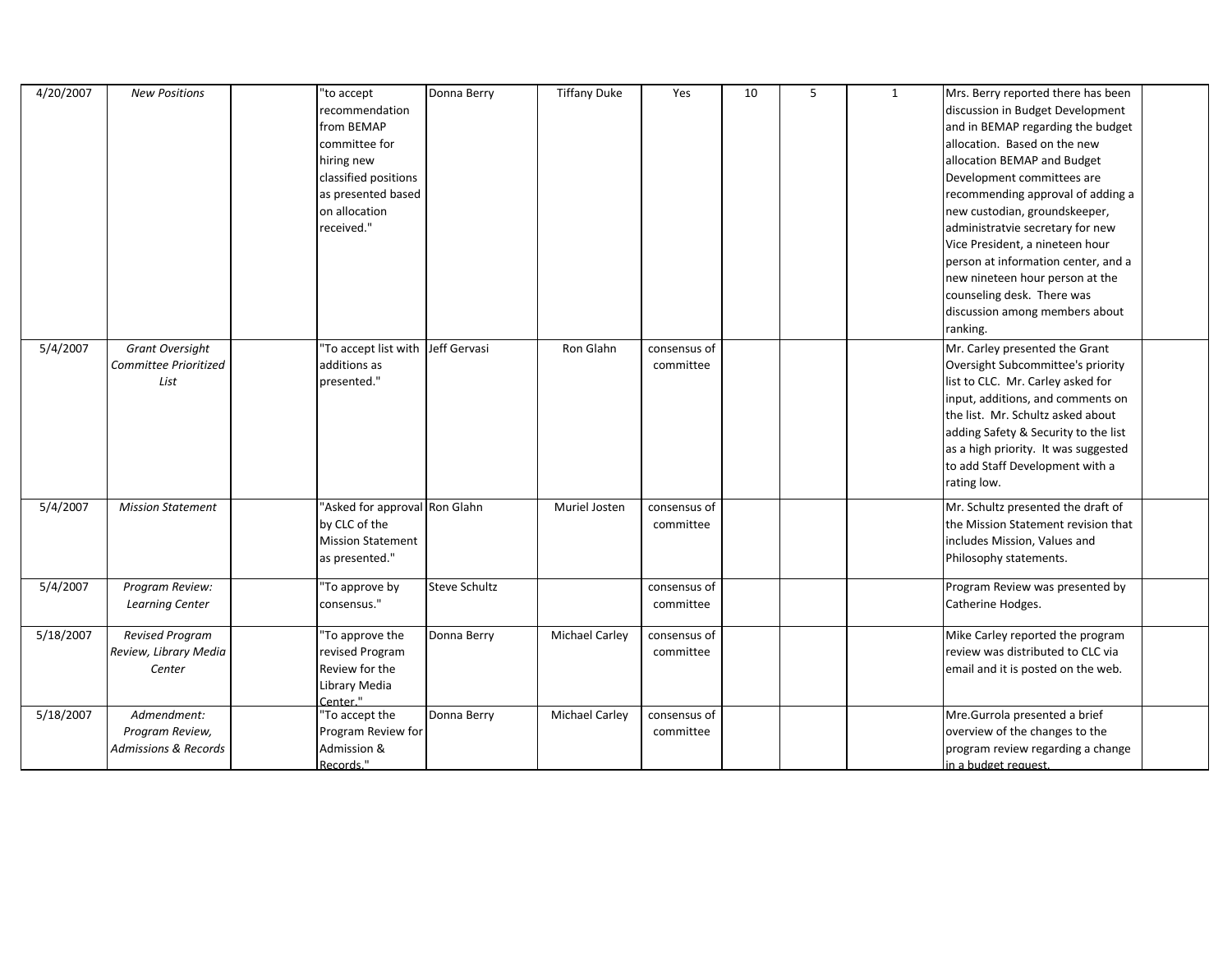| 4/20/2007 | <b>New Positions</b>                                              | "to accept<br>recommendation<br>from BEMAP<br>committee for<br>hiring new<br>classified positions<br>as presented based<br>on allocation<br>received." | Donna Berry          | <b>Tiffany Duke</b>   | Yes                       | 10 | 5 | 1 | Mrs. Berry reported there has been<br>discussion in Budget Development<br>and in BEMAP regarding the budget<br>allocation. Based on the new<br>allocation BEMAP and Budget<br>Development committees are<br>recommending approval of adding a<br>new custodian, groundskeeper,<br>administratvie secretary for new<br>Vice President, a nineteen hour<br>person at information center, and a<br>new nineteen hour person at the<br>counseling desk. There was<br>discussion among members about<br>ranking. |  |
|-----------|-------------------------------------------------------------------|--------------------------------------------------------------------------------------------------------------------------------------------------------|----------------------|-----------------------|---------------------------|----|---|---|-------------------------------------------------------------------------------------------------------------------------------------------------------------------------------------------------------------------------------------------------------------------------------------------------------------------------------------------------------------------------------------------------------------------------------------------------------------------------------------------------------------|--|
| 5/4/2007  | Grant Oversight<br>Committee Prioritized<br>List                  | To accept list with Jeff Gervasi<br>additions as<br>presented."                                                                                        |                      | Ron Glahn             | consensus of<br>committee |    |   |   | Mr. Carley presented the Grant<br>Oversight Subcommittee's priority<br>list to CLC. Mr. Carley asked for<br>input, additions, and comments on<br>the list. Mr. Schultz asked about<br>adding Safety & Security to the list<br>as a high priority. It was suggested<br>to add Staff Development with a<br>rating low.                                                                                                                                                                                        |  |
| 5/4/2007  | <b>Mission Statement</b>                                          | 'Asked for approval Ron Glahn<br>by CLC of the<br><b>Mission Statement</b><br>as presented."                                                           |                      | Muriel Josten         | consensus of<br>committee |    |   |   | Mr. Schultz presented the draft of<br>the Mission Statement revision that<br>includes Mission, Values and<br>Philosophy statements.                                                                                                                                                                                                                                                                                                                                                                         |  |
| 5/4/2007  | Program Review:<br><b>Learning Center</b>                         | 'To approve by<br>consensus."                                                                                                                          | <b>Steve Schultz</b> |                       | consensus of<br>committee |    |   |   | Program Review was presented by<br>Catherine Hodges.                                                                                                                                                                                                                                                                                                                                                                                                                                                        |  |
| 5/18/2007 | Revised Program<br>Review, Library Media<br>Center                | 'To approve the<br>revised Program<br>Review for the<br>Library Media<br>Center."                                                                      | Donna Berry          | <b>Michael Carley</b> | consensus of<br>committee |    |   |   | Mike Carley reported the program<br>review was distributed to CLC via<br>email and it is posted on the web.                                                                                                                                                                                                                                                                                                                                                                                                 |  |
| 5/18/2007 | Admendment:<br>Program Review,<br><b>Admissions &amp; Records</b> | 'To accept the<br>Program Review for<br>Admission &<br>Records."                                                                                       | Donna Berry          | <b>Michael Carley</b> | consensus of<br>committee |    |   |   | Mre.Gurrola presented a brief<br>overview of the changes to the<br>program review regarding a change<br>in a budget request.                                                                                                                                                                                                                                                                                                                                                                                |  |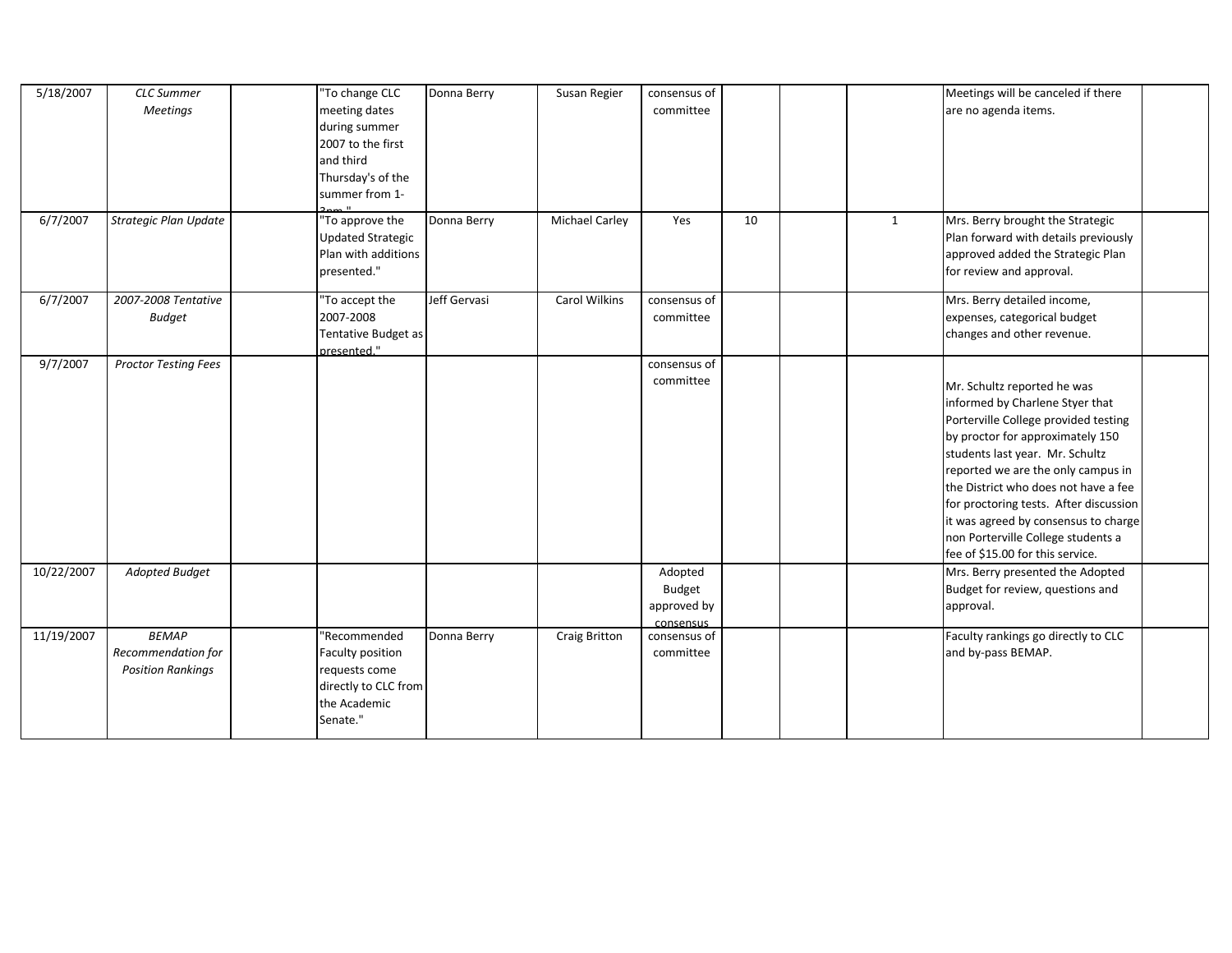| 5/18/2007  | <b>CLC</b> Summer<br><b>Meetings</b>                           | "To change CLC<br>meeting dates<br>during summer<br>2007 to the first<br>and third<br>Thursday's of the<br>summer from 1- | Donna Berry  | Susan Regier          | consensus of<br>committee                     |    |              | Meetings will be canceled if there<br>are no agenda items.                                                                                                                                                                                                                                                                                                                                                              |  |
|------------|----------------------------------------------------------------|---------------------------------------------------------------------------------------------------------------------------|--------------|-----------------------|-----------------------------------------------|----|--------------|-------------------------------------------------------------------------------------------------------------------------------------------------------------------------------------------------------------------------------------------------------------------------------------------------------------------------------------------------------------------------------------------------------------------------|--|
| 6/7/2007   | <b>Strategic Plan Update</b>                                   | To approve the<br><b>Updated Strategic</b><br>Plan with additions<br>presented."                                          | Donna Berry  | <b>Michael Carley</b> | Yes                                           | 10 | $\mathbf{1}$ | Mrs. Berry brought the Strategic<br>Plan forward with details previously<br>approved added the Strategic Plan<br>for review and approval.                                                                                                                                                                                                                                                                               |  |
| 6/7/2007   | 2007-2008 Tentative<br><b>Budget</b>                           | "To accept the<br>2007-2008<br>Tentative Budget as<br>presented."                                                         | Jeff Gervasi | <b>Carol Wilkins</b>  | consensus of<br>committee                     |    |              | Mrs. Berry detailed income,<br>expenses, categorical budget<br>changes and other revenue.                                                                                                                                                                                                                                                                                                                               |  |
| 9/7/2007   | <b>Proctor Testing Fees</b>                                    |                                                                                                                           |              |                       | consensus of<br>committee                     |    |              | Mr. Schultz reported he was<br>informed by Charlene Styer that<br>Porterville College provided testing<br>by proctor for approximately 150<br>students last year. Mr. Schultz<br>reported we are the only campus in<br>the District who does not have a fee<br>for proctoring tests. After discussion<br>it was agreed by consensus to charge<br>non Porterville College students a<br>fee of \$15.00 for this service. |  |
| 10/22/2007 | Adopted Budget                                                 |                                                                                                                           |              |                       | Adopted<br>Budget<br>approved by<br>consensus |    |              | Mrs. Berry presented the Adopted<br>Budget for review, questions and<br>approval.                                                                                                                                                                                                                                                                                                                                       |  |
| 11/19/2007 | <b>BEMAP</b><br>Recommendation for<br><b>Position Rankings</b> | "Recommended<br>Faculty position<br>requests come<br>directly to CLC from<br>the Academic<br>Senate."                     | Donna Berry  | <b>Craig Britton</b>  | consensus of<br>committee                     |    |              | Faculty rankings go directly to CLC<br>and by-pass BEMAP.                                                                                                                                                                                                                                                                                                                                                               |  |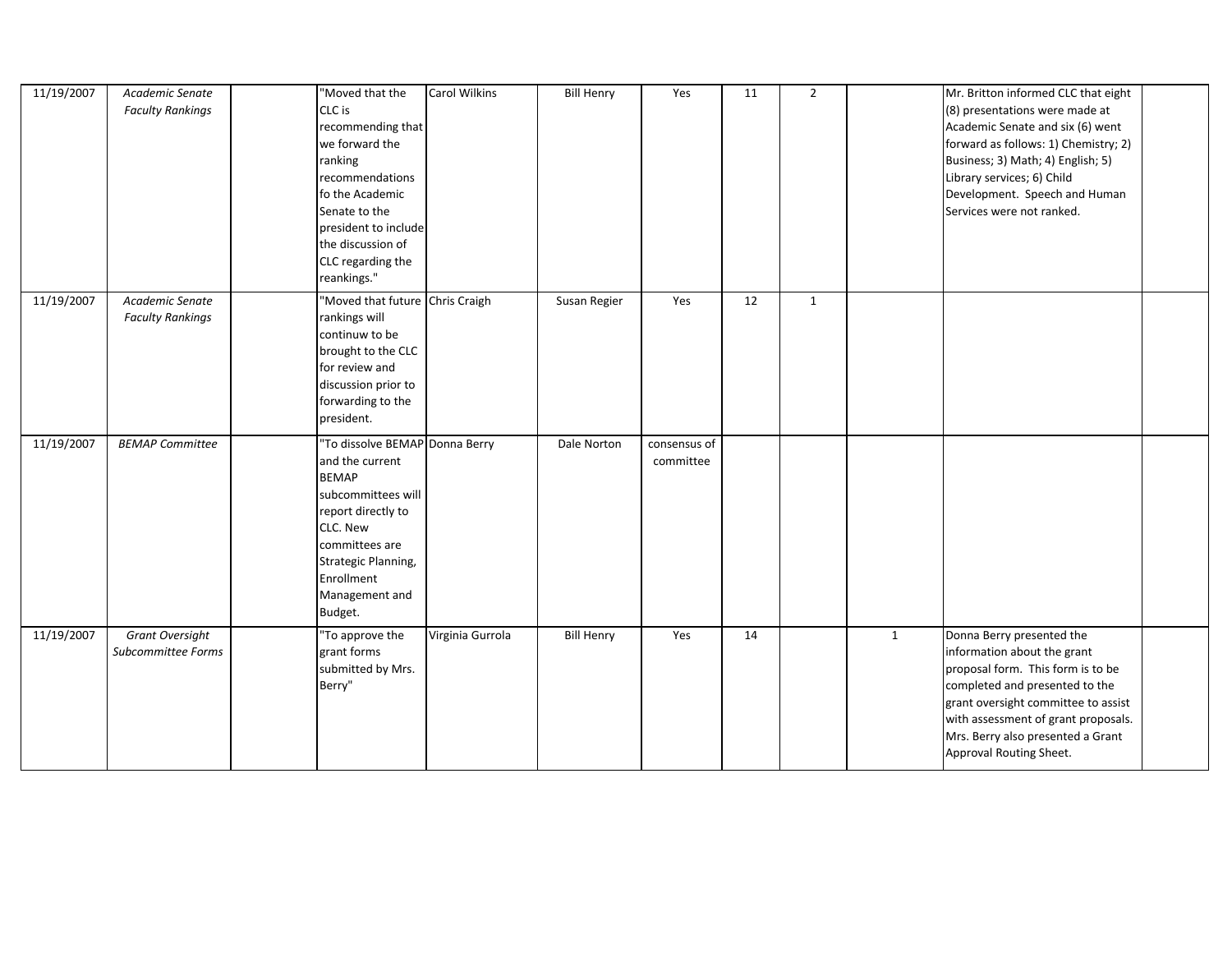| 11/19/2007 | Academic Senate<br><b>Faculty Rankings</b> | "Moved that the<br>CLC is<br>recommending that<br>we forward the<br>ranking<br>recommendations<br>fo the Academic<br>Senate to the<br>president to include<br>the discussion of<br>CLC regarding the<br>reankings." | <b>Carol Wilkins</b> | <b>Bill Henry</b> | Yes                       | 11 | $\overline{2}$ |              | Mr. Britton informed CLC that eight<br>(8) presentations were made at<br>Academic Senate and six (6) went<br>forward as follows: 1) Chemistry; 2)<br>Business; 3) Math; 4) English; 5)<br>Library services; 6) Child<br>Development. Speech and Human<br>Services were not ranked. |  |
|------------|--------------------------------------------|---------------------------------------------------------------------------------------------------------------------------------------------------------------------------------------------------------------------|----------------------|-------------------|---------------------------|----|----------------|--------------|------------------------------------------------------------------------------------------------------------------------------------------------------------------------------------------------------------------------------------------------------------------------------------|--|
| 11/19/2007 | Academic Senate<br><b>Faculty Rankings</b> | "Moved that future Chris Craigh<br>rankings will<br>continuw to be<br>brought to the CLC<br>for review and<br>discussion prior to<br>forwarding to the<br>president.                                                |                      | Susan Regier      | Yes                       | 12 | $\mathbf{1}$   |              |                                                                                                                                                                                                                                                                                    |  |
| 11/19/2007 | <b>BEMAP Committee</b>                     | To dissolve BEMAP Donna Berry<br>and the current<br><b>BEMAP</b><br>subcommittees will<br>report directly to<br>CLC. New<br>committees are<br>Strategic Planning,<br>Enrollment<br>Management and<br>Budget.        |                      | Dale Norton       | consensus of<br>committee |    |                |              |                                                                                                                                                                                                                                                                                    |  |
| 11/19/2007 | Grant Oversight<br>Subcommittee Forms      | 'To approve the<br>grant forms<br>submitted by Mrs.<br>Berry"                                                                                                                                                       | Virginia Gurrola     | <b>Bill Henry</b> | Yes                       | 14 |                | $\mathbf{1}$ | Donna Berry presented the<br>information about the grant<br>proposal form. This form is to be<br>completed and presented to the<br>grant oversight committee to assist<br>with assessment of grant proposals.<br>Mrs. Berry also presented a Grant<br>Approval Routing Sheet.      |  |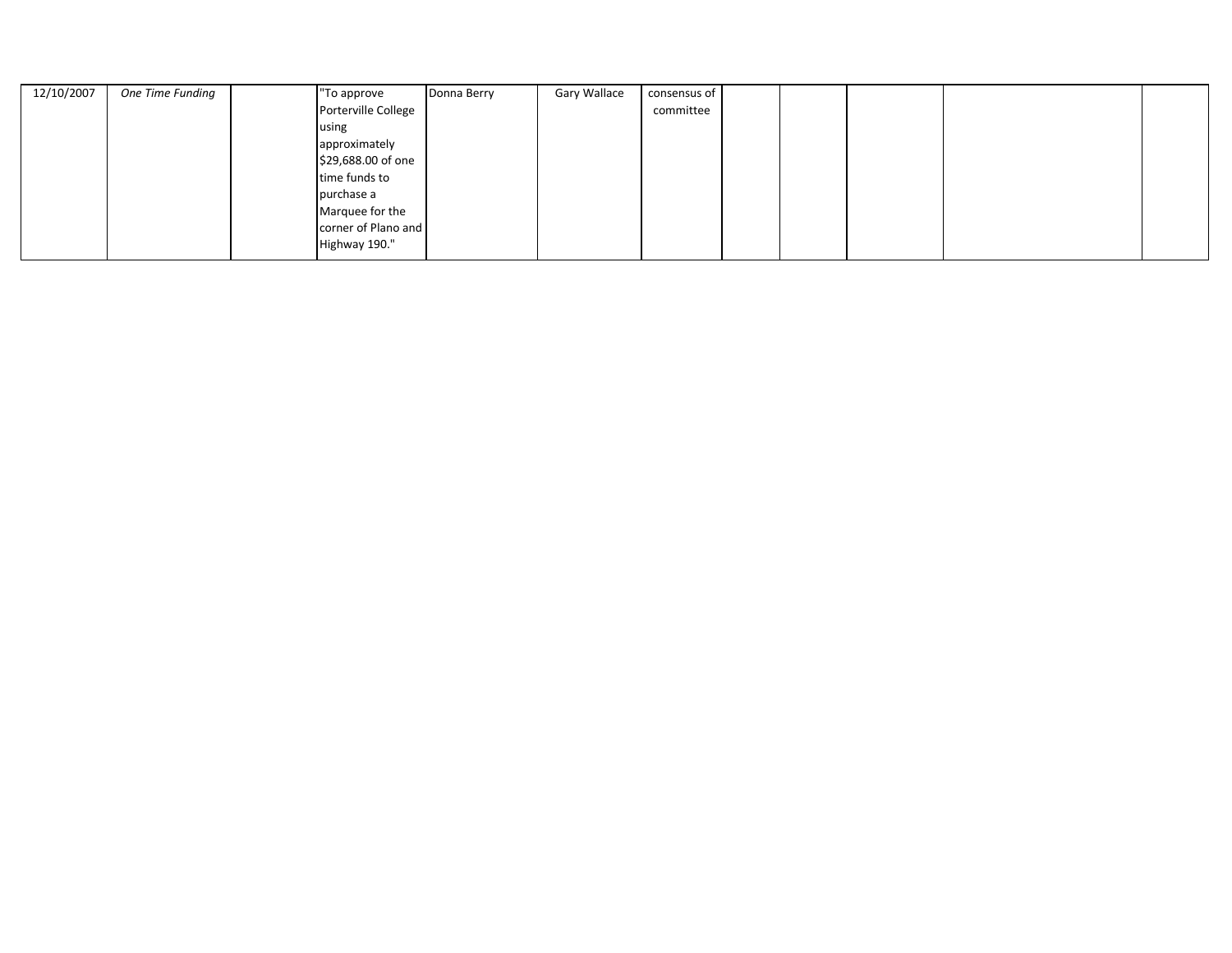| 12/10/2007 | One Time Funding | "To approve         | Donna Berry | Gary Wallace | consensus of |  |  |  |
|------------|------------------|---------------------|-------------|--------------|--------------|--|--|--|
|            |                  | Porterville College |             |              | committee    |  |  |  |
|            |                  | using               |             |              |              |  |  |  |
|            |                  | approximately       |             |              |              |  |  |  |
|            |                  | \$29,688.00 of one  |             |              |              |  |  |  |
|            |                  | time funds to       |             |              |              |  |  |  |
|            |                  | purchase a          |             |              |              |  |  |  |
|            |                  | Marquee for the     |             |              |              |  |  |  |
|            |                  | corner of Plano and |             |              |              |  |  |  |
|            |                  | Highway 190."       |             |              |              |  |  |  |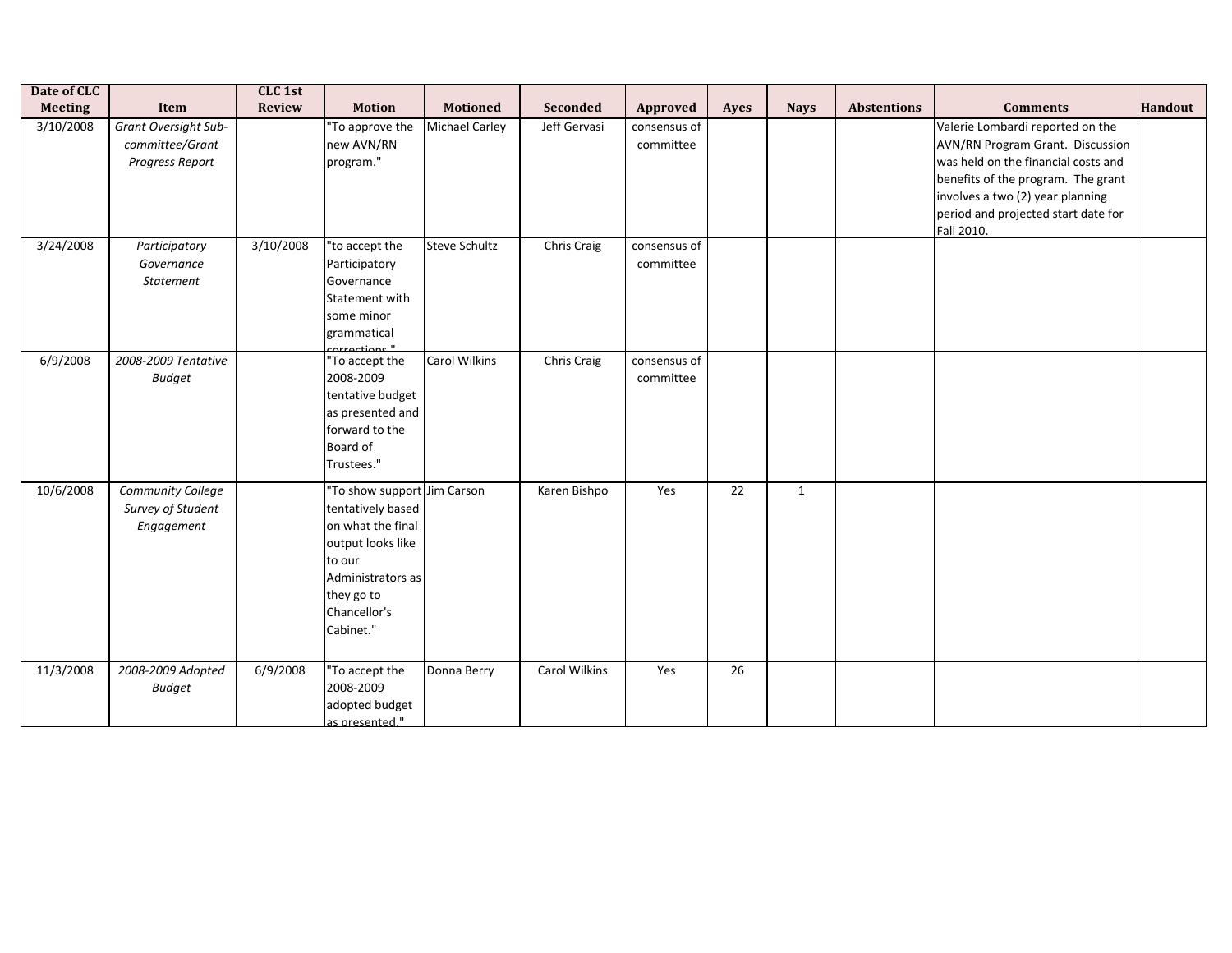| Date of CLC<br><b>Meeting</b> | Item                                                              | CLC 1st<br><b>Review</b> | <b>Motion</b>                                                                                                                                                        | <b>Motioned</b>       | Seconded      | Approved                  | Ayes | <b>Nays</b>  | <b>Abstentions</b> | <b>Comments</b>                                                                                                                                                                                                                            | <b>Handout</b> |
|-------------------------------|-------------------------------------------------------------------|--------------------------|----------------------------------------------------------------------------------------------------------------------------------------------------------------------|-----------------------|---------------|---------------------------|------|--------------|--------------------|--------------------------------------------------------------------------------------------------------------------------------------------------------------------------------------------------------------------------------------------|----------------|
| 3/10/2008                     | <b>Grant Oversight Sub-</b><br>committee/Grant<br>Progress Report |                          | "To approve the<br>new AVN/RN<br>program."                                                                                                                           | <b>Michael Carley</b> | Jeff Gervasi  | consensus of<br>committee |      |              |                    | Valerie Lombardi reported on the<br>AVN/RN Program Grant. Discussion<br>was held on the financial costs and<br>benefits of the program. The grant<br>involves a two (2) year planning<br>period and projected start date for<br>Fall 2010. |                |
| 3/24/2008                     | Participatory<br>Governance<br>Statement                          | 3/10/2008                | "to accept the<br>Participatory<br>Governance<br>Statement with<br>some minor<br>grammatical<br>orroctions <sup>11</sup>                                             | <b>Steve Schultz</b>  | Chris Craig   | consensus of<br>committee |      |              |                    |                                                                                                                                                                                                                                            |                |
| 6/9/2008                      | 2008-2009 Tentative<br><b>Budget</b>                              |                          | "To accept the<br>2008-2009<br>tentative budget<br>as presented and<br>forward to the<br>Board of<br>Trustees."                                                      | <b>Carol Wilkins</b>  | Chris Craig   | consensus of<br>committee |      |              |                    |                                                                                                                                                                                                                                            |                |
| 10/6/2008                     | Community College<br>Survey of Student<br>Engagement              |                          | "To show support Jim Carson<br>tentatively based<br>on what the final<br>output looks like<br>to our<br>Administrators as<br>they go to<br>Chancellor's<br>Cabinet." |                       | Karen Bishpo  | Yes                       | 22   | $\mathbf{1}$ |                    |                                                                                                                                                                                                                                            |                |
| 11/3/2008                     | 2008-2009 Adopted<br><b>Budget</b>                                | 6/9/2008                 | "To accept the<br>2008-2009<br>adopted budget<br>as presented."                                                                                                      | Donna Berry           | Carol Wilkins | Yes                       | 26   |              |                    |                                                                                                                                                                                                                                            |                |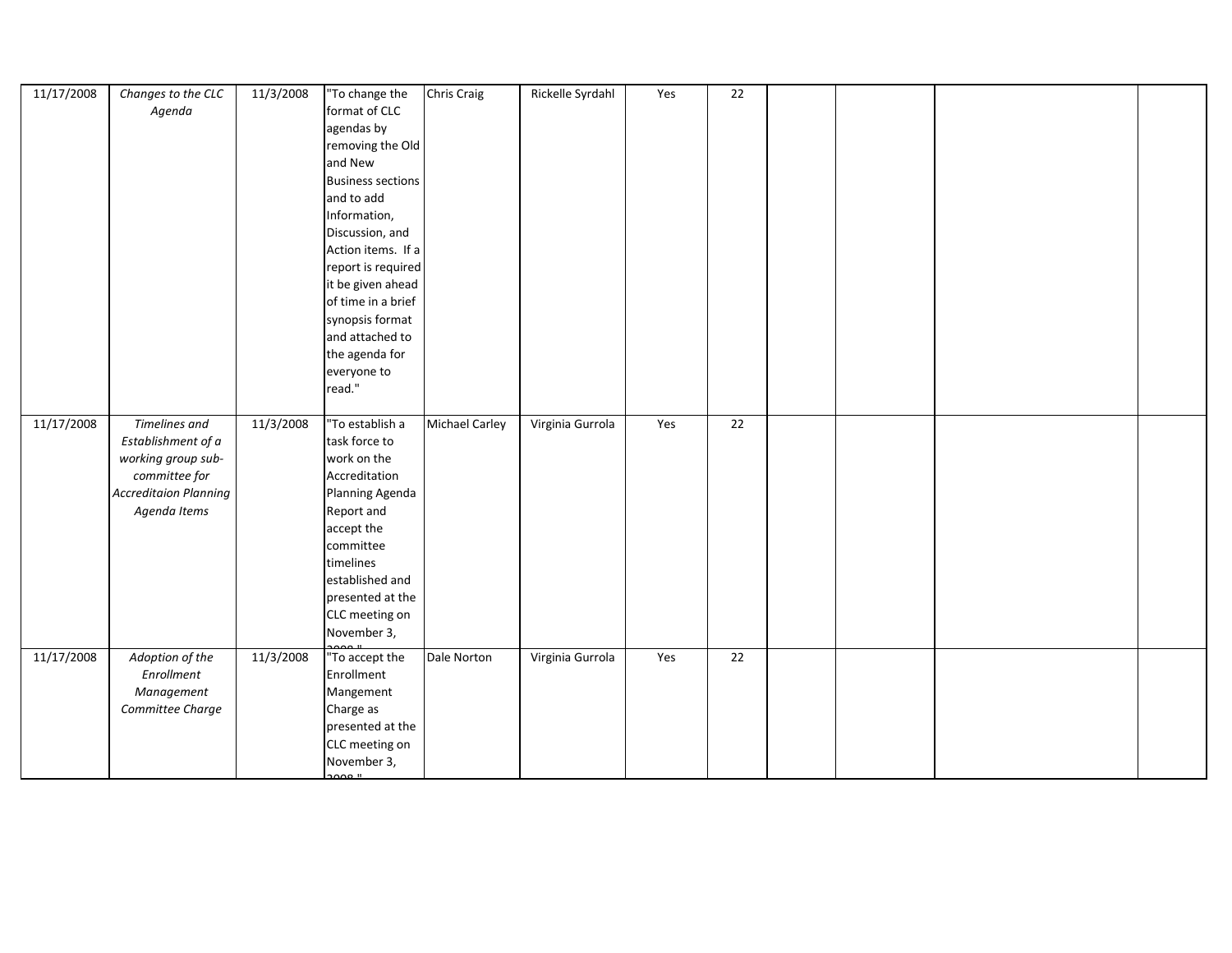| 11/17/2008 | Changes to the CLC<br>Agenda                                                                                                      | 11/3/2008 | "To change the<br>format of CLC<br>agendas by<br>removing the Old<br>and New<br><b>Business sections</b><br>and to add<br>Information,<br>Discussion, and<br>Action items. If a<br>report is required<br>it be given ahead<br>of time in a brief<br>synopsis format<br>and attached to<br>the agenda for<br>everyone to<br>read." | <b>Chris Craig</b>    | Rickelle Syrdahl | Yes | 22              |  |  |
|------------|-----------------------------------------------------------------------------------------------------------------------------------|-----------|-----------------------------------------------------------------------------------------------------------------------------------------------------------------------------------------------------------------------------------------------------------------------------------------------------------------------------------|-----------------------|------------------|-----|-----------------|--|--|
| 11/17/2008 | <b>Timelines and</b><br>Establishment of a<br>working group sub-<br>committee for<br><b>Accreditaion Planning</b><br>Agenda Items | 11/3/2008 | "To establish a<br>task force to<br>work on the<br>Accreditation<br>Planning Agenda<br>Report and<br>accept the<br>committee<br>timelines<br>established and<br>presented at the<br>CLC meeting on<br>November 3,                                                                                                                 | <b>Michael Carley</b> | Virginia Gurrola | Yes | 22              |  |  |
| 11/17/2008 | Adoption of the<br>Enrollment<br>Management<br>Committee Charge                                                                   | 11/3/2008 | "To accept the<br>Enrollment<br>Mangement<br>Charge as<br>presented at the<br>CLC meeting on<br>November 3,<br>ാറ്റാ "                                                                                                                                                                                                            | Dale Norton           | Virginia Gurrola | Yes | $\overline{22}$ |  |  |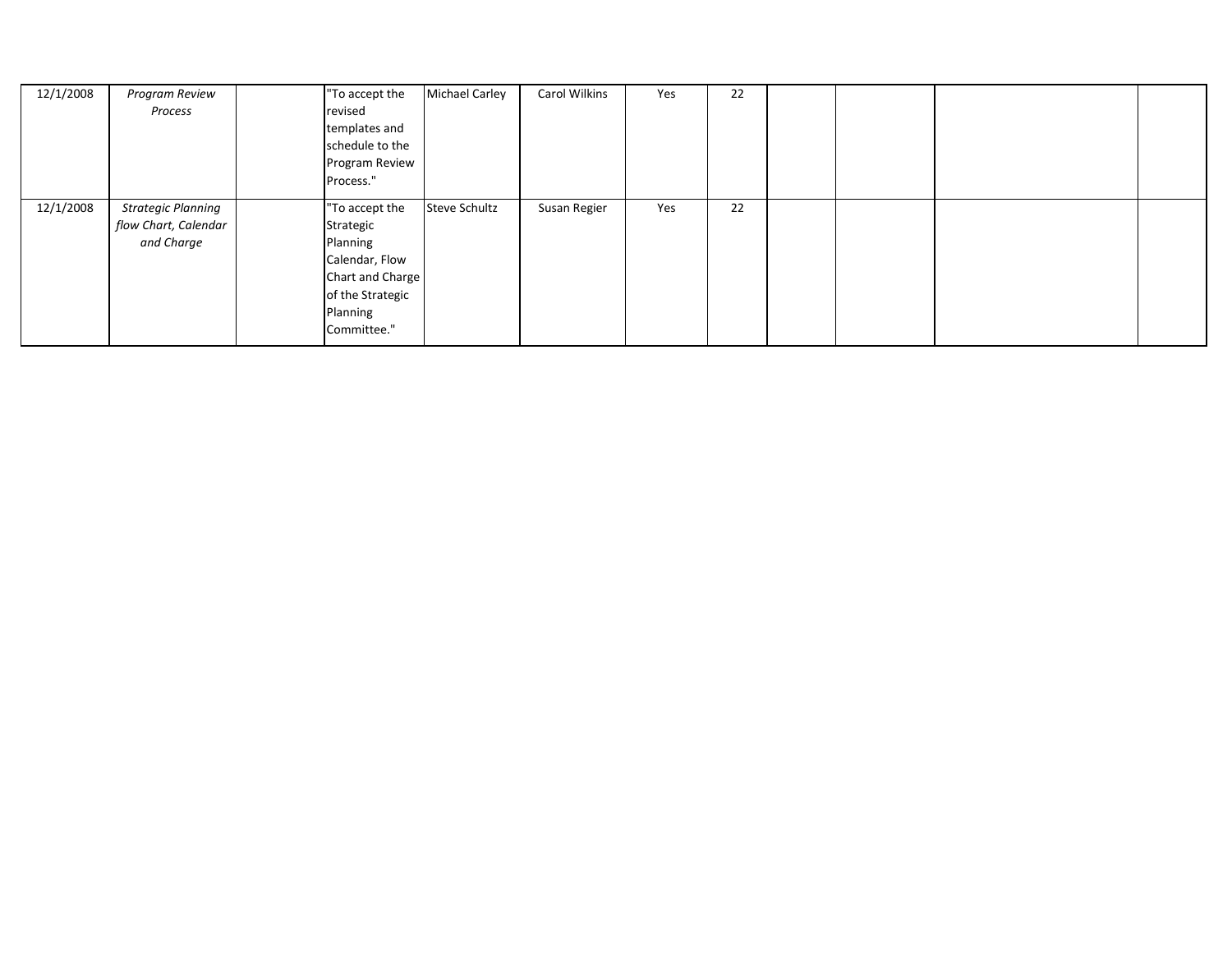| 12/1/2008 | Program Review            | "To accept the   | <b>Michael Carley</b> | Carol Wilkins | Yes | 22 |  |  |
|-----------|---------------------------|------------------|-----------------------|---------------|-----|----|--|--|
|           | Process                   | revised          |                       |               |     |    |  |  |
|           |                           | templates and    |                       |               |     |    |  |  |
|           |                           | schedule to the  |                       |               |     |    |  |  |
|           |                           | Program Review   |                       |               |     |    |  |  |
|           |                           | Process."        |                       |               |     |    |  |  |
| 12/1/2008 | <b>Strategic Planning</b> | "To accept the   | <b>Steve Schultz</b>  | Susan Regier  | Yes | 22 |  |  |
|           | flow Chart, Calendar      | Strategic        |                       |               |     |    |  |  |
|           | and Charge                | Planning         |                       |               |     |    |  |  |
|           |                           | Calendar, Flow   |                       |               |     |    |  |  |
|           |                           | Chart and Charge |                       |               |     |    |  |  |
|           |                           | of the Strategic |                       |               |     |    |  |  |
|           |                           | Planning         |                       |               |     |    |  |  |
|           |                           | Committee."      |                       |               |     |    |  |  |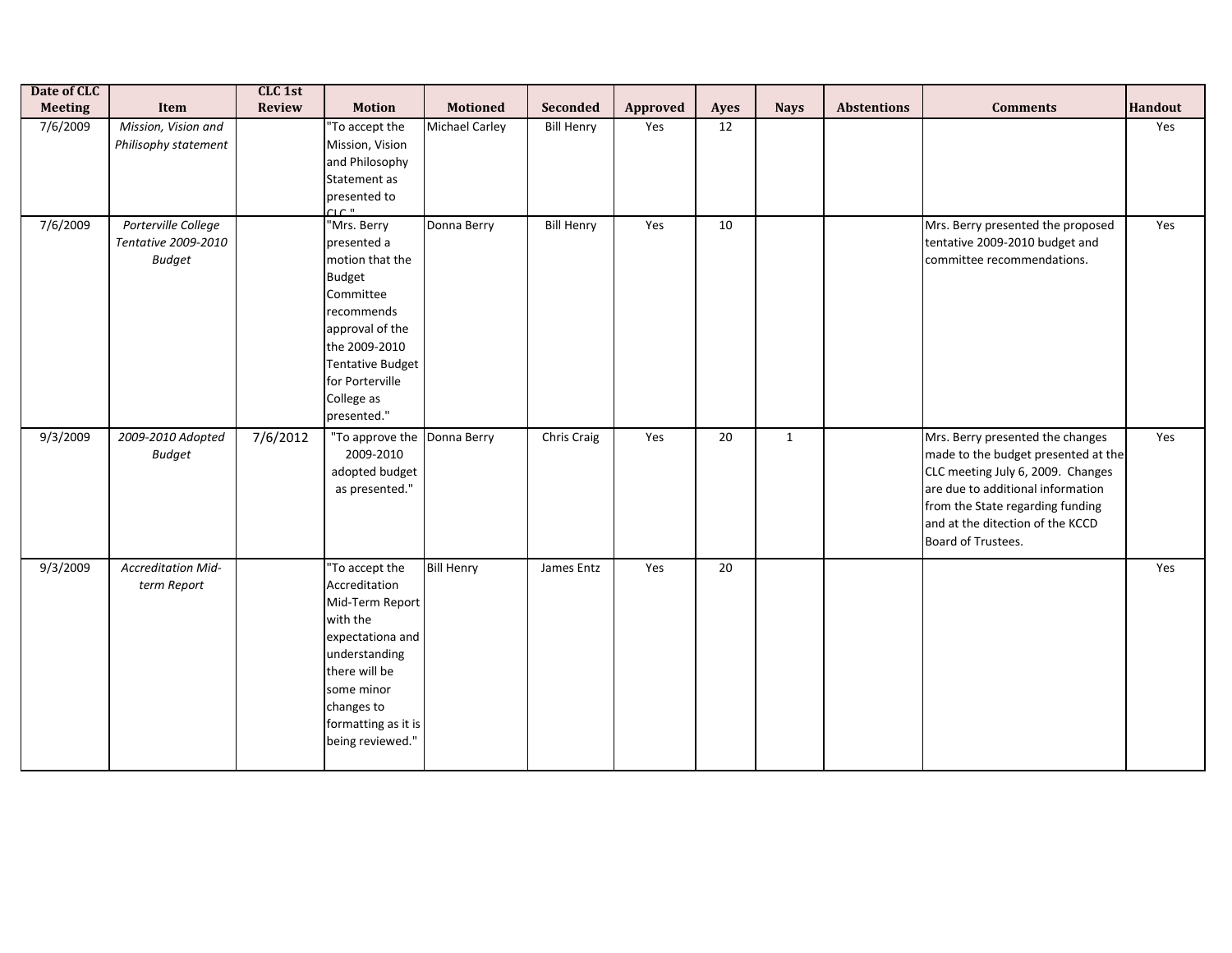| Date of CLC<br><b>Meeting</b> | Item                                                        | CLC 1st<br>Review | <b>Motion</b>                                                                                                                                                                                            | <b>Motioned</b>       | Seconded          | Approved | <b>Ayes</b>     | <b>Nays</b>  | <b>Abstentions</b> | <b>Comments</b>                                                                                                                                                                                                                                 | <b>Handout</b> |
|-------------------------------|-------------------------------------------------------------|-------------------|----------------------------------------------------------------------------------------------------------------------------------------------------------------------------------------------------------|-----------------------|-------------------|----------|-----------------|--------------|--------------------|-------------------------------------------------------------------------------------------------------------------------------------------------------------------------------------------------------------------------------------------------|----------------|
| 7/6/2009                      | Mission, Vision and<br>Philisophy statement                 |                   | "To accept the<br>Mission, Vision<br>and Philosophy<br>Statement as<br>presented to<br>CLC <sup>II</sup>                                                                                                 | <b>Michael Carley</b> | <b>Bill Henry</b> | Yes      | 12              |              |                    |                                                                                                                                                                                                                                                 | Yes            |
| 7/6/2009                      | Porterville College<br>Tentative 2009-2010<br><b>Budget</b> |                   | "Mrs. Berry<br>presented a<br>motion that the<br><b>Budget</b><br>Committee<br>recommends<br>approval of the<br>the 2009-2010<br><b>Tentative Budget</b><br>for Porterville<br>College as<br>presented." | Donna Berry           | <b>Bill Henry</b> | Yes      | 10              |              |                    | Mrs. Berry presented the proposed<br>tentative 2009-2010 budget and<br>committee recommendations.                                                                                                                                               | Yes            |
| 9/3/2009                      | 2009-2010 Adopted<br><b>Budget</b>                          | 7/6/2012          | "To approve the Donna Berry<br>2009-2010<br>adopted budget<br>as presented."                                                                                                                             |                       | Chris Craig       | Yes      | 20              | $\mathbf{1}$ |                    | Mrs. Berry presented the changes<br>made to the budget presented at the<br>CLC meeting July 6, 2009. Changes<br>are due to additional information<br>from the State regarding funding<br>and at the ditection of the KCCD<br>Board of Trustees. | Yes            |
| 9/3/2009                      | <b>Accreditation Mid-</b><br>term Report                    |                   | "To accept the<br>Accreditation<br>Mid-Term Report<br>with the<br>expectationa and<br>understanding<br>there will be<br>some minor<br>changes to<br>formatting as it is<br>being reviewed."              | <b>Bill Henry</b>     | James Entz        | Yes      | $\overline{20}$ |              |                    |                                                                                                                                                                                                                                                 | Yes            |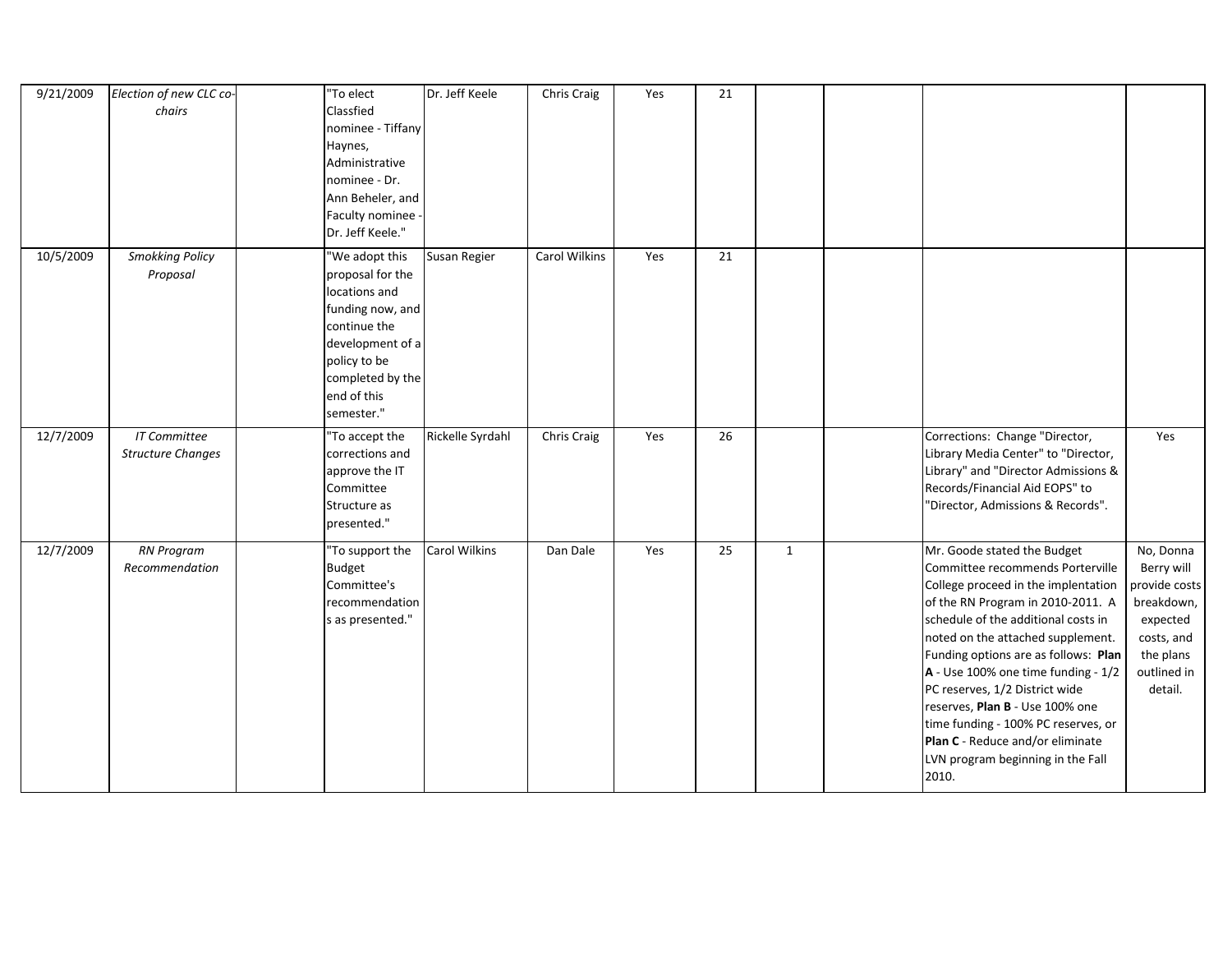| 9/21/2009 | Election of new CLC co-  | $\overline{\text{''T}}$ o elect       | Dr. Jeff Keele   | Chris Craig   | Yes | 21 |              |                                      |               |
|-----------|--------------------------|---------------------------------------|------------------|---------------|-----|----|--------------|--------------------------------------|---------------|
|           | chairs                   | Classfied                             |                  |               |     |    |              |                                      |               |
|           |                          | nominee - Tiffany                     |                  |               |     |    |              |                                      |               |
|           |                          | Haynes,                               |                  |               |     |    |              |                                      |               |
|           |                          | Administrative                        |                  |               |     |    |              |                                      |               |
|           |                          | nominee - Dr.                         |                  |               |     |    |              |                                      |               |
|           |                          | Ann Beheler, and                      |                  |               |     |    |              |                                      |               |
|           |                          |                                       |                  |               |     |    |              |                                      |               |
|           |                          | Faculty nominee -<br>Dr. Jeff Keele." |                  |               |     |    |              |                                      |               |
|           |                          |                                       |                  |               |     |    |              |                                      |               |
| 10/5/2009 | <b>Smokking Policy</b>   | "We adopt this                        | Susan Regier     | Carol Wilkins | Yes | 21 |              |                                      |               |
|           | Proposal                 | proposal for the                      |                  |               |     |    |              |                                      |               |
|           |                          | locations and                         |                  |               |     |    |              |                                      |               |
|           |                          | funding now, and                      |                  |               |     |    |              |                                      |               |
|           |                          | continue the                          |                  |               |     |    |              |                                      |               |
|           |                          | development of a                      |                  |               |     |    |              |                                      |               |
|           |                          | policy to be                          |                  |               |     |    |              |                                      |               |
|           |                          | completed by the                      |                  |               |     |    |              |                                      |               |
|           |                          | end of this                           |                  |               |     |    |              |                                      |               |
|           |                          | semester."                            |                  |               |     |    |              |                                      |               |
| 12/7/2009 | <b>IT Committee</b>      | "To accept the                        | Rickelle Syrdahl | Chris Craig   | Yes | 26 |              | Corrections: Change "Director,       | Yes           |
|           | <b>Structure Changes</b> | corrections and                       |                  |               |     |    |              | Library Media Center" to "Director,  |               |
|           |                          | approve the IT                        |                  |               |     |    |              | Library" and "Director Admissions &  |               |
|           |                          | Committee                             |                  |               |     |    |              | Records/Financial Aid EOPS" to       |               |
|           |                          | Structure as                          |                  |               |     |    |              | 'Director, Admissions & Records".    |               |
|           |                          | presented."                           |                  |               |     |    |              |                                      |               |
|           |                          |                                       |                  |               |     |    |              |                                      |               |
| 12/7/2009 | <b>RN Program</b>        | "To support the                       | Carol Wilkins    | Dan Dale      | Yes | 25 | $\mathbf{1}$ | Mr. Goode stated the Budget          | No, Donna     |
|           | Recommendation           | <b>Budget</b>                         |                  |               |     |    |              | Committee recommends Porterville     | Berry will    |
|           |                          | Committee's                           |                  |               |     |    |              | College proceed in the implentation  | provide costs |
|           |                          | recommendation                        |                  |               |     |    |              | of the RN Program in 2010-2011. A    | breakdown,    |
|           |                          | s as presented."                      |                  |               |     |    |              | schedule of the additional costs in  | expected      |
|           |                          |                                       |                  |               |     |    |              | noted on the attached supplement.    | costs, and    |
|           |                          |                                       |                  |               |     |    |              | Funding options are as follows: Plan | the plans     |
|           |                          |                                       |                  |               |     |    |              | A - Use 100% one time funding - 1/2  | outlined in   |
|           |                          |                                       |                  |               |     |    |              | PC reserves, 1/2 District wide       | detail.       |
|           |                          |                                       |                  |               |     |    |              | reserves, Plan B - Use 100% one      |               |
|           |                          |                                       |                  |               |     |    |              | time funding - 100% PC reserves, or  |               |
|           |                          |                                       |                  |               |     |    |              | Plan C - Reduce and/or eliminate     |               |
|           |                          |                                       |                  |               |     |    |              | LVN program beginning in the Fall    |               |
|           |                          |                                       |                  |               |     |    |              | 2010.                                |               |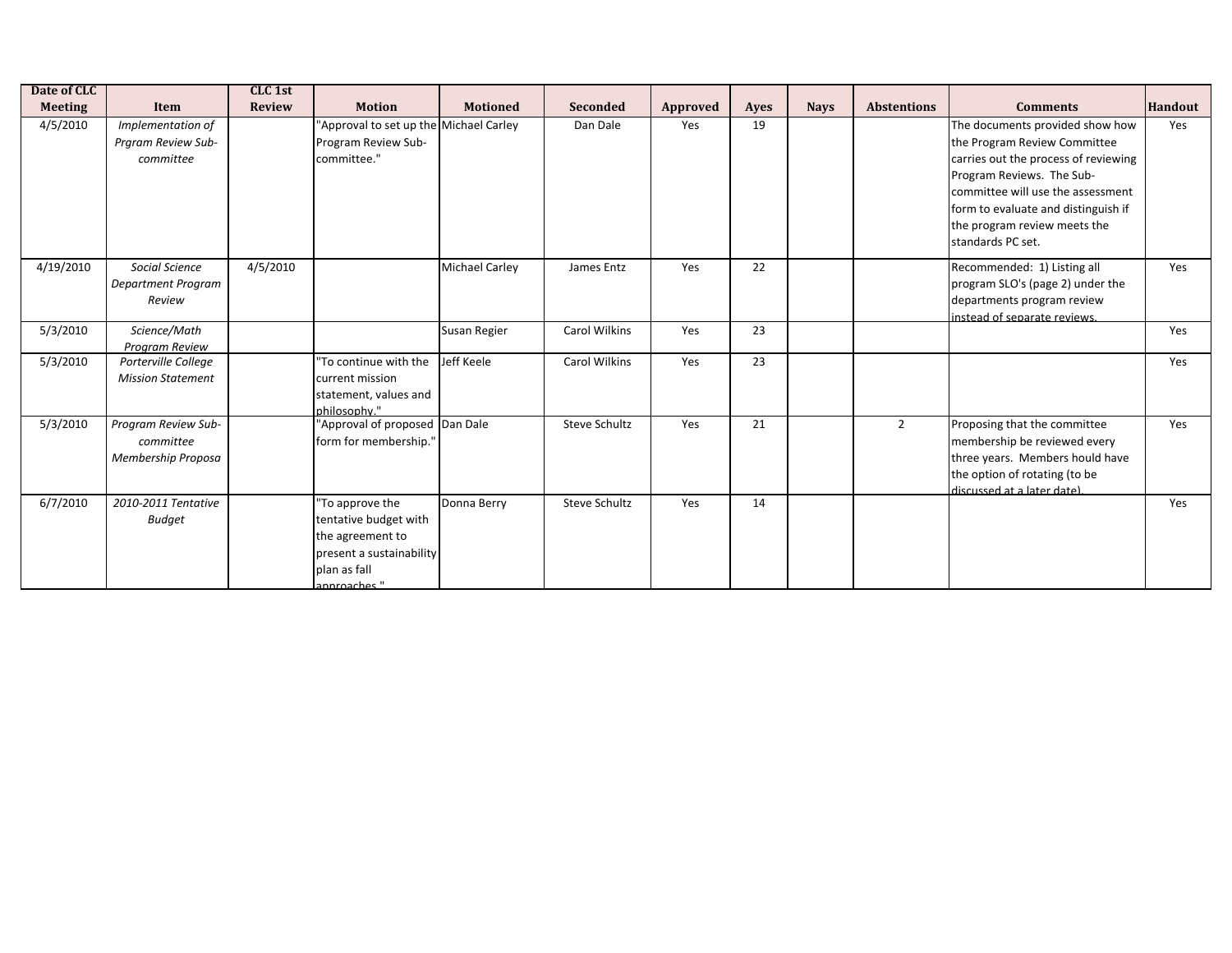| Date of CLC    |                                                        | CLC 1st       |                                                                                                                          |                       |                      |          |      |             |                    |                                                                                                                                                                                                                                                                       |                |
|----------------|--------------------------------------------------------|---------------|--------------------------------------------------------------------------------------------------------------------------|-----------------------|----------------------|----------|------|-------------|--------------------|-----------------------------------------------------------------------------------------------------------------------------------------------------------------------------------------------------------------------------------------------------------------------|----------------|
| <b>Meeting</b> | Item                                                   | <b>Review</b> | <b>Motion</b>                                                                                                            | <b>Motioned</b>       | <b>Seconded</b>      | Approved | Ayes | <b>Nays</b> | <b>Abstentions</b> | <b>Comments</b>                                                                                                                                                                                                                                                       | <b>Handout</b> |
| 4/5/2010       | Implementation of<br>Praram Review Sub-<br>committee   |               | 'Approval to set up the Michael Carley<br>Program Review Sub-<br>committee."                                             |                       | Dan Dale             | Yes      | 19   |             |                    | The documents provided show how<br>the Program Review Committee<br>carries out the process of reviewing<br>Program Reviews. The Sub-<br>committee will use the assessment<br>form to evaluate and distinguish if<br>the program review meets the<br>standards PC set. | Yes            |
| 4/19/2010      | Social Science<br>Department Program<br>Review         | 4/5/2010      |                                                                                                                          | <b>Michael Carley</b> | James Entz           | Yes      | 22   |             |                    | Recommended: 1) Listing all<br>program SLO's (page 2) under the<br>departments program review<br>instead of separate reviews.                                                                                                                                         | Yes            |
| 5/3/2010       | Science/Math<br>Program Review                         |               |                                                                                                                          | Susan Regier          | Carol Wilkins        | Yes      | 23   |             |                    |                                                                                                                                                                                                                                                                       | Yes            |
| 5/3/2010       | Porterville College<br><b>Mission Statement</b>        |               | To continue with the<br>current mission<br>statement, values and<br>philosophy."                                         | Jeff Keele            | Carol Wilkins        | Yes      | 23   |             |                    |                                                                                                                                                                                                                                                                       | Yes            |
| 5/3/2010       | Program Review Sub-<br>committee<br>Membership Proposa |               | 'Approval of proposed Dan Dale<br>form for membership."                                                                  |                       | <b>Steve Schultz</b> | Yes      | 21   |             | $\overline{2}$     | Proposing that the committee<br>membership be reviewed every<br>three years. Members hould have<br>the option of rotating (to be<br>discussed at a later date)                                                                                                        | Yes            |
| 6/7/2010       | 2010-2011 Tentative<br><b>Budget</b>                   |               | 'To approve the<br>tentative budget with<br>the agreement to<br>present a sustainability<br>plan as fall<br>annroaches " | Donna Berry           | <b>Steve Schultz</b> | Yes      | 14   |             |                    |                                                                                                                                                                                                                                                                       | Yes            |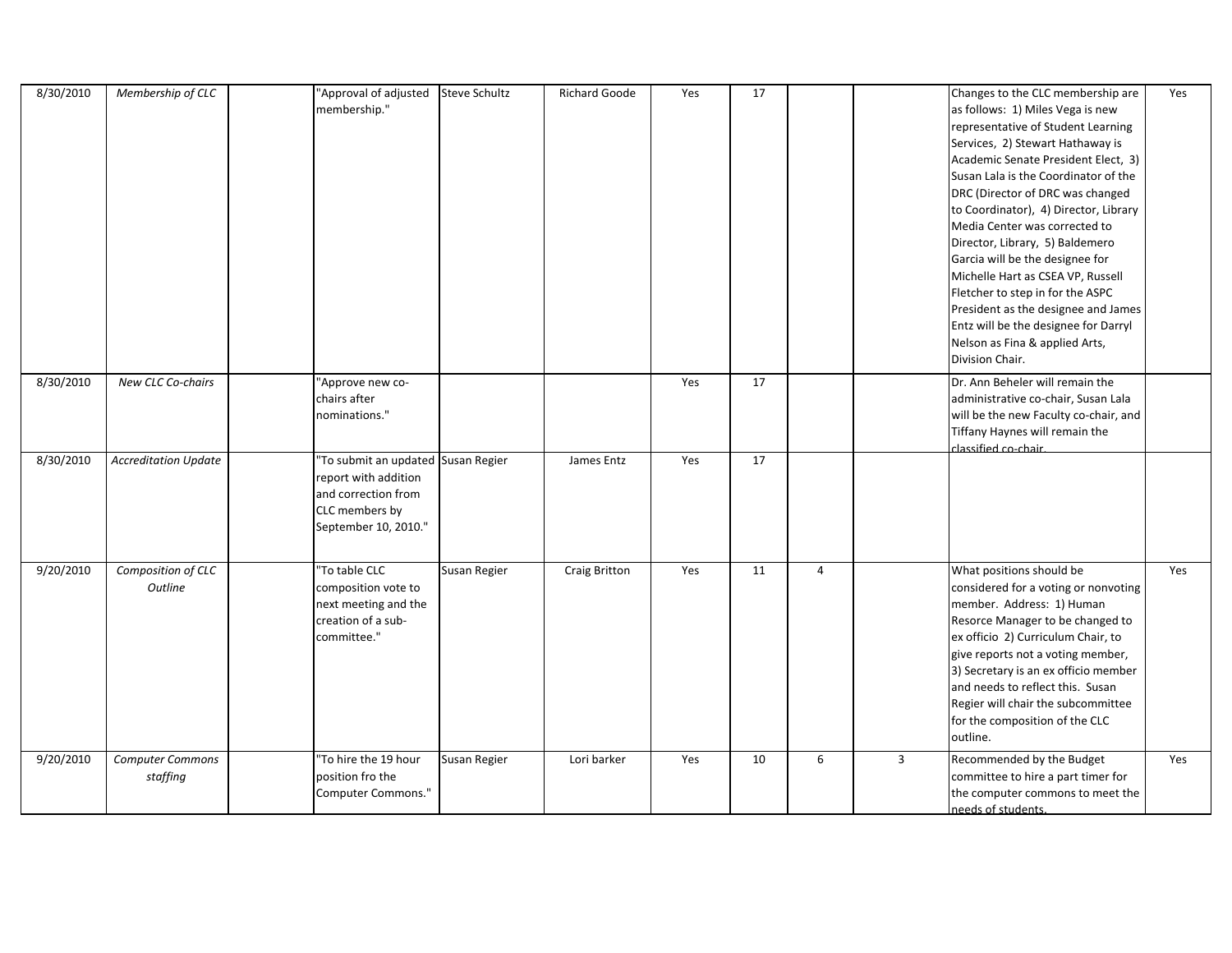| 8/30/2010 | Membership of CLC             | "Approval of adjusted<br>membership."                                                                                       | <b>Steve Schultz</b> | <b>Richard Goode</b> | Yes | 17 |                |                | Changes to the CLC membership are<br>as follows: 1) Miles Vega is new<br>representative of Student Learning<br>Services, 2) Stewart Hathaway is<br>Academic Senate President Elect, 3)<br>Susan Lala is the Coordinator of the<br>DRC (Director of DRC was changed<br>to Coordinator), 4) Director, Library<br>Media Center was corrected to<br>Director, Library, 5) Baldemero<br>Garcia will be the designee for<br>Michelle Hart as CSEA VP, Russell<br>Fletcher to step in for the ASPC<br>President as the designee and James<br>Entz will be the designee for Darryl<br>Nelson as Fina & applied Arts,<br>Division Chair. | Yes |
|-----------|-------------------------------|-----------------------------------------------------------------------------------------------------------------------------|----------------------|----------------------|-----|----|----------------|----------------|---------------------------------------------------------------------------------------------------------------------------------------------------------------------------------------------------------------------------------------------------------------------------------------------------------------------------------------------------------------------------------------------------------------------------------------------------------------------------------------------------------------------------------------------------------------------------------------------------------------------------------|-----|
| 8/30/2010 | New CLC Co-chairs             | "Approve new co-<br>chairs after<br>nominations."                                                                           |                      |                      | Yes | 17 |                |                | Dr. Ann Beheler will remain the<br>administrative co-chair, Susan Lala<br>will be the new Faculty co-chair, and<br>Tiffany Haynes will remain the<br>classified co-chair.                                                                                                                                                                                                                                                                                                                                                                                                                                                       |     |
| 8/30/2010 | <b>Accreditation Update</b>   | "To submit an updated Susan Regier<br>report with addition<br>and correction from<br>CLC members by<br>September 10, 2010." |                      | James Entz           | Yes | 17 |                |                |                                                                                                                                                                                                                                                                                                                                                                                                                                                                                                                                                                                                                                 |     |
| 9/20/2010 | Composition of CLC<br>Outline | "To table CLC<br>composition vote to<br>next meeting and the<br>creation of a sub-<br>committee."                           | Susan Regier         | <b>Craig Britton</b> | Yes | 11 | $\overline{4}$ |                | What positions should be<br>considered for a voting or nonvoting<br>member. Address: 1) Human<br>Resorce Manager to be changed to<br>ex officio 2) Curriculum Chair, to<br>give reports not a voting member,<br>3) Secretary is an ex officio member<br>and needs to reflect this. Susan<br>Regier will chair the subcommittee<br>for the composition of the CLC<br>outline.                                                                                                                                                                                                                                                    | Yes |
| 9/20/2010 | Computer Commons<br>staffing  | "To hire the 19 hour<br>position fro the<br>Computer Commons."                                                              | Susan Regier         | Lori barker          | Yes | 10 | 6              | $\overline{3}$ | Recommended by the Budget<br>committee to hire a part timer for<br>the computer commons to meet the<br>needs of students.                                                                                                                                                                                                                                                                                                                                                                                                                                                                                                       | Yes |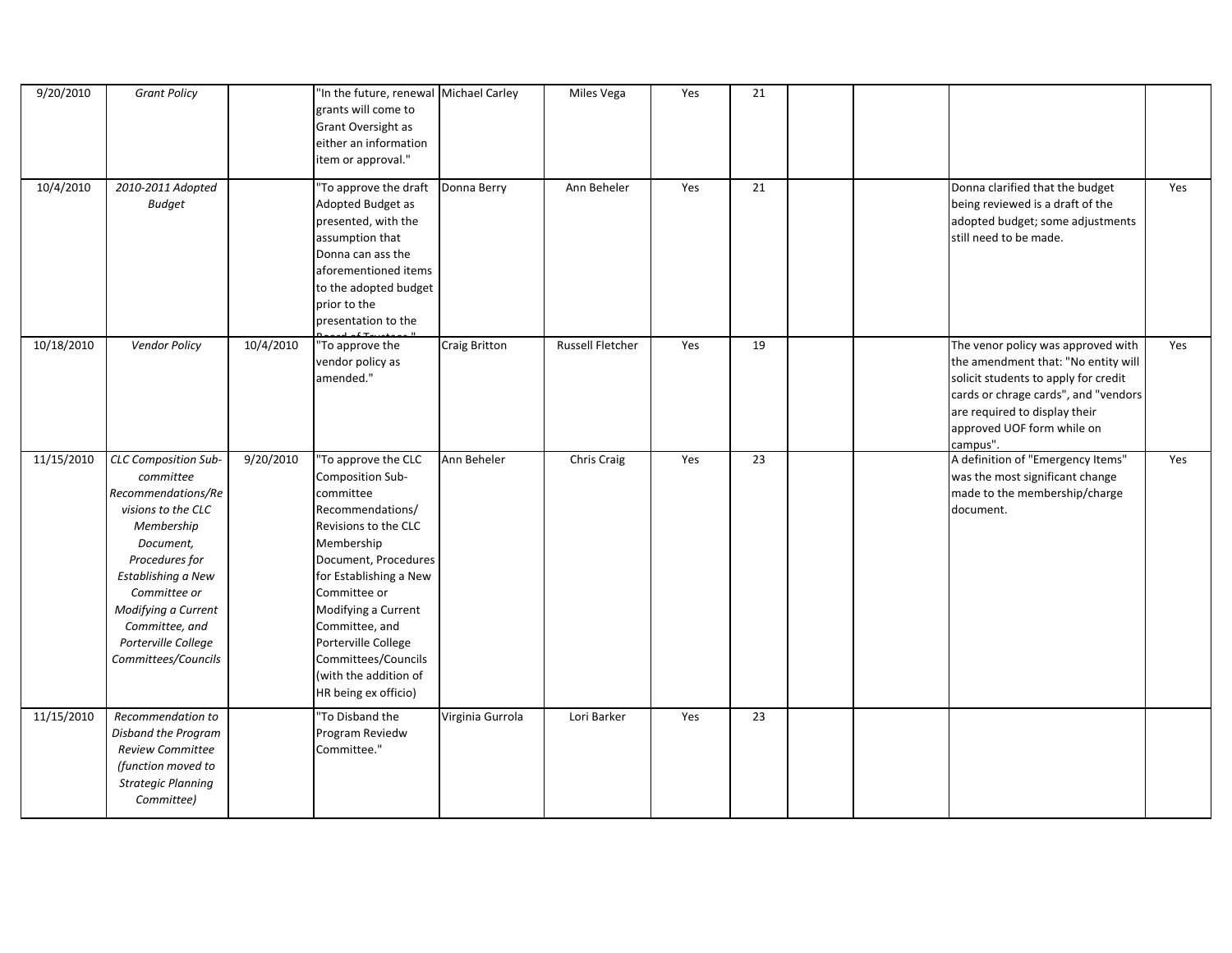| 9/20/2010  | <b>Grant Policy</b>                                                                                                                                                                                                                                     |           | "In the future, renewal Michael Carley<br>grants will come to<br>Grant Oversight as<br>either an information<br>item or approval."                                                                                                                                                                                       |                      | Miles Vega              | Yes | 21 |  |                                                                                                                                                                                                                                      |     |
|------------|---------------------------------------------------------------------------------------------------------------------------------------------------------------------------------------------------------------------------------------------------------|-----------|--------------------------------------------------------------------------------------------------------------------------------------------------------------------------------------------------------------------------------------------------------------------------------------------------------------------------|----------------------|-------------------------|-----|----|--|--------------------------------------------------------------------------------------------------------------------------------------------------------------------------------------------------------------------------------------|-----|
| 10/4/2010  | 2010-2011 Adopted<br><b>Budget</b>                                                                                                                                                                                                                      |           | 'To approve the draft<br>Adopted Budget as<br>presented, with the<br>assumption that<br>Donna can ass the<br>aforementioned items<br>to the adopted budget<br>prior to the<br>presentation to the                                                                                                                        | Donna Berry          | Ann Beheler             | Yes | 21 |  | Donna clarified that the budget<br>being reviewed is a draft of the<br>adopted budget; some adjustments<br>still need to be made.                                                                                                    | Yes |
| 10/18/2010 | <b>Vendor Policy</b>                                                                                                                                                                                                                                    | 10/4/2010 | "To approve the<br>vendor policy as<br>amended."                                                                                                                                                                                                                                                                         | <b>Craig Britton</b> | <b>Russell Fletcher</b> | Yes | 19 |  | The venor policy was approved with<br>the amendment that: "No entity will<br>solicit students to apply for credit<br>cards or chrage cards", and "vendors<br>are required to display their<br>approved UOF form while on<br>campus". | Yes |
| 11/15/2010 | CLC Composition Sub-<br>committee<br>Recommendations/Re<br>visions to the CLC<br>Membership<br>Document,<br>Procedures for<br>Establishing a New<br>Committee or<br>Modifying a Current<br>Committee, and<br>Porterville College<br>Committees/Councils | 9/20/2010 | 'To approve the CLC<br>Composition Sub-<br>committee<br>Recommendations/<br>Revisions to the CLC<br>Membership<br>Document, Procedures<br>for Establishing a New<br>Committee or<br>Modifying a Current<br>Committee, and<br>Porterville College<br>Committees/Councils<br>(with the addition of<br>HR being ex officio) | Ann Beheler          | Chris Craig             | Yes | 23 |  | A definition of "Emergency Items"<br>was the most significant change<br>made to the membership/charge<br>document.                                                                                                                   | Yes |
| 11/15/2010 | Recommendation to<br>Disband the Program<br><b>Review Committee</b><br>(function moved to<br><b>Strategic Planning</b><br>Committee)                                                                                                                    |           | 'To Disband the<br>Program Reviedw<br>Committee."                                                                                                                                                                                                                                                                        | Virginia Gurrola     | Lori Barker             | Yes | 23 |  |                                                                                                                                                                                                                                      |     |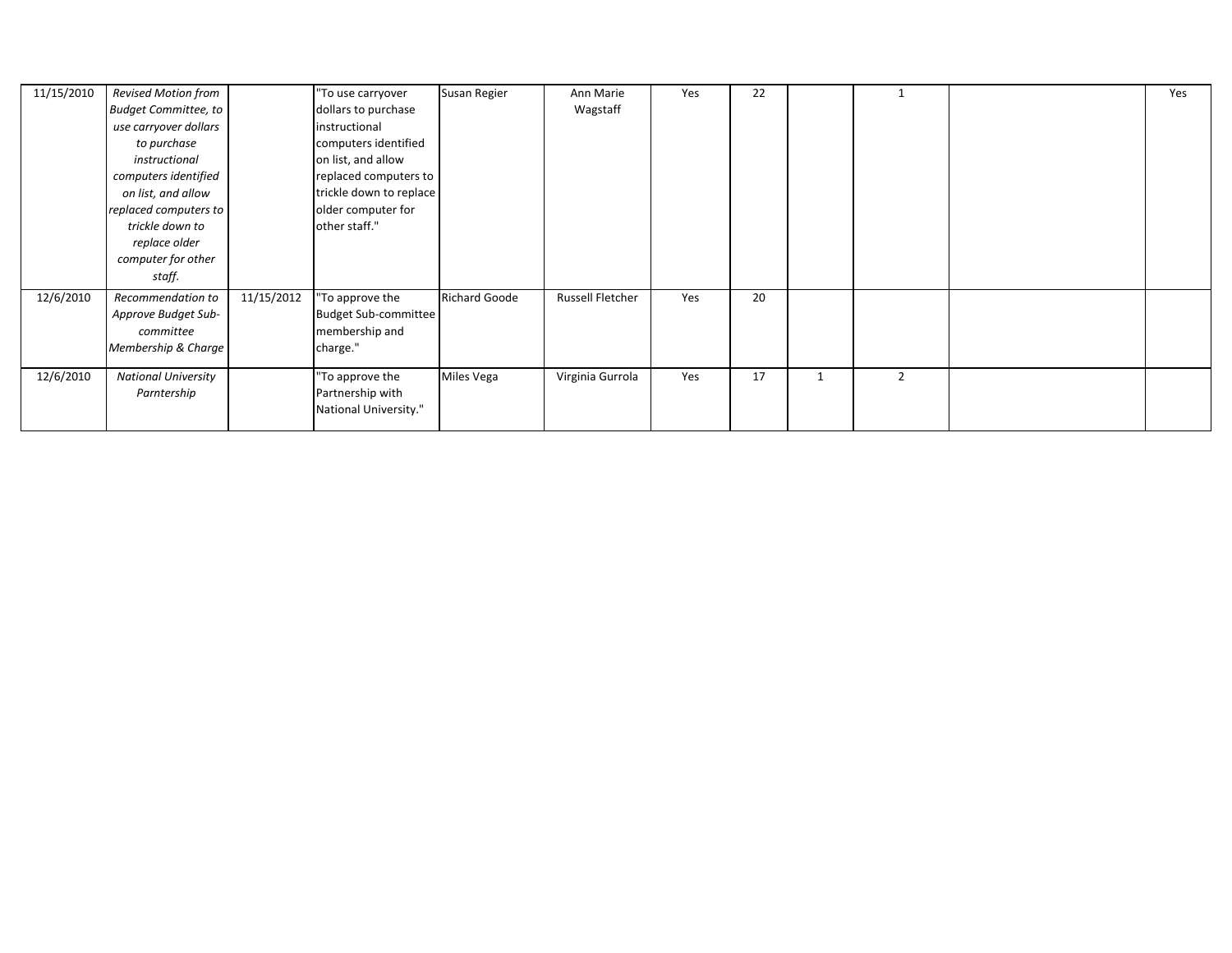| 11/15/2010 | Revised Motion from         |            | "To use carryover       | Susan Regier         | Ann Marie        | Yes | 22 |  | Yes |
|------------|-----------------------------|------------|-------------------------|----------------------|------------------|-----|----|--|-----|
|            | <b>Budget Committee, to</b> |            | dollars to purchase     |                      | Wagstaff         |     |    |  |     |
|            | use carryover dollars       |            | instructional           |                      |                  |     |    |  |     |
|            | to purchase                 |            | computers identified    |                      |                  |     |    |  |     |
|            | instructional               |            | on list, and allow      |                      |                  |     |    |  |     |
|            | computers identified        |            | replaced computers to   |                      |                  |     |    |  |     |
|            | on list, and allow          |            | trickle down to replace |                      |                  |     |    |  |     |
|            | replaced computers to       |            | older computer for      |                      |                  |     |    |  |     |
|            | trickle down to             |            | other staff."           |                      |                  |     |    |  |     |
|            | replace older               |            |                         |                      |                  |     |    |  |     |
|            | computer for other          |            |                         |                      |                  |     |    |  |     |
|            | staff.                      |            |                         |                      |                  |     |    |  |     |
| 12/6/2010  | Recommendation to           | 11/15/2012 | 'To approve the         | <b>Richard Goode</b> | Russell Fletcher | Yes | 20 |  |     |
|            | Approve Budget Sub-         |            | Budget Sub-committee    |                      |                  |     |    |  |     |
|            | committee                   |            | membership and          |                      |                  |     |    |  |     |
|            | Membership & Charge         |            | charge."                |                      |                  |     |    |  |     |
| 12/6/2010  | <b>National University</b>  |            | "To approve the         | <b>Miles Vega</b>    | Virginia Gurrola | Yes | 17 |  |     |
|            | Parntership                 |            | Partnership with        |                      |                  |     |    |  |     |
|            |                             |            | National University."   |                      |                  |     |    |  |     |
|            |                             |            |                         |                      |                  |     |    |  |     |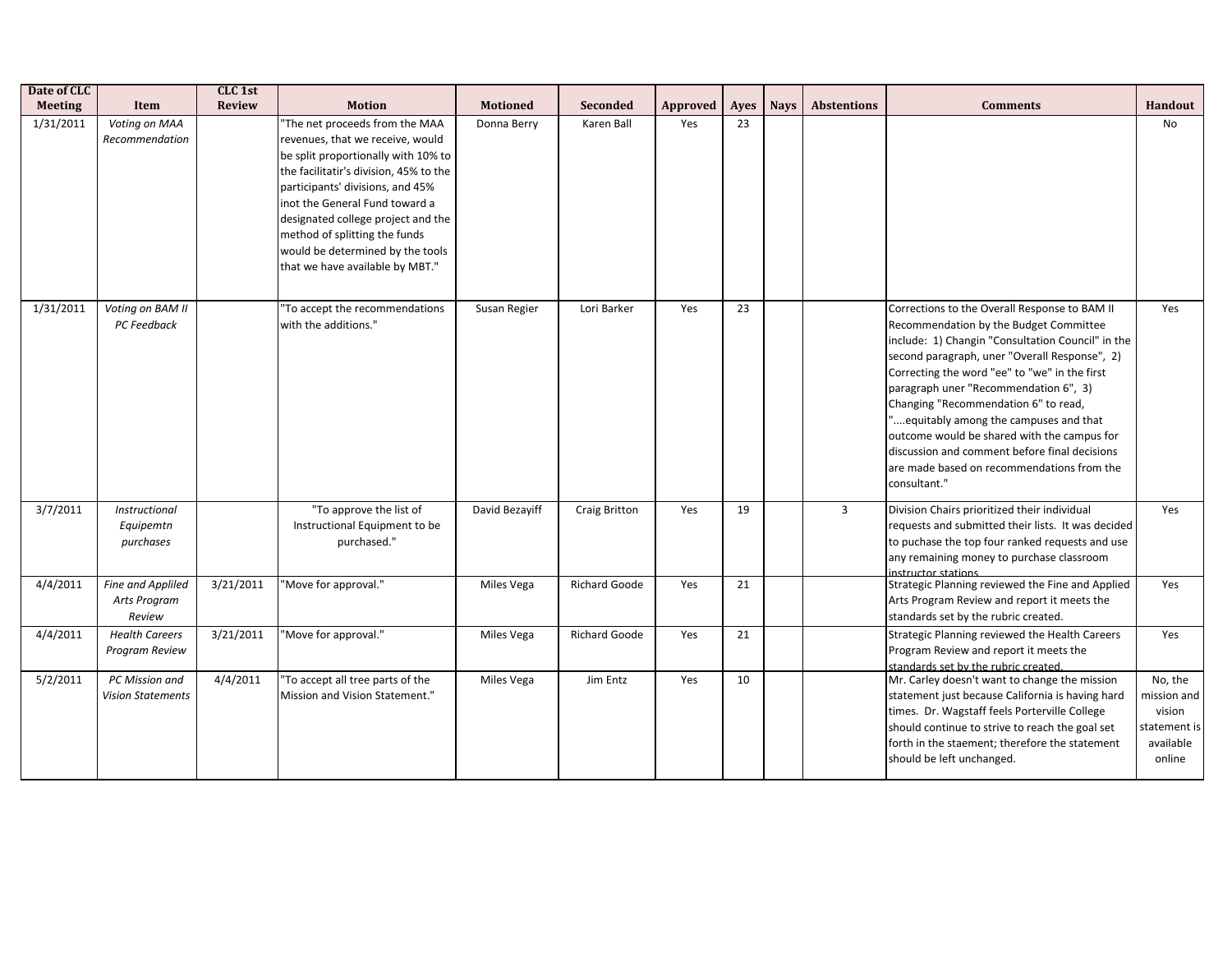| Date of CLC    |                                             | CLC <sub>1st</sub> |                                                                                                                                                                                                                                                                                                                                                                         |                 |                      |          |      |             |                    |                                                                                                                                                                                                                                                                                                                                                                                                                                                                                                                                        |                                                                         |
|----------------|---------------------------------------------|--------------------|-------------------------------------------------------------------------------------------------------------------------------------------------------------------------------------------------------------------------------------------------------------------------------------------------------------------------------------------------------------------------|-----------------|----------------------|----------|------|-------------|--------------------|----------------------------------------------------------------------------------------------------------------------------------------------------------------------------------------------------------------------------------------------------------------------------------------------------------------------------------------------------------------------------------------------------------------------------------------------------------------------------------------------------------------------------------------|-------------------------------------------------------------------------|
| <b>Meeting</b> | Item                                        | <b>Review</b>      | <b>Motion</b>                                                                                                                                                                                                                                                                                                                                                           | <b>Motioned</b> | Seconded             | Approved | Ayes | <b>Navs</b> | <b>Abstentions</b> | <b>Comments</b>                                                                                                                                                                                                                                                                                                                                                                                                                                                                                                                        | Handout                                                                 |
| 1/31/2011      | Voting on MAA<br>Recommendation             |                    | "The net proceeds from the MAA<br>revenues, that we receive, would<br>be split proportionally with 10% to<br>the facilitatir's division, 45% to the<br>participants' divisions, and 45%<br>inot the General Fund toward a<br>designated college project and the<br>method of splitting the funds<br>would be determined by the tools<br>that we have available by MBT." | Donna Berry     | Karen Ball           | Yes      | 23   |             |                    |                                                                                                                                                                                                                                                                                                                                                                                                                                                                                                                                        | No                                                                      |
| 1/31/2011      | Voting on BAM II<br>PC Feedback             |                    | To accept the recommendations<br>with the additions."                                                                                                                                                                                                                                                                                                                   | Susan Regier    | Lori Barker          | Yes      | 23   |             |                    | Corrections to the Overall Response to BAM II<br>Recommendation by the Budget Committee<br>include: 1) Changin "Consultation Council" in the<br>second paragraph, uner "Overall Response", 2)<br>Correcting the word "ee" to "we" in the first<br>paragraph uner "Recommendation 6", 3)<br>Changing "Recommendation 6" to read,<br>equitably among the campuses and that<br>outcome would be shared with the campus for<br>discussion and comment before final decisions<br>are made based on recommendations from the<br>consultant." | Yes                                                                     |
| 3/7/2011       | Instructional<br>Equipemtn<br>purchases     |                    | "To approve the list of<br>Instructional Equipment to be<br>purchased."                                                                                                                                                                                                                                                                                                 | David Bezayiff  | <b>Craig Britton</b> | Yes      | 19   |             | $\mathbf{3}$       | Division Chairs prioritized their individual<br>requests and submitted their lists. It was decided<br>to puchase the top four ranked requests and use<br>any remaining money to purchase classroom<br>instructor stations                                                                                                                                                                                                                                                                                                              | Yes                                                                     |
| 4/4/2011       | Fine and Appliled<br>Arts Program<br>Review | 3/21/2011          | "Move for approval."                                                                                                                                                                                                                                                                                                                                                    | Miles Vega      | Richard Goode        | Yes      | 21   |             |                    | Strategic Planning reviewed the Fine and Applied<br>Arts Program Review and report it meets the<br>standards set by the rubric created.                                                                                                                                                                                                                                                                                                                                                                                                | Yes                                                                     |
| 4/4/2011       | <b>Health Careers</b><br>Program Review     | 3/21/2011          | "Move for approval."                                                                                                                                                                                                                                                                                                                                                    | Miles Vega      | Richard Goode        | Yes      | 21   |             |                    | Strategic Planning reviewed the Health Careers<br>Program Review and report it meets the<br>standards set by the rubric created.                                                                                                                                                                                                                                                                                                                                                                                                       | Yes                                                                     |
| 5/2/2011       | PC Mission and<br><b>Vision Statements</b>  | 4/4/2011           | 'To accept all tree parts of the<br>Mission and Vision Statement."                                                                                                                                                                                                                                                                                                      | Miles Vega      | Jim Entz             | Yes      | 10   |             |                    | Mr. Carley doesn't want to change the mission<br>statement just because California is having hard<br>times. Dr. Wagstaff feels Porterville College<br>should continue to strive to reach the goal set<br>forth in the staement; therefore the statement<br>should be left unchanged.                                                                                                                                                                                                                                                   | No, the<br>mission and<br>vision<br>statement is<br>available<br>online |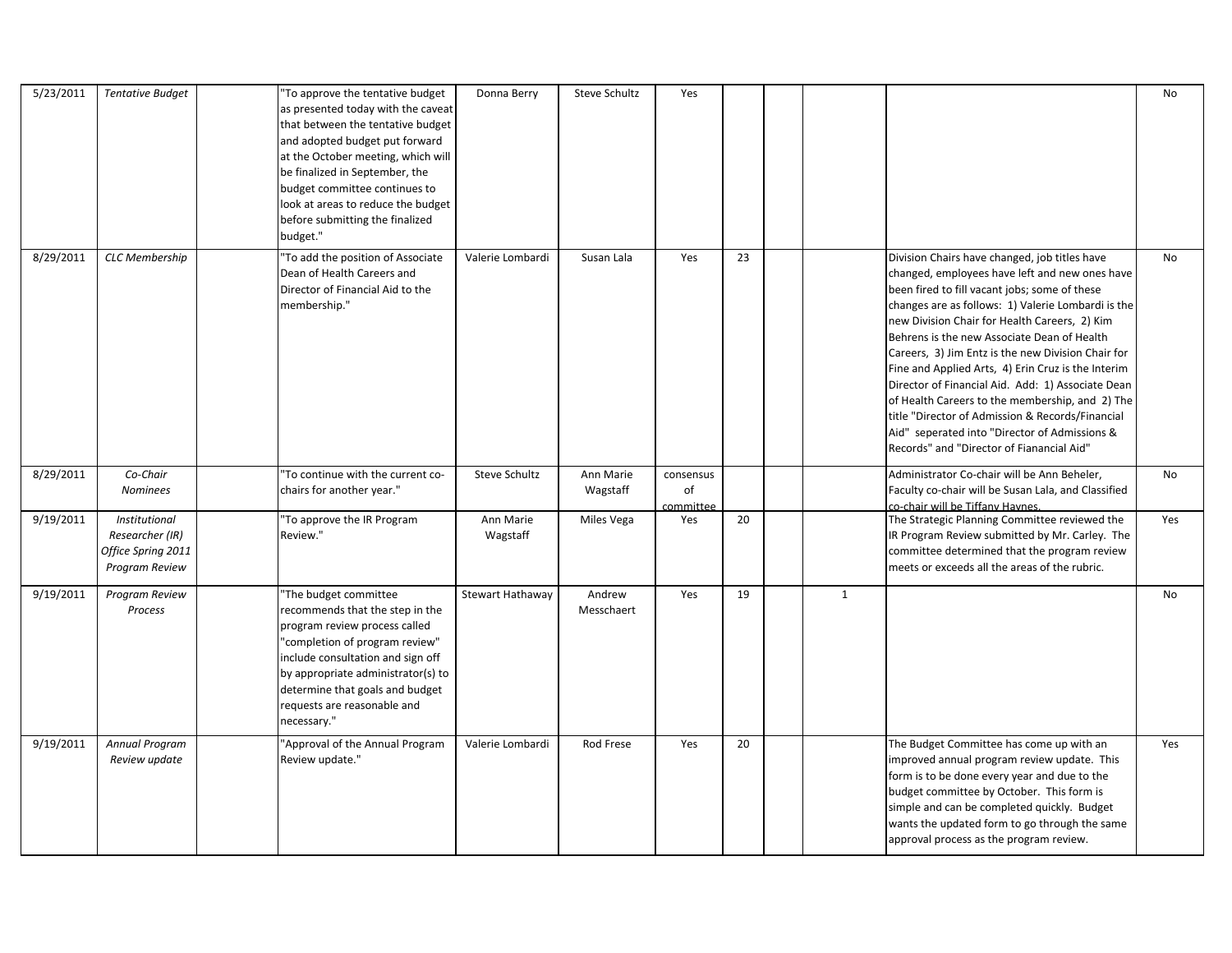| 5/23/2011 | <b>Tentative Budget</b>                                                  | 'To approve the tentative budget<br>as presented today with the caveat<br>that between the tentative budget<br>and adopted budget put forward<br>at the October meeting, which will<br>be finalized in September, the<br>budget committee continues to<br>look at areas to reduce the budget<br>before submitting the finalized<br>budget." | Donna Berry           | Steve Schultz         | Yes                          |    |   |                                                                                                                                                                                                                                                                                                                                                                                                                                                                                                                                                                                                                                                                              | <b>No</b> |
|-----------|--------------------------------------------------------------------------|---------------------------------------------------------------------------------------------------------------------------------------------------------------------------------------------------------------------------------------------------------------------------------------------------------------------------------------------|-----------------------|-----------------------|------------------------------|----|---|------------------------------------------------------------------------------------------------------------------------------------------------------------------------------------------------------------------------------------------------------------------------------------------------------------------------------------------------------------------------------------------------------------------------------------------------------------------------------------------------------------------------------------------------------------------------------------------------------------------------------------------------------------------------------|-----------|
| 8/29/2011 | <b>CLC Membership</b>                                                    | 'To add the position of Associate<br>Dean of Health Careers and<br>Director of Financial Aid to the<br>membership."                                                                                                                                                                                                                         | Valerie Lombardi      | Susan Lala            | Yes                          | 23 |   | Division Chairs have changed, job titles have<br>changed, employees have left and new ones have<br>been fired to fill vacant jobs; some of these<br>changes are as follows: 1) Valerie Lombardi is the<br>new Division Chair for Health Careers, 2) Kim<br>Behrens is the new Associate Dean of Health<br>Careers, 3) Jim Entz is the new Division Chair for<br>Fine and Applied Arts, 4) Erin Cruz is the Interim<br>Director of Financial Aid. Add: 1) Associate Dean<br>of Health Careers to the membership, and 2) The<br>title "Director of Admission & Records/Financial<br>Aid" seperated into "Director of Admissions &<br>Records" and "Director of Fianancial Aid" | No        |
| 8/29/2011 | Co-Chair<br><b>Nominees</b>                                              | 'To continue with the current co-<br>chairs for another year."                                                                                                                                                                                                                                                                              | Steve Schultz         | Ann Marie<br>Wagstaff | consensus<br>of<br>committee |    |   | Administrator Co-chair will be Ann Beheler,<br>Faculty co-chair will be Susan Lala, and Classified<br>co-chair will be Tiffany Haynes.                                                                                                                                                                                                                                                                                                                                                                                                                                                                                                                                       | No        |
| 9/19/2011 | Institutional<br>Researcher (IR)<br>Office Spring 2011<br>Program Review | 'To approve the IR Program<br>Review."                                                                                                                                                                                                                                                                                                      | Ann Marie<br>Wagstaff | Miles Vega            | Yes                          | 20 |   | The Strategic Planning Committee reviewed the<br>IR Program Review submitted by Mr. Carley. The<br>committee determined that the program review<br>meets or exceeds all the areas of the rubric.                                                                                                                                                                                                                                                                                                                                                                                                                                                                             | Yes       |
| 9/19/2011 | Program Review<br>Process                                                | 'The budget committee<br>recommends that the step in the<br>program review process called<br>'completion of program review"<br>include consultation and sign off<br>by appropriate administrator(s) to<br>determine that goals and budget<br>requests are reasonable and<br>necessary."                                                     | Stewart Hathaway      | Andrew<br>Messchaert  | Yes                          | 19 | 1 |                                                                                                                                                                                                                                                                                                                                                                                                                                                                                                                                                                                                                                                                              | No        |
| 9/19/2011 | Annual Program<br>Review update                                          | 'Approval of the Annual Program<br>Review update."                                                                                                                                                                                                                                                                                          | Valerie Lombardi      | Rod Frese             | Yes                          | 20 |   | The Budget Committee has come up with an<br>improved annual program review update. This<br>form is to be done every year and due to the<br>budget committee by October. This form is<br>simple and can be completed quickly. Budget<br>wants the updated form to go through the same<br>approval process as the program review.                                                                                                                                                                                                                                                                                                                                              | Yes       |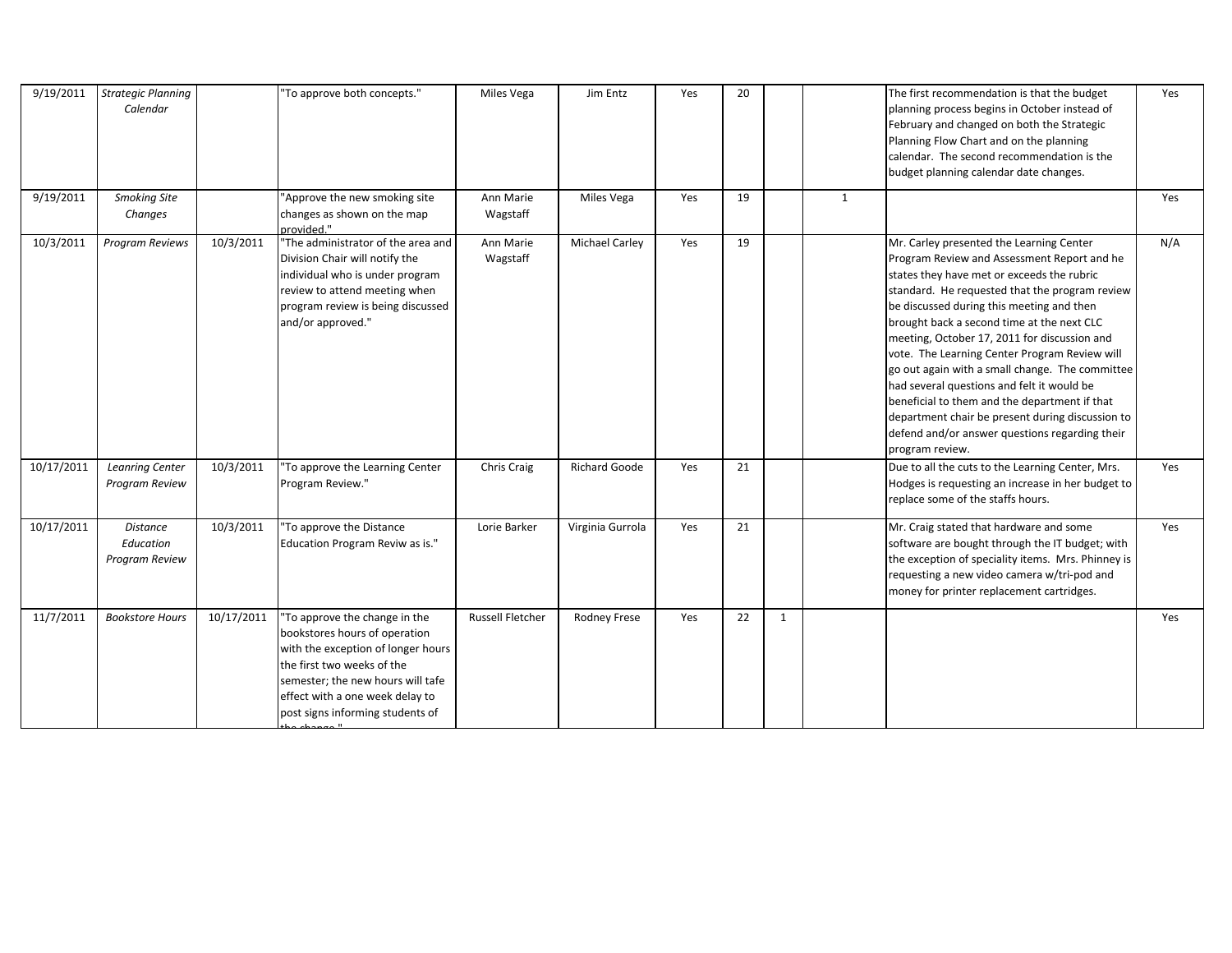| 9/19/2011  | <b>Strategic Planning</b><br>Calendar          |            | "To approve both concepts."                                                                                                                                                                                                                                 | Miles Vega              | Jim Entz              | Yes | 20 |              |   | The first recommendation is that the budget<br>planning process begins in October instead of<br>February and changed on both the Strategic<br>Planning Flow Chart and on the planning<br>calendar. The second recommendation is the<br>budget planning calendar date changes.                                                                                                                                                                                                                                                                                                                                                                                  | Yes |
|------------|------------------------------------------------|------------|-------------------------------------------------------------------------------------------------------------------------------------------------------------------------------------------------------------------------------------------------------------|-------------------------|-----------------------|-----|----|--------------|---|----------------------------------------------------------------------------------------------------------------------------------------------------------------------------------------------------------------------------------------------------------------------------------------------------------------------------------------------------------------------------------------------------------------------------------------------------------------------------------------------------------------------------------------------------------------------------------------------------------------------------------------------------------------|-----|
| 9/19/2011  | <b>Smoking Site</b><br>Changes                 |            | 'Approve the new smoking site<br>changes as shown on the map<br>provided."                                                                                                                                                                                  | Ann Marie<br>Wagstaff   | Miles Vega            | Yes | 19 |              | 1 |                                                                                                                                                                                                                                                                                                                                                                                                                                                                                                                                                                                                                                                                | Yes |
| 10/3/2011  | Program Reviews                                | 10/3/2011  | 'The administrator of the area and<br>Division Chair will notify the<br>individual who is under program<br>review to attend meeting when<br>program review is being discussed<br>and/or approved."                                                          | Ann Marie<br>Wagstaff   | <b>Michael Carley</b> | Yes | 19 |              |   | Mr. Carley presented the Learning Center<br>Program Review and Assessment Report and he<br>states they have met or exceeds the rubric<br>standard. He requested that the program review<br>be discussed during this meeting and then<br>brought back a second time at the next CLC<br>meeting, October 17, 2011 for discussion and<br>vote. The Learning Center Program Review will<br>go out again with a small change. The committee<br>had several questions and felt it would be<br>beneficial to them and the department if that<br>department chair be present during discussion to<br>defend and/or answer questions regarding their<br>program review. | N/A |
| 10/17/2011 | <b>Leanring Center</b><br>Program Review       | 10/3/2011  | 'To approve the Learning Center<br>Program Review."                                                                                                                                                                                                         | Chris Craig             | Richard Goode         | Yes | 21 |              |   | Due to all the cuts to the Learning Center, Mrs.<br>Hodges is requesting an increase in her budget to<br>replace some of the staffs hours.                                                                                                                                                                                                                                                                                                                                                                                                                                                                                                                     | Yes |
| 10/17/2011 | <b>Distance</b><br>Education<br>Program Review | 10/3/2011  | 'To approve the Distance<br>Education Program Reviw as is."                                                                                                                                                                                                 | Lorie Barker            | Virginia Gurrola      | Yes | 21 |              |   | Mr. Craig stated that hardware and some<br>software are bought through the IT budget; with<br>the exception of speciality items. Mrs. Phinney is<br>requesting a new video camera w/tri-pod and<br>money for printer replacement cartridges.                                                                                                                                                                                                                                                                                                                                                                                                                   | Yes |
| 11/7/2011  | <b>Bookstore Hours</b>                         | 10/17/2011 | 'To approve the change in the<br>bookstores hours of operation<br>with the exception of longer hours<br>the first two weeks of the<br>semester; the new hours will tafe<br>effect with a one week delay to<br>post signs informing students of<br>اللمعمدطم | <b>Russell Fletcher</b> | <b>Rodney Frese</b>   | Yes | 22 | $\mathbf{1}$ |   |                                                                                                                                                                                                                                                                                                                                                                                                                                                                                                                                                                                                                                                                | Yes |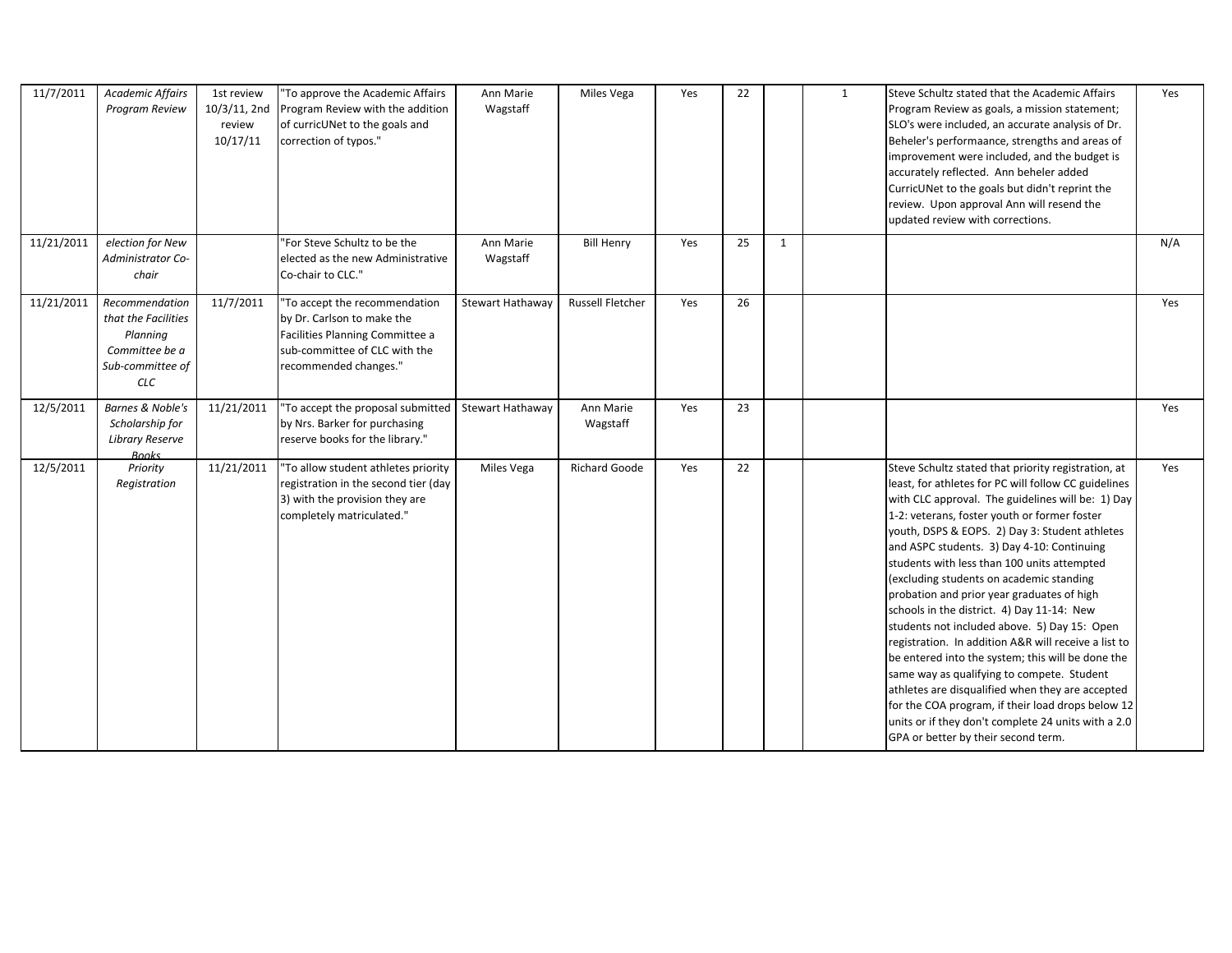| 11/7/2011  | Academic Affairs<br>Program Review                                                                    | 1st review<br>10/3/11, 2nd<br>review<br>10/17/11 | "To approve the Academic Affairs<br>Program Review with the addition<br>of curricUNet to the goals and<br>correction of typos."                          | Ann Marie<br>Wagstaff | Miles Vega              | Yes | 22 |              | 1 | Steve Schultz stated that the Academic Affairs<br>Program Review as goals, a mission statement;<br>SLO's were included, an accurate analysis of Dr.<br>Beheler's performaance, strengths and areas of<br>improvement were included, and the budget is<br>accurately reflected. Ann beheler added<br>CurricUNet to the goals but didn't reprint the<br>review. Upon approval Ann will resend the<br>updated review with corrections.                                                                                                                                                                                                                                                                                                                                                                                                                                                                                       | Yes |
|------------|-------------------------------------------------------------------------------------------------------|--------------------------------------------------|----------------------------------------------------------------------------------------------------------------------------------------------------------|-----------------------|-------------------------|-----|----|--------------|---|---------------------------------------------------------------------------------------------------------------------------------------------------------------------------------------------------------------------------------------------------------------------------------------------------------------------------------------------------------------------------------------------------------------------------------------------------------------------------------------------------------------------------------------------------------------------------------------------------------------------------------------------------------------------------------------------------------------------------------------------------------------------------------------------------------------------------------------------------------------------------------------------------------------------------|-----|
| 11/21/2011 | election for New<br><b>Administrator Co-</b><br>chair                                                 |                                                  | "For Steve Schultz to be the<br>elected as the new Administrative<br>Co-chair to CLC."                                                                   | Ann Marie<br>Wagstaff | <b>Bill Henry</b>       | Yes | 25 | $\mathbf{1}$ |   |                                                                                                                                                                                                                                                                                                                                                                                                                                                                                                                                                                                                                                                                                                                                                                                                                                                                                                                           | N/A |
| 11/21/2011 | Recommendation<br>that the Facilities<br>Planning<br>Committee be a<br>Sub-committee of<br><b>CLC</b> | 11/7/2011                                        | "To accept the recommendation<br>by Dr. Carlson to make the<br>Facilities Planning Committee a<br>sub-committee of CLC with the<br>recommended changes." | Stewart Hathaway      | <b>Russell Fletcher</b> | Yes | 26 |              |   |                                                                                                                                                                                                                                                                                                                                                                                                                                                                                                                                                                                                                                                                                                                                                                                                                                                                                                                           | Yes |
| 12/5/2011  | Barnes & Noble's<br>Scholarship for<br><b>Library Reserve</b><br><b>Books</b>                         | 11/21/2011                                       | "To accept the proposal submitted<br>by Nrs. Barker for purchasing<br>reserve books for the library."                                                    | Stewart Hathaway      | Ann Marie<br>Wagstaff   | Yes | 23 |              |   |                                                                                                                                                                                                                                                                                                                                                                                                                                                                                                                                                                                                                                                                                                                                                                                                                                                                                                                           | Yes |
| 12/5/2011  | Priority<br>Registration                                                                              | 11/21/2011                                       | "To allow student athletes priority<br>registration in the second tier (day<br>3) with the provision they are<br>completely matriculated."               | Miles Vega            | <b>Richard Goode</b>    | Yes | 22 |              |   | Steve Schultz stated that priority registration, at<br>least, for athletes for PC will follow CC guidelines<br>with CLC approval. The guidelines will be: 1) Day<br>1-2: veterans, foster youth or former foster<br>youth, DSPS & EOPS. 2) Day 3: Student athletes<br>and ASPC students. 3) Day 4-10: Continuing<br>students with less than 100 units attempted<br>(excluding students on academic standing<br>probation and prior year graduates of high<br>schools in the district. 4) Day 11-14: New<br>students not included above. 5) Day 15: Open<br>registration. In addition A&R will receive a list to<br>be entered into the system; this will be done the<br>same way as qualifying to compete. Student<br>athletes are disqualified when they are accepted<br>for the COA program, if their load drops below 12<br>units or if they don't complete 24 units with a 2.0<br>GPA or better by their second term. | Yes |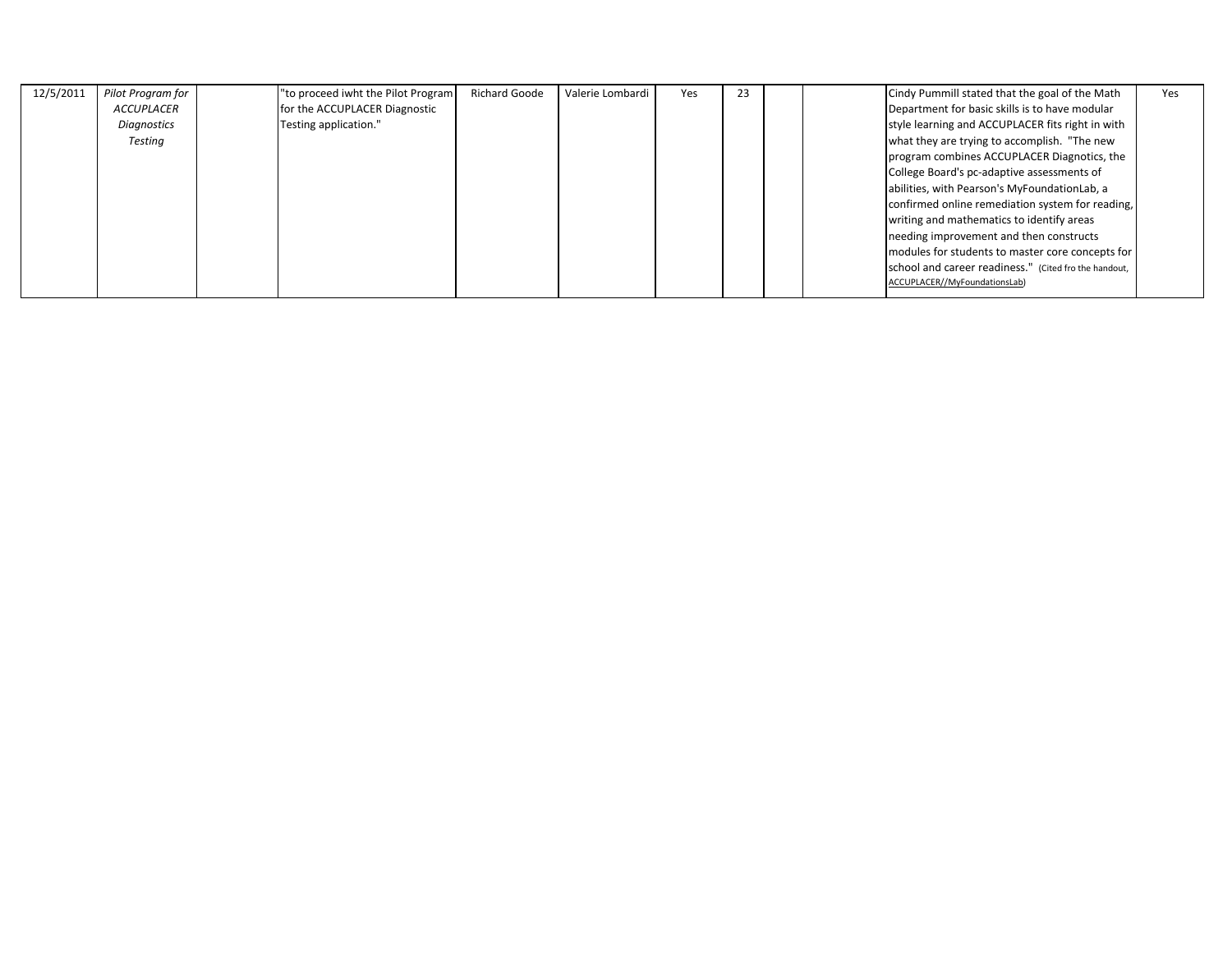| 12/5/2011 | Pilot Program for | "to proceed iwht the Pilot Program | <b>Richard Goode</b> | Valerie Lombardi | Yes | 23 |  | Cindy Pummill stated that the goal of the Math        | Yes |
|-----------|-------------------|------------------------------------|----------------------|------------------|-----|----|--|-------------------------------------------------------|-----|
|           | <b>ACCUPLACER</b> | for the ACCUPLACER Diagnostic      |                      |                  |     |    |  | Department for basic skills is to have modular        |     |
|           | Diagnostics       | Testing application."              |                      |                  |     |    |  | style learning and ACCUPLACER fits right in with      |     |
|           | Testing           |                                    |                      |                  |     |    |  | what they are trying to accomplish. "The new          |     |
|           |                   |                                    |                      |                  |     |    |  | program combines ACCUPLACER Diagnotics, the           |     |
|           |                   |                                    |                      |                  |     |    |  | College Board's pc-adaptive assessments of            |     |
|           |                   |                                    |                      |                  |     |    |  | abilities, with Pearson's MyFoundationLab, a          |     |
|           |                   |                                    |                      |                  |     |    |  | confirmed online remediation system for reading,      |     |
|           |                   |                                    |                      |                  |     |    |  | writing and mathematics to identify areas             |     |
|           |                   |                                    |                      |                  |     |    |  | needing improvement and then constructs               |     |
|           |                   |                                    |                      |                  |     |    |  | modules for students to master core concepts for      |     |
|           |                   |                                    |                      |                  |     |    |  | school and career readiness." (Cited fro the handout, |     |
|           |                   |                                    |                      |                  |     |    |  | ACCUPLACER//MyFoundationsLab)                         |     |
|           |                   |                                    |                      |                  |     |    |  |                                                       |     |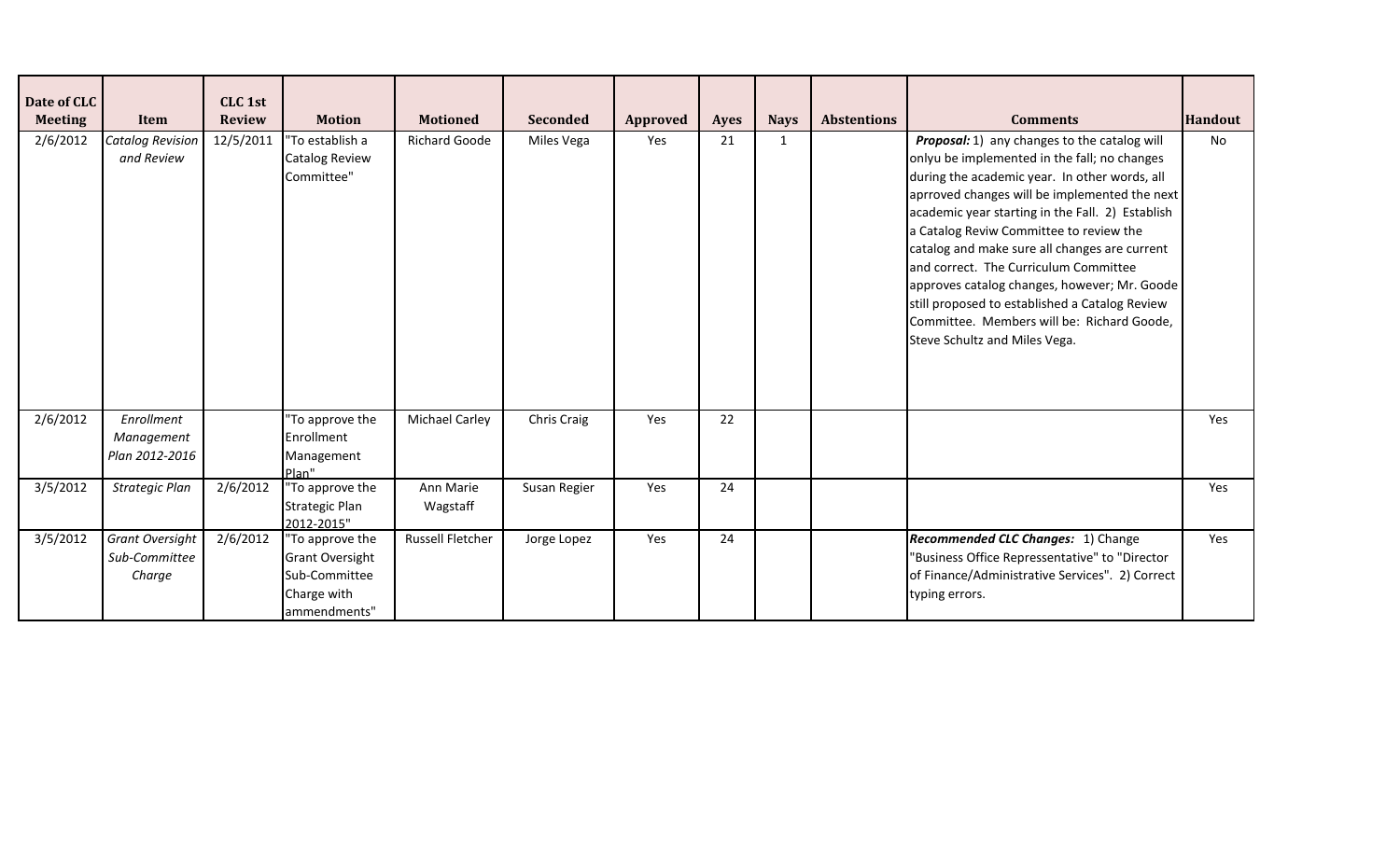| Date of CLC<br><b>Meeting</b> | Item                                              | CLC 1st<br><b>Review</b> | <b>Motion</b>                                                                             | <b>Motioned</b>         | <b>Seconded</b> | Approved | <b>Ayes</b> | <b>Nays</b>  | <b>Abstentions</b> | <b>Comments</b>                                                                                                                                                                                                                                                                                                                                                                                                                                                                                                                                                          | Handout |
|-------------------------------|---------------------------------------------------|--------------------------|-------------------------------------------------------------------------------------------|-------------------------|-----------------|----------|-------------|--------------|--------------------|--------------------------------------------------------------------------------------------------------------------------------------------------------------------------------------------------------------------------------------------------------------------------------------------------------------------------------------------------------------------------------------------------------------------------------------------------------------------------------------------------------------------------------------------------------------------------|---------|
| 2/6/2012                      | <b>Catalog Revision</b><br>and Review             | 12/5/2011                | "To establish a<br>Catalog Review<br>Committee"                                           | <b>Richard Goode</b>    | Miles Vega      | Yes      | 21          | $\mathbf{1}$ |                    | Proposal: 1) any changes to the catalog will<br>onlyu be implemented in the fall; no changes<br>during the academic year. In other words, all<br>aprroved changes will be implemented the next<br>academic year starting in the Fall. 2) Establish<br>a Catalog Reviw Committee to review the<br>catalog and make sure all changes are current<br>and correct. The Curriculum Committee<br>approves catalog changes, however; Mr. Goode<br>still proposed to established a Catalog Review<br>Committee. Members will be: Richard Goode,<br>Steve Schultz and Miles Vega. | No      |
| 2/6/2012                      | Enrollment<br>Management<br>Plan 2012-2016        |                          | To approve the<br>Enrollment<br>Management<br>Plan"                                       | <b>Michael Carley</b>   | Chris Craig     | Yes      | 22          |              |                    |                                                                                                                                                                                                                                                                                                                                                                                                                                                                                                                                                                          | Yes     |
| 3/5/2012                      | Strategic Plan                                    | 2/6/2012                 | "To approve the<br><b>Strategic Plan</b><br>2012-2015"                                    | Ann Marie<br>Wagstaff   | Susan Regier    | Yes      | 24          |              |                    |                                                                                                                                                                                                                                                                                                                                                                                                                                                                                                                                                                          | Yes     |
| 3/5/2012                      | <b>Grant Oversight</b><br>Sub-Committee<br>Charge | 2/6/2012                 | 'To approve the<br><b>Grant Oversight</b><br>Sub-Committee<br>Charge with<br>ammendments" | <b>Russell Fletcher</b> | Jorge Lopez     | Yes      | 24          |              |                    | Recommended CLC Changes: 1) Change<br>'Business Office Repressentative" to "Director<br>of Finance/Administrative Services". 2) Correct<br>typing errors.                                                                                                                                                                                                                                                                                                                                                                                                                | Yes     |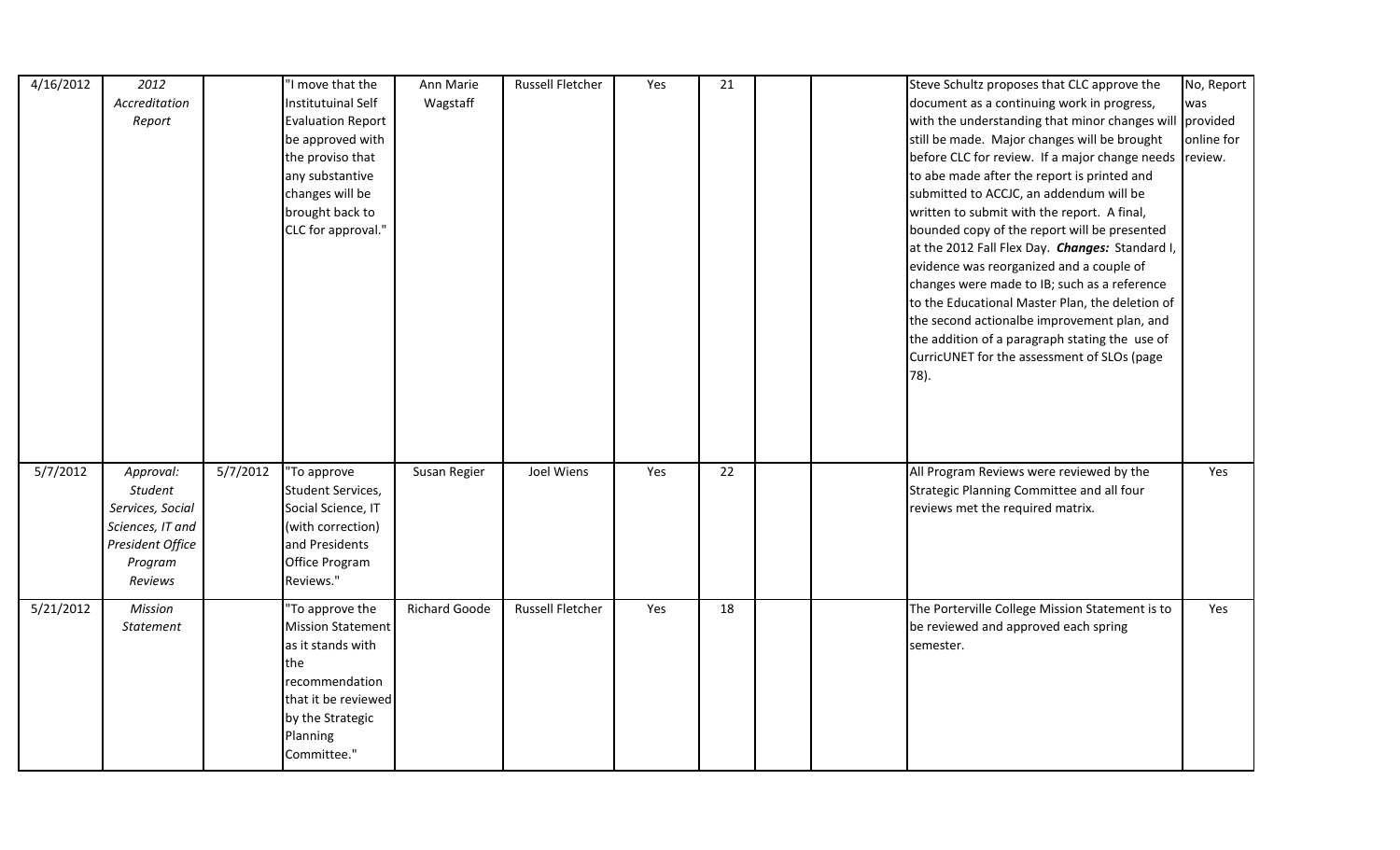| 4/16/2012 | 2012<br>Accreditation<br>Report                                                           |          | "I move that the<br>Institutuinal Self<br><b>Evaluation Report</b><br>be approved with<br>the proviso that<br>any substantive<br>changes will be<br>brought back to<br>CLC for approval." | Ann Marie<br>Wagstaff | <b>Russell Fletcher</b> | Yes | 21 | Steve Schultz proposes that CLC approve the<br>document as a continuing work in progress,<br>with the understanding that minor changes will provided<br>still be made. Major changes will be brought<br>before CLC for review. If a major change needs review.<br>to abe made after the report is printed and<br>submitted to ACCJC, an addendum will be<br>written to submit with the report. A final,<br>bounded copy of the report will be presented<br>at the 2012 Fall Flex Day. Changes: Standard I,<br>evidence was reorganized and a couple of<br>changes were made to IB; such as a reference<br>to the Educational Master Plan, the deletion of<br>the second actionalbe improvement plan, and<br>the addition of a paragraph stating the use of<br>CurricUNET for the assessment of SLOs (page | No, Report<br>was<br>online for |
|-----------|-------------------------------------------------------------------------------------------|----------|-------------------------------------------------------------------------------------------------------------------------------------------------------------------------------------------|-----------------------|-------------------------|-----|----|-----------------------------------------------------------------------------------------------------------------------------------------------------------------------------------------------------------------------------------------------------------------------------------------------------------------------------------------------------------------------------------------------------------------------------------------------------------------------------------------------------------------------------------------------------------------------------------------------------------------------------------------------------------------------------------------------------------------------------------------------------------------------------------------------------------|---------------------------------|
| 5/7/2012  | Approval:                                                                                 | 5/7/2012 | "To approve                                                                                                                                                                               | Susan Regier          | Joel Wiens              | Yes | 22 | 78).<br>All Program Reviews were reviewed by the                                                                                                                                                                                                                                                                                                                                                                                                                                                                                                                                                                                                                                                                                                                                                          | Yes                             |
|           | Student<br>Services, Social<br>Sciences, IT and<br>President Office<br>Program<br>Reviews |          | Student Services,<br>Social Science, IT<br>(with correction)<br>and Presidents<br>Office Program<br>Reviews."                                                                             |                       |                         |     |    | Strategic Planning Committee and all four<br>reviews met the required matrix.                                                                                                                                                                                                                                                                                                                                                                                                                                                                                                                                                                                                                                                                                                                             |                                 |
| 5/21/2012 | Mission<br>Statement                                                                      |          | 'To approve the<br><b>Mission Statement</b><br>as it stands with<br>the<br>recommendation<br>that it be reviewed<br>by the Strategic<br>Planning<br>Committee."                           | <b>Richard Goode</b>  | <b>Russell Fletcher</b> | Yes | 18 | The Porterville College Mission Statement is to<br>be reviewed and approved each spring<br>semester.                                                                                                                                                                                                                                                                                                                                                                                                                                                                                                                                                                                                                                                                                                      | Yes                             |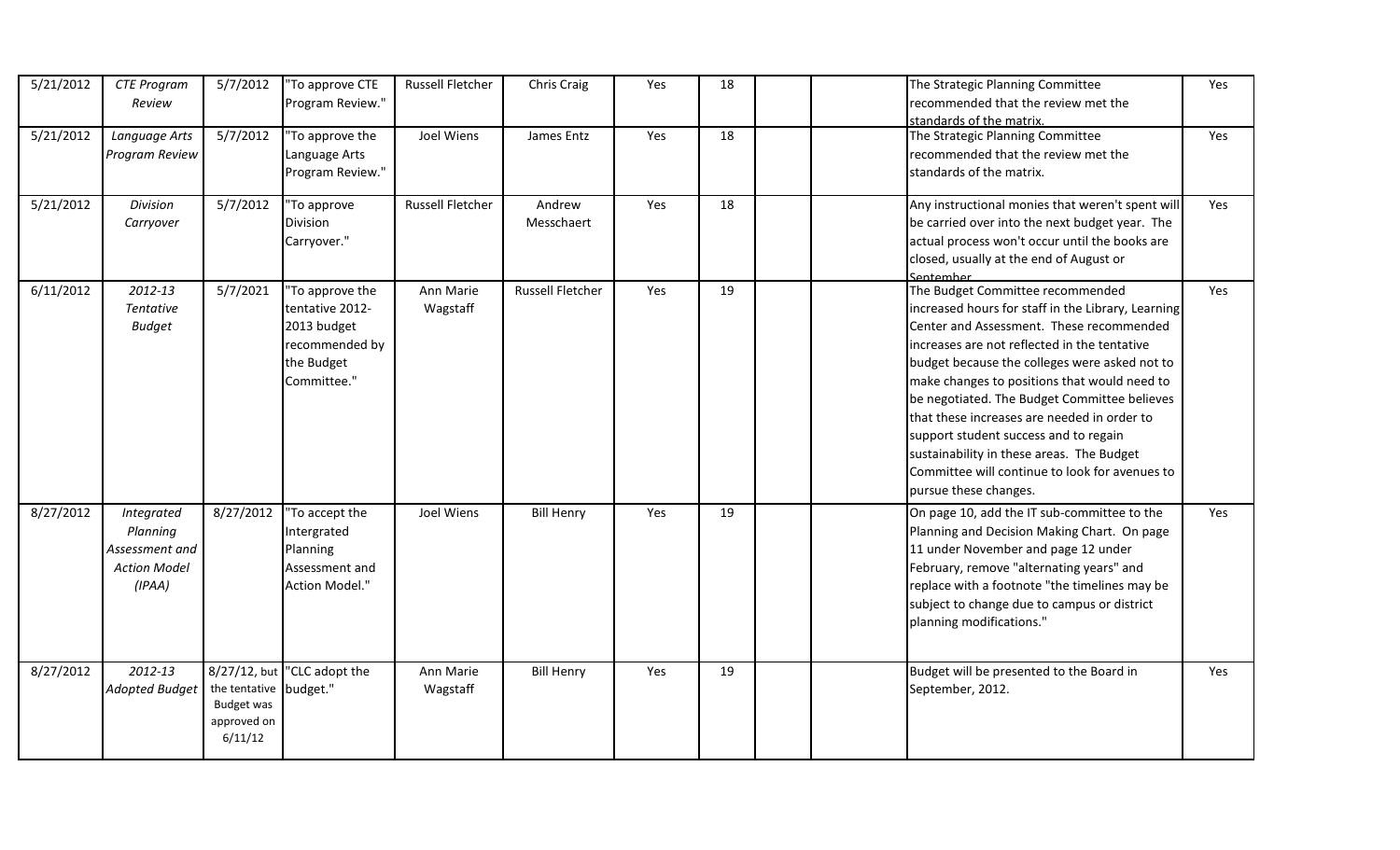| 5/21/2012 | <b>CTE Program</b><br>Review                                              | 5/7/2012                                                              | 'To approve CTE<br>Program Review."                                                              | Russell Fletcher        | Chris Craig             | Yes | 18 | The Strategic Planning Committee<br>recommended that the review met the<br>standards of the matrix.                                                                                                                                                                                                                                                                                                                                                                                                                                                 | Yes |
|-----------|---------------------------------------------------------------------------|-----------------------------------------------------------------------|--------------------------------------------------------------------------------------------------|-------------------------|-------------------------|-----|----|-----------------------------------------------------------------------------------------------------------------------------------------------------------------------------------------------------------------------------------------------------------------------------------------------------------------------------------------------------------------------------------------------------------------------------------------------------------------------------------------------------------------------------------------------------|-----|
| 5/21/2012 | Language Arts<br>Program Review                                           | 5/7/2012                                                              | 'To approve the<br>Language Arts<br>Program Review."                                             | Joel Wiens              | James Entz              | Yes | 18 | The Strategic Planning Committee<br>recommended that the review met the<br>standards of the matrix.                                                                                                                                                                                                                                                                                                                                                                                                                                                 | Yes |
| 5/21/2012 | Division<br>Carryover                                                     | 5/7/2012                                                              | 'To approve<br>Division<br>Carryover."                                                           | <b>Russell Fletcher</b> | Andrew<br>Messchaert    | Yes | 18 | Any instructional monies that weren't spent will<br>be carried over into the next budget year. The<br>actual process won't occur until the books are<br>closed, usually at the end of August or<br>Sentember                                                                                                                                                                                                                                                                                                                                        | Yes |
| 6/11/2012 | 2012-13<br><b>Tentative</b><br><b>Budget</b>                              | 5/7/2021                                                              | 'To approve the<br>tentative 2012-<br>2013 budget<br>recommended by<br>the Budget<br>Committee." | Ann Marie<br>Wagstaff   | <b>Russell Fletcher</b> | Yes | 19 | The Budget Committee recommended<br>increased hours for staff in the Library, Learning<br>Center and Assessment. These recommended<br>increases are not reflected in the tentative<br>budget because the colleges were asked not to<br>make changes to positions that would need to<br>be negotiated. The Budget Committee believes<br>that these increases are needed in order to<br>support student success and to regain<br>sustainability in these areas. The Budget<br>Committee will continue to look for avenues to<br>pursue these changes. | Yes |
| 8/27/2012 | Integrated<br>Planning<br>Assessment and<br><b>Action Model</b><br>(IPAA) | 8/27/2012                                                             | 'To accept the<br>Intergrated<br>Planning<br>Assessment and<br>Action Model."                    | Joel Wiens              | <b>Bill Henry</b>       | Yes | 19 | On page 10, add the IT sub-committee to the<br>Planning and Decision Making Chart. On page<br>11 under November and page 12 under<br>February, remove "alternating years" and<br>replace with a footnote "the timelines may be<br>subject to change due to campus or district<br>planning modifications."                                                                                                                                                                                                                                           | Yes |
| 8/27/2012 | 2012-13<br><b>Adopted Budget</b>                                          | the tentative budget."<br><b>Budget was</b><br>approved on<br>6/11/12 | 8/27/12, but "CLC adopt the                                                                      | Ann Marie<br>Wagstaff   | <b>Bill Henry</b>       | Yes | 19 | Budget will be presented to the Board in<br>September, 2012.                                                                                                                                                                                                                                                                                                                                                                                                                                                                                        | Yes |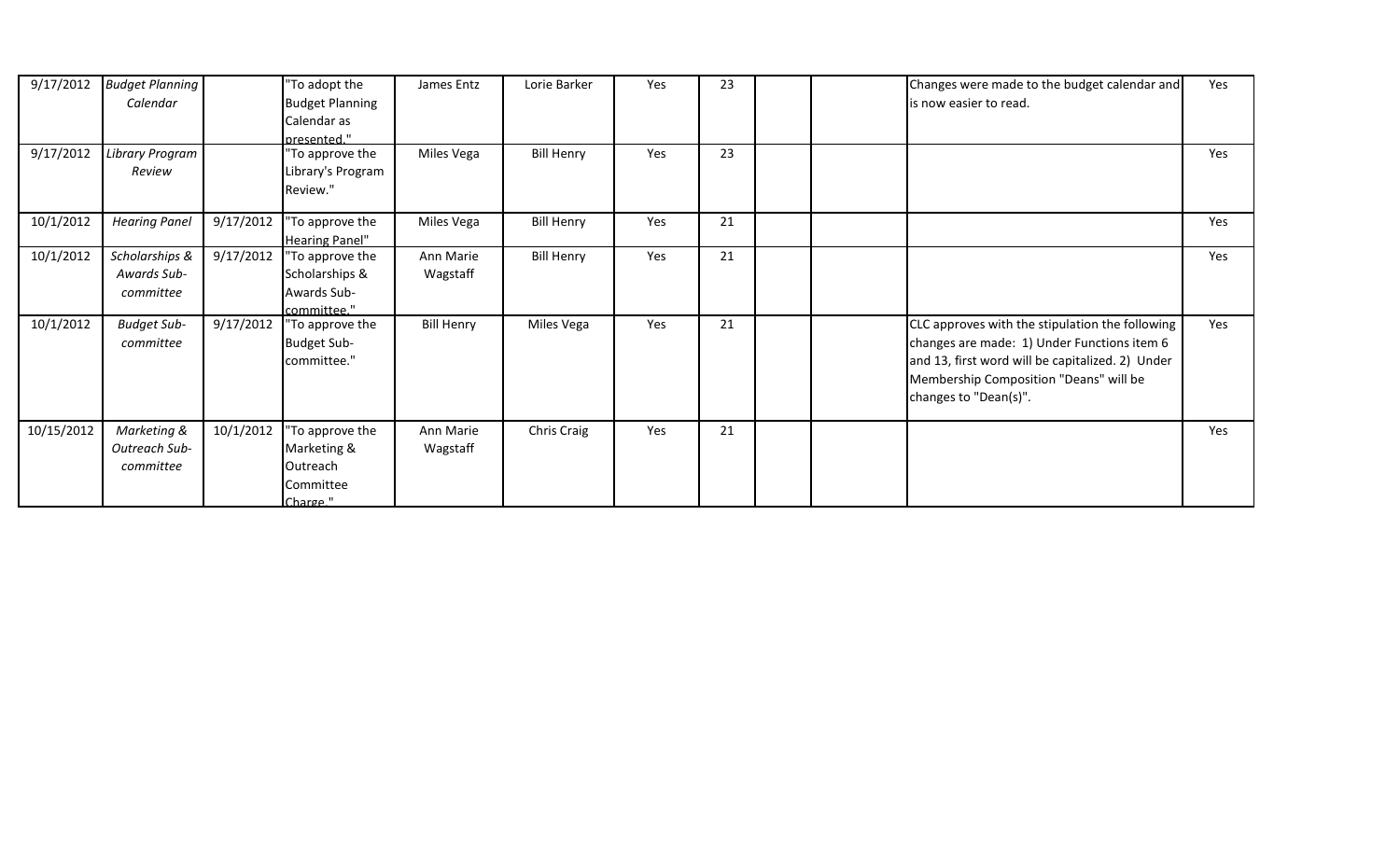| 9/17/2012  | <b>Budget Planning</b><br>Calendar         |           | "To adopt the<br><b>Budget Planning</b><br>Calendar as              | James Entz            | Lorie Barker      | Yes | 23 | Changes were made to the budget calendar and<br>is now easier to read.                                                                                                                                                | Yes |
|------------|--------------------------------------------|-----------|---------------------------------------------------------------------|-----------------------|-------------------|-----|----|-----------------------------------------------------------------------------------------------------------------------------------------------------------------------------------------------------------------------|-----|
| 9/17/2012  | Library Program<br>Review                  |           | presented."<br>"To approve the<br>Library's Program<br>Review."     | Miles Vega            | <b>Bill Henry</b> | Yes | 23 |                                                                                                                                                                                                                       | Yes |
| 10/1/2012  | <b>Hearing Panel</b>                       | 9/17/2012 | "To approve the<br><b>Hearing Panel"</b>                            | Miles Vega            | <b>Bill Henry</b> | Yes | 21 |                                                                                                                                                                                                                       | Yes |
| 10/1/2012  | Scholarships &<br>Awards Sub-<br>committee | 9/17/2012 | "To approve the<br>Scholarships &<br>Awards Sub-<br>committee."     | Ann Marie<br>Wagstaff | <b>Bill Henry</b> | Yes | 21 |                                                                                                                                                                                                                       | Yes |
| 10/1/2012  | <b>Budget Sub-</b><br>committee            | 9/17/2012 | "To approve the<br><b>Budget Sub-</b><br>committee."                | <b>Bill Henry</b>     | Miles Vega        | Yes | 21 | CLC approves with the stipulation the following<br>changes are made: 1) Under Functions item 6<br>and 13, first word will be capitalized. 2) Under<br>Membership Composition "Deans" will be<br>changes to "Dean(s)". | Yes |
| 10/15/2012 | Marketing &<br>Outreach Sub-<br>committee  | 10/1/2012 | "To approve the<br>Marketing &<br>Outreach<br>Committee<br>Charge " | Ann Marie<br>Wagstaff | Chris Craig       | Yes | 21 |                                                                                                                                                                                                                       | Yes |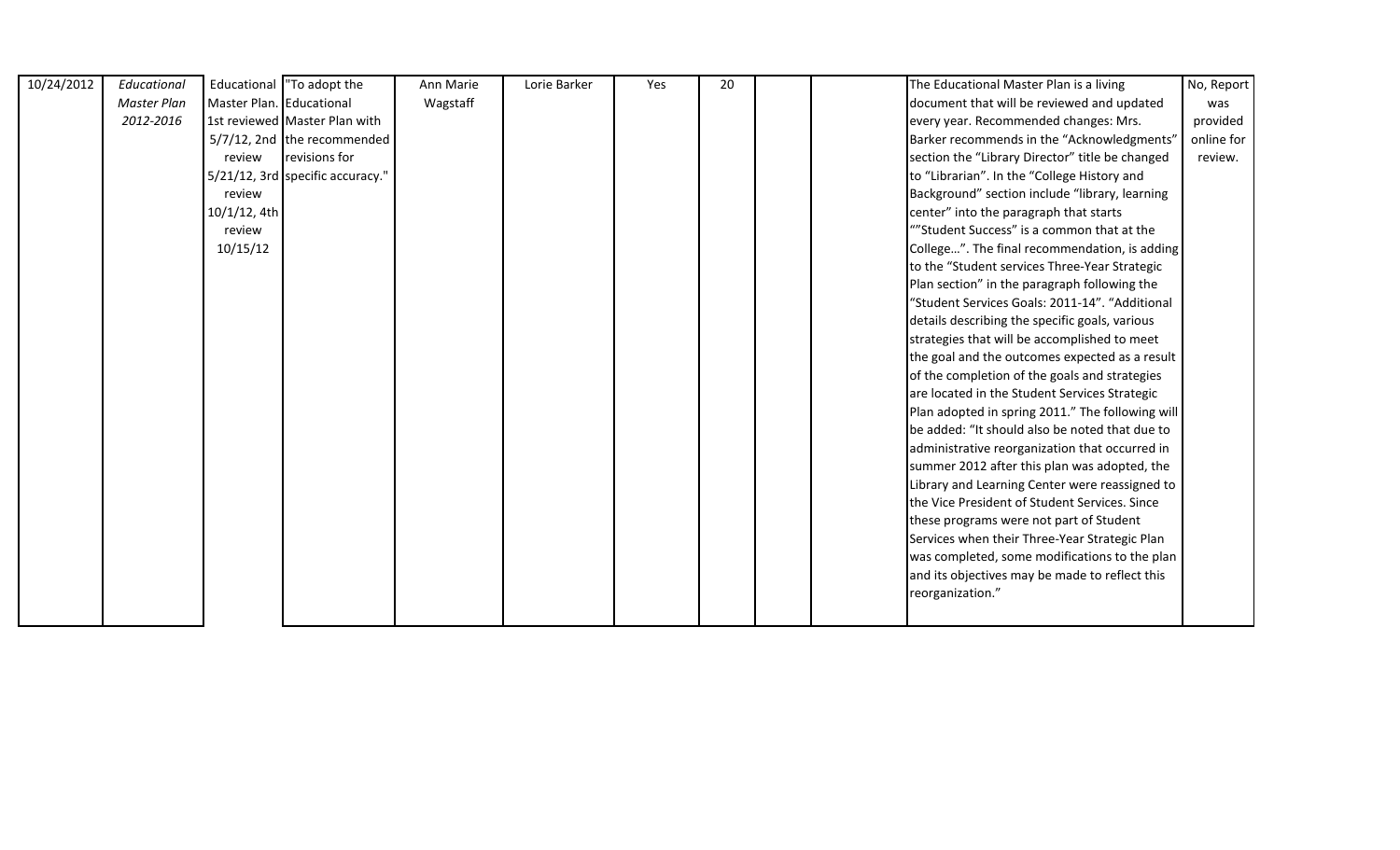| 10/24/2012 | Educational |                          | Educational  "To adopt the       | Ann Marie | Lorie Barker | Yes | 20 |  | The Educational Master Plan is a living          | No, Report |
|------------|-------------|--------------------------|----------------------------------|-----------|--------------|-----|----|--|--------------------------------------------------|------------|
|            | Master Plan | Master Plan. Educational |                                  | Wagstaff  |              |     |    |  | document that will be reviewed and updated       | was        |
|            | 2012-2016   |                          | 1st reviewed Master Plan with    |           |              |     |    |  | every year. Recommended changes: Mrs.            | provided   |
|            |             |                          | 5/7/12, 2nd the recommended      |           |              |     |    |  | Barker recommends in the "Acknowledgments"       | online for |
|            |             | review                   | revisions for                    |           |              |     |    |  | section the "Library Director" title be changed  | review.    |
|            |             |                          | 5/21/12, 3rd specific accuracy." |           |              |     |    |  | to "Librarian". In the "College History and      |            |
|            |             | review                   |                                  |           |              |     |    |  | Background" section include "library, learning   |            |
|            |             | 10/1/12, 4th             |                                  |           |              |     |    |  | center" into the paragraph that starts           |            |
|            |             | review                   |                                  |           |              |     |    |  | ""Student Success" is a common that at the       |            |
|            |             | 10/15/12                 |                                  |           |              |     |    |  | College". The final recommendation, is adding    |            |
|            |             |                          |                                  |           |              |     |    |  | to the "Student services Three-Year Strategic    |            |
|            |             |                          |                                  |           |              |     |    |  | Plan section" in the paragraph following the     |            |
|            |             |                          |                                  |           |              |     |    |  | "Student Services Goals: 2011-14". "Additional   |            |
|            |             |                          |                                  |           |              |     |    |  | details describing the specific goals, various   |            |
|            |             |                          |                                  |           |              |     |    |  | strategies that will be accomplished to meet     |            |
|            |             |                          |                                  |           |              |     |    |  | the goal and the outcomes expected as a result   |            |
|            |             |                          |                                  |           |              |     |    |  | of the completion of the goals and strategies    |            |
|            |             |                          |                                  |           |              |     |    |  | are located in the Student Services Strategic    |            |
|            |             |                          |                                  |           |              |     |    |  | Plan adopted in spring 2011." The following will |            |
|            |             |                          |                                  |           |              |     |    |  | be added: "It should also be noted that due to   |            |
|            |             |                          |                                  |           |              |     |    |  | administrative reorganization that occurred in   |            |
|            |             |                          |                                  |           |              |     |    |  | summer 2012 after this plan was adopted, the     |            |
|            |             |                          |                                  |           |              |     |    |  | Library and Learning Center were reassigned to   |            |
|            |             |                          |                                  |           |              |     |    |  | the Vice President of Student Services. Since    |            |
|            |             |                          |                                  |           |              |     |    |  | these programs were not part of Student          |            |
|            |             |                          |                                  |           |              |     |    |  | Services when their Three-Year Strategic Plan    |            |
|            |             |                          |                                  |           |              |     |    |  | was completed, some modifications to the plan    |            |
|            |             |                          |                                  |           |              |     |    |  | and its objectives may be made to reflect this   |            |
|            |             |                          |                                  |           |              |     |    |  | reorganization."                                 |            |
|            |             |                          |                                  |           |              |     |    |  |                                                  |            |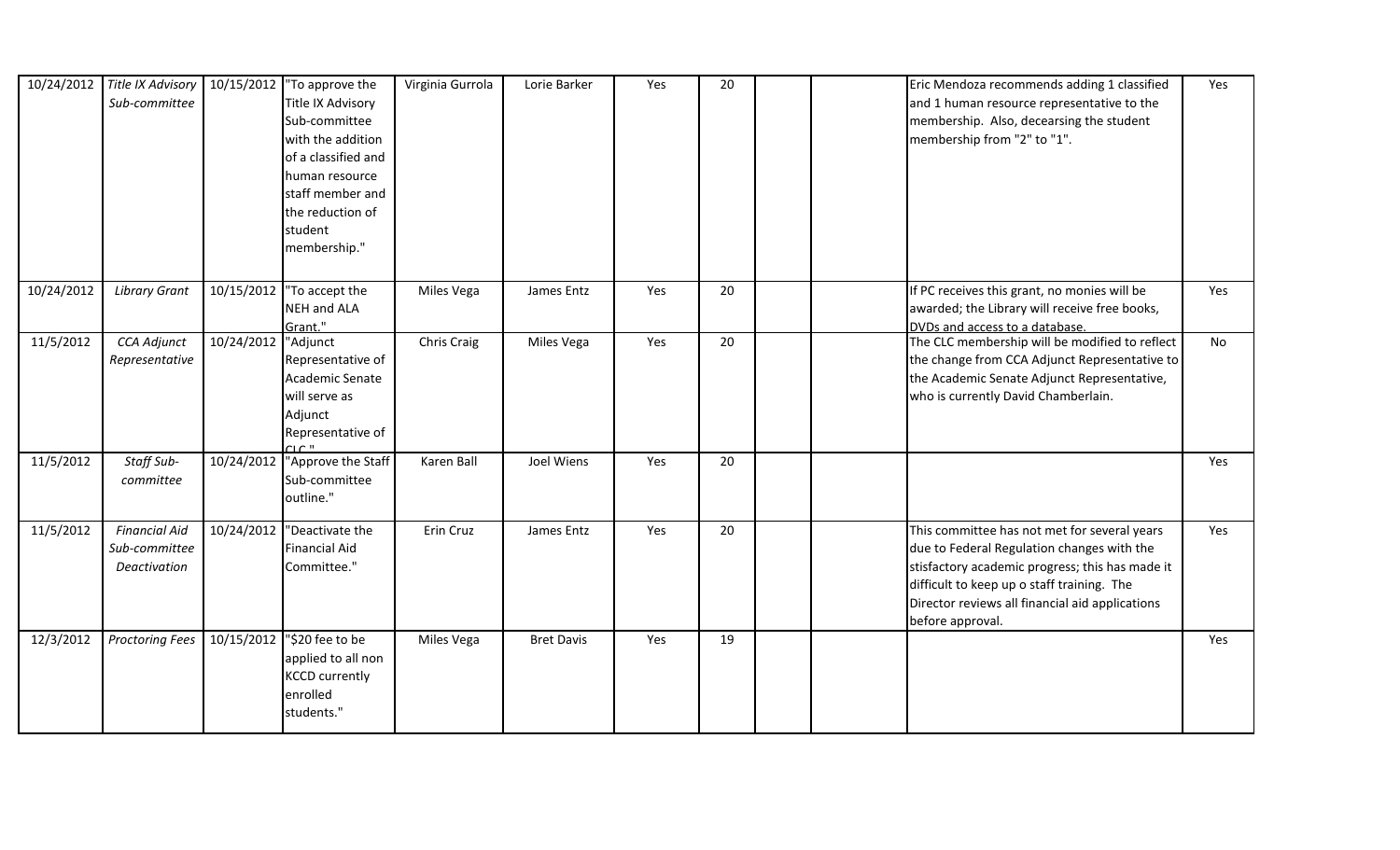|            | 10/24/2012 Title IX Advisory<br>Sub-committee         |            | 10/15/2012   To approve the<br>Title IX Advisory<br>Sub-committee<br>with the addition<br>of a classified and<br>human resource<br>staff member and<br>the reduction of<br>student<br>membership." | Virginia Gurrola | Lorie Barker      | Yes | 20 |  | Eric Mendoza recommends adding 1 classified<br>and 1 human resource representative to the<br>membership. Also, decearsing the student<br>membership from "2" to "1".                                                                                               | Yes |
|------------|-------------------------------------------------------|------------|----------------------------------------------------------------------------------------------------------------------------------------------------------------------------------------------------|------------------|-------------------|-----|----|--|--------------------------------------------------------------------------------------------------------------------------------------------------------------------------------------------------------------------------------------------------------------------|-----|
| 10/24/2012 | <b>Library Grant</b>                                  | 10/15/2012 | "To accept the<br><b>NEH and ALA</b><br>Grant."                                                                                                                                                    | Miles Vega       | James Entz        | Yes | 20 |  | If PC receives this grant, no monies will be<br>awarded; the Library will receive free books,<br>DVDs and access to a database.                                                                                                                                    | Yes |
| 11/5/2012  | CCA Adjunct<br>Representative                         | 10/24/2012 | "Adjunct<br>Representative of<br>Academic Senate<br>will serve as<br>Adjunct<br>Representative of<br>$C$ $\Gamma$                                                                                  | Chris Craig      | Miles Vega        | Yes | 20 |  | The CLC membership will be modified to reflect<br>the change from CCA Adjunct Representative to<br>the Academic Senate Adjunct Representative,<br>who is currently David Chamberlain.                                                                              | No  |
| 11/5/2012  | Staff Sub-<br>committee                               |            | 10/24/2012 TApprove the Staff<br>Sub-committee<br>outline."                                                                                                                                        | Karen Ball       | Joel Wiens        | Yes | 20 |  |                                                                                                                                                                                                                                                                    | Yes |
| 11/5/2012  | <b>Financial Aid</b><br>Sub-committee<br>Deactivation |            | 10/24/2012 Deactivate the<br><b>Financial Aid</b><br>Committee."                                                                                                                                   | Erin Cruz        | James Entz        | Yes | 20 |  | This committee has not met for several years<br>due to Federal Regulation changes with the<br>stisfactory academic progress; this has made it<br>difficult to keep up o staff training. The<br>Director reviews all financial aid applications<br>before approval. | Yes |
| 12/3/2012  | <b>Proctoring Fees</b>                                |            | 10/15/2012 ''\$20 fee to be<br>applied to all non<br><b>KCCD</b> currently<br>enrolled<br>students."                                                                                               | Miles Vega       | <b>Bret Davis</b> | Yes | 19 |  |                                                                                                                                                                                                                                                                    | Yes |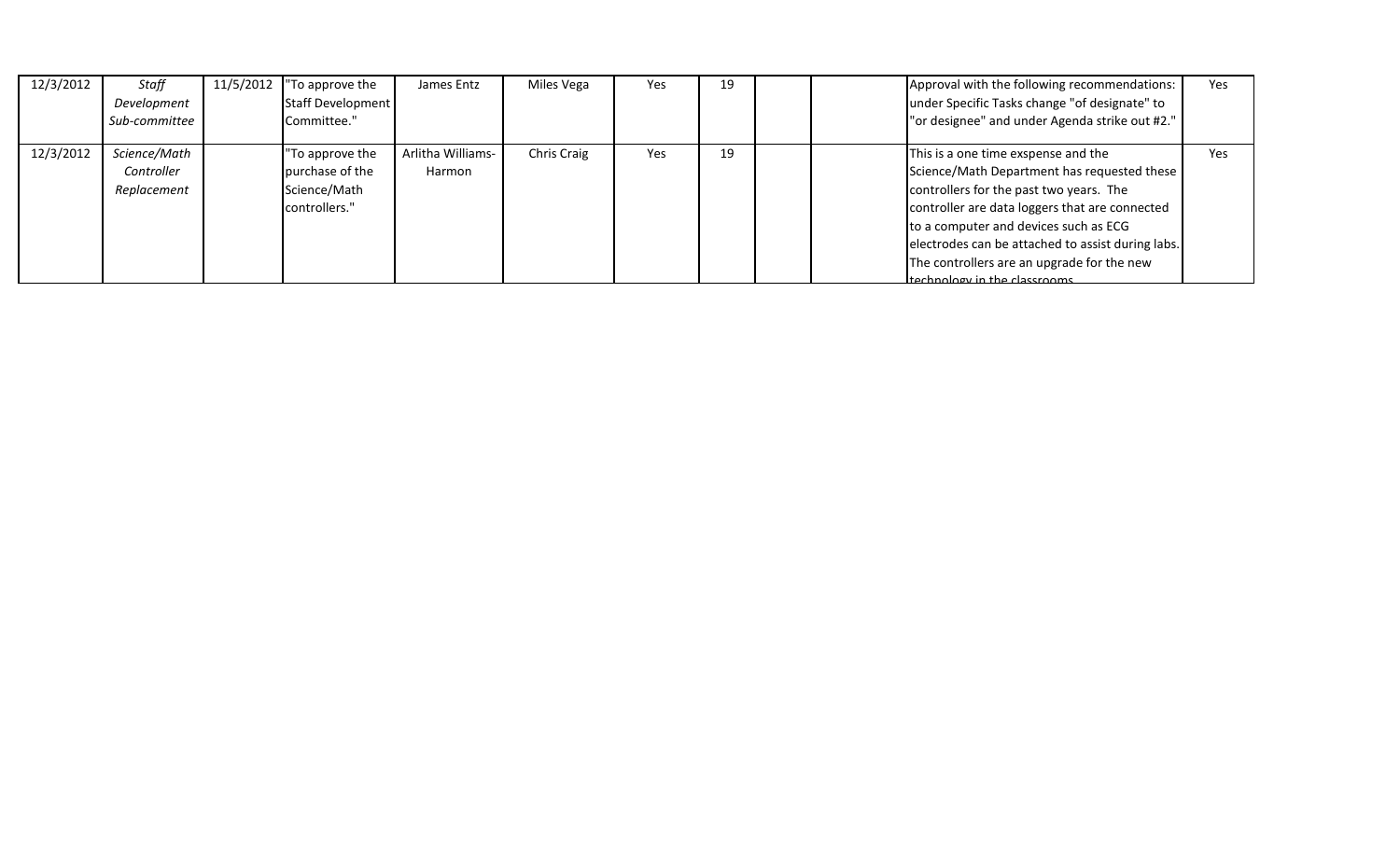| 12/3/2012 | Staff<br>Development<br>Sub-committee     | 11/5/2012 | "To approve the<br>Staff Development<br>Committee."                 | James Entz                  | Miles Vega  | Yes | 19 | Approval with the following recommendations:<br>Yes<br>under Specific Tasks change "of designate" to<br>"or designee" and under Agenda strike out #2."                                                                                                                                                                                                               |  |
|-----------|-------------------------------------------|-----------|---------------------------------------------------------------------|-----------------------------|-------------|-----|----|----------------------------------------------------------------------------------------------------------------------------------------------------------------------------------------------------------------------------------------------------------------------------------------------------------------------------------------------------------------------|--|
| 12/3/2012 | Science/Math<br>Controller<br>Replacement |           | "To approve the<br>purchase of the<br>Science/Math<br>controllers." | Arlitha Williams-<br>Harmon | Chris Craig | Yes | 19 | This is a one time exspense and the<br>Yes<br>Science/Math Department has requested these<br>controllers for the past two years. The<br>controller are data loggers that are connected<br>to a computer and devices such as ECG<br>electrodes can be attached to assist during labs.<br>The controllers are an upgrade for the new<br>therhnology in the classrooms. |  |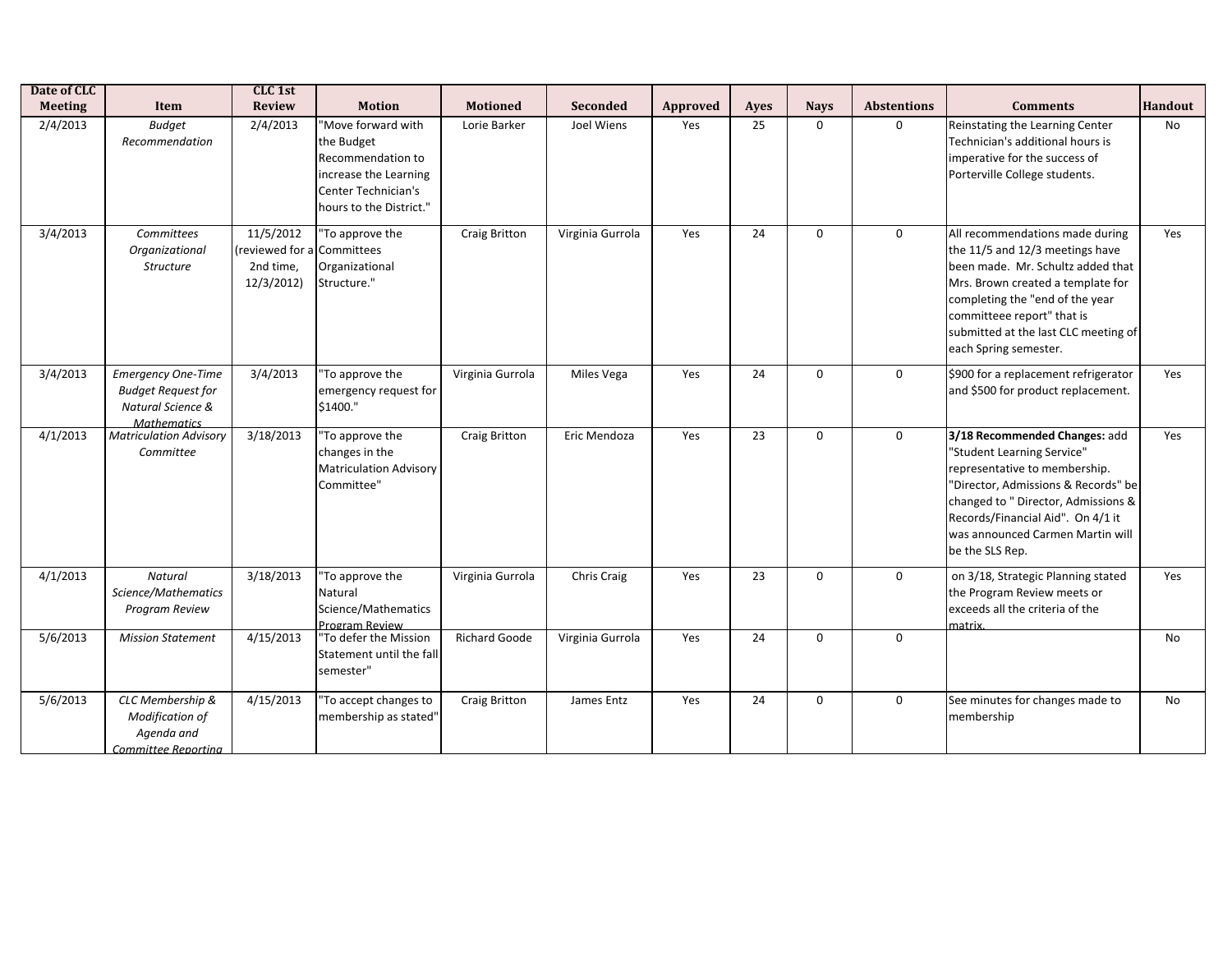| Date of CLC    |                                                                                                   | CLC 1st                                                 |                                                                                                                                  |                      |                  |          |      |             |                    |                                                                                                                                                                                                                                                                                |                |
|----------------|---------------------------------------------------------------------------------------------------|---------------------------------------------------------|----------------------------------------------------------------------------------------------------------------------------------|----------------------|------------------|----------|------|-------------|--------------------|--------------------------------------------------------------------------------------------------------------------------------------------------------------------------------------------------------------------------------------------------------------------------------|----------------|
| <b>Meeting</b> | Item                                                                                              | <b>Review</b>                                           | <b>Motion</b>                                                                                                                    | <b>Motioned</b>      | Seconded         | Approved | Ayes | <b>Nays</b> | <b>Abstentions</b> | <b>Comments</b>                                                                                                                                                                                                                                                                | <b>Handout</b> |
| 2/4/2013       | <b>Budget</b><br>Recommendation                                                                   | 2/4/2013                                                | "Move forward with<br>the Budget<br>Recommendation to<br>increase the Learning<br>Center Technician's<br>hours to the District." | Lorie Barker         | Joel Wiens       | Yes      | 25   | $\mathbf 0$ | $\mathbf 0$        | Reinstating the Learning Center<br>Technician's additional hours is<br>imperative for the success of<br>Porterville College students.                                                                                                                                          | No             |
| 3/4/2013       | Committees<br>Organizational<br><b>Structure</b>                                                  | 11/5/2012<br>(reviewed for a<br>2nd time,<br>12/3/2012) | "To approve the<br>Committees<br>Organizational<br>Structure."                                                                   | Craig Britton        | Virginia Gurrola | Yes      | 24   | $\mathbf 0$ | $\mathbf 0$        | All recommendations made during<br>the 11/5 and 12/3 meetings have<br>been made. Mr. Schultz added that<br>Mrs. Brown created a template for<br>completing the "end of the year<br>committeee report" that is<br>submitted at the last CLC meeting of<br>each Spring semester. | Yes            |
| 3/4/2013       | <b>Emergency One-Time</b><br><b>Budget Request for</b><br>Natural Science &<br><b>Mathematics</b> | 3/4/2013                                                | "To approve the<br>emergency request for<br>\$1400."                                                                             | Virginia Gurrola     | Miles Vega       | Yes      | 24   | $\mathbf 0$ | $\mathbf 0$        | \$900 for a replacement refrigerator<br>and \$500 for product replacement.                                                                                                                                                                                                     | Yes            |
| 4/1/2013       | <b>Matriculation Advisory</b><br>Committee                                                        | 3/18/2013                                               | "To approve the<br>changes in the<br><b>Matriculation Advisory</b><br>Committee"                                                 | Craig Britton        | Eric Mendoza     | Yes      | 23   | $\mathbf 0$ | $\mathbf 0$        | 3/18 Recommended Changes: add<br>"Student Learning Service"<br>representative to membership.<br>"Director, Admissions & Records" be<br>changed to " Director, Admissions &<br>Records/Financial Aid". On 4/1 it<br>was announced Carmen Martin will<br>be the SLS Rep.         | Yes            |
| 4/1/2013       | Natural<br>Science/Mathematics<br>Program Review                                                  | 3/18/2013                                               | "To approve the<br>Natural<br>Science/Mathematics<br><b>Program Review</b>                                                       | Virginia Gurrola     | Chris Craig      | Yes      | 23   | $\mathbf 0$ | $\mathbf 0$        | on 3/18, Strategic Planning stated<br>the Program Review meets or<br>exceeds all the criteria of the<br>matrix.                                                                                                                                                                | Yes            |
| 5/6/2013       | <b>Mission Statement</b>                                                                          | 4/15/2013                                               | "To defer the Mission<br>Statement until the fall<br>semester"                                                                   | <b>Richard Goode</b> | Virginia Gurrola | Yes      | 24   | $\mathbf 0$ | $\mathbf 0$        |                                                                                                                                                                                                                                                                                | No             |
| 5/6/2013       | CLC Membership &<br>Modification of<br>Agenda and<br>Committee Reportina                          | 4/15/2013                                               | "To accept changes to<br>membership as stated"                                                                                   | Craig Britton        | James Entz       | Yes      | 24   | $\mathbf 0$ | $\mathbf 0$        | See minutes for changes made to<br>membership                                                                                                                                                                                                                                  | No             |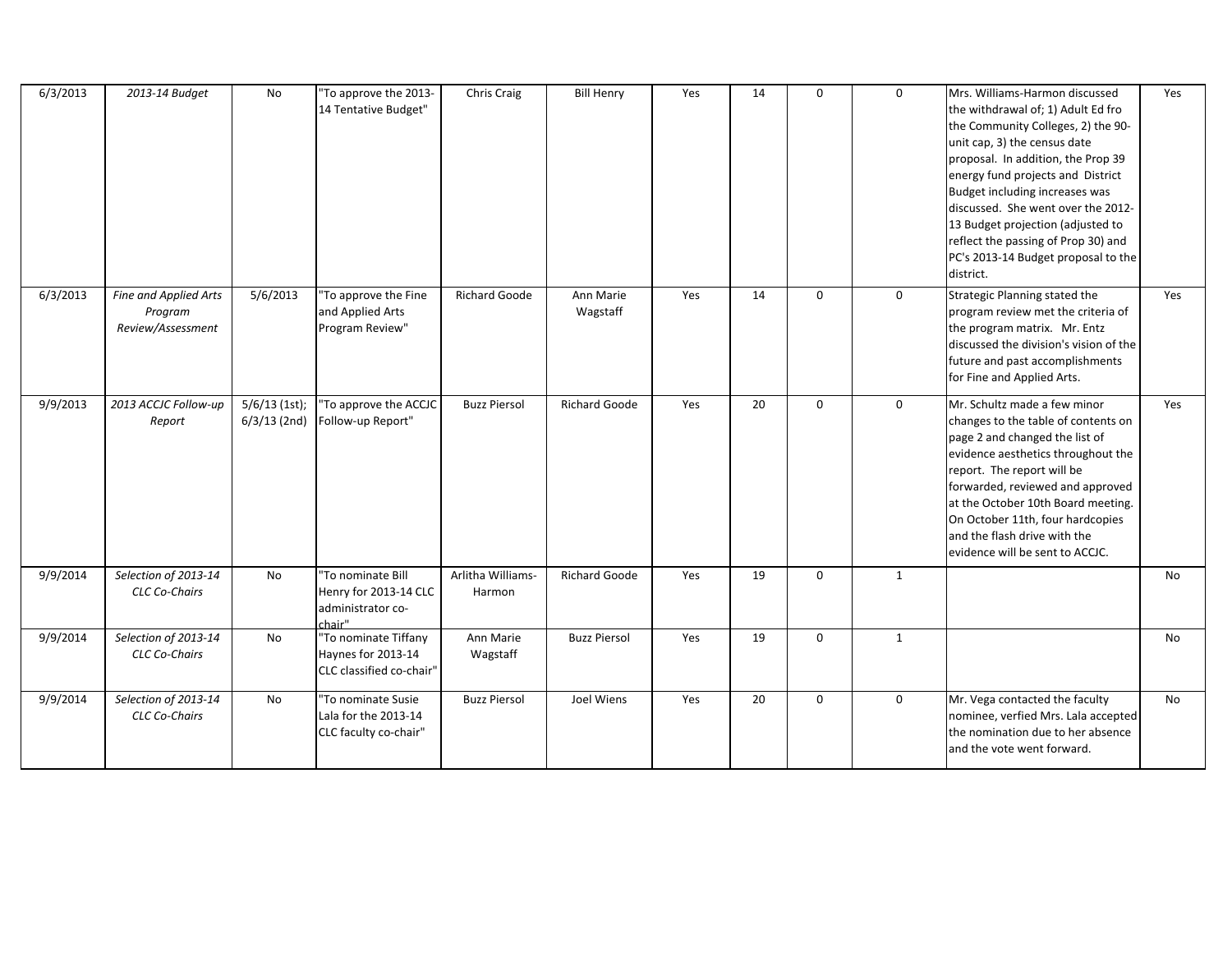| 6/3/2013 | 2013-14 Budget                                        | No                                | "To approve the 2013-<br>14 Tentative Budget"                             | Chris Craig                 | <b>Bill Henry</b>     | Yes | 14 | 0            | $\mathbf 0$  | Mrs. Williams-Harmon discussed<br>the withdrawal of; 1) Adult Ed fro<br>the Community Colleges, 2) the 90-<br>unit cap, 3) the census date<br>proposal. In addition, the Prop 39<br>energy fund projects and District<br>Budget including increases was<br>discussed. She went over the 2012-<br>13 Budget projection (adjusted to<br>reflect the passing of Prop 30) and<br>PC's 2013-14 Budget proposal to the<br>district. | Yes |
|----------|-------------------------------------------------------|-----------------------------------|---------------------------------------------------------------------------|-----------------------------|-----------------------|-----|----|--------------|--------------|-------------------------------------------------------------------------------------------------------------------------------------------------------------------------------------------------------------------------------------------------------------------------------------------------------------------------------------------------------------------------------------------------------------------------------|-----|
| 6/3/2013 | Fine and Applied Arts<br>Program<br>Review/Assessment | 5/6/2013                          | 'To approve the Fine<br>and Applied Arts<br>Program Review"               | <b>Richard Goode</b>        | Ann Marie<br>Wagstaff | Yes | 14 | $\mathbf{0}$ | $\mathbf 0$  | Strategic Planning stated the<br>program review met the criteria of<br>the program matrix. Mr. Entz<br>discussed the division's vision of the<br>future and past accomplishments<br>for Fine and Applied Arts.                                                                                                                                                                                                                | Yes |
| 9/9/2013 | 2013 ACCJC Follow-up<br>Report                        | $5/6/13$ (1st);<br>$6/3/13$ (2nd) | 'To approve the ACCJC<br>Follow-up Report"                                | <b>Buzz Piersol</b>         | <b>Richard Goode</b>  | Yes | 20 | $\mathbf 0$  | $\mathbf 0$  | Mr. Schultz made a few minor<br>changes to the table of contents on<br>page 2 and changed the list of<br>evidence aesthetics throughout the<br>report. The report will be<br>forwarded, reviewed and approved<br>at the October 10th Board meeting.<br>On October 11th, four hardcopies<br>and the flash drive with the<br>evidence will be sent to ACCJC.                                                                    | Yes |
| 9/9/2014 | Selection of 2013-14<br><b>CLC Co-Chairs</b>          | No                                | "To nominate Bill<br>Henry for 2013-14 CLC<br>administrator co-<br>chair" | Arlitha Williams-<br>Harmon | <b>Richard Goode</b>  | Yes | 19 | $\mathbf 0$  | $\mathbf{1}$ |                                                                                                                                                                                                                                                                                                                                                                                                                               | No  |
| 9/9/2014 | Selection of 2013-14<br><b>CLC Co-Chairs</b>          | No                                | "To nominate Tiffany<br>Haynes for 2013-14<br>CLC classified co-chair"    | Ann Marie<br>Wagstaff       | <b>Buzz Piersol</b>   | Yes | 19 | $\mathbf 0$  | $\mathbf{1}$ |                                                                                                                                                                                                                                                                                                                                                                                                                               | No  |
| 9/9/2014 | Selection of 2013-14<br><b>CLC Co-Chairs</b>          | No                                | 'To nominate Susie<br>Lala for the 2013-14<br>CLC faculty co-chair"       | <b>Buzz Piersol</b>         | Joel Wiens            | Yes | 20 | $\mathbf 0$  | $\mathbf 0$  | Mr. Vega contacted the faculty<br>nominee, verfied Mrs. Lala accepted<br>the nomination due to her absence<br>and the vote went forward.                                                                                                                                                                                                                                                                                      | No  |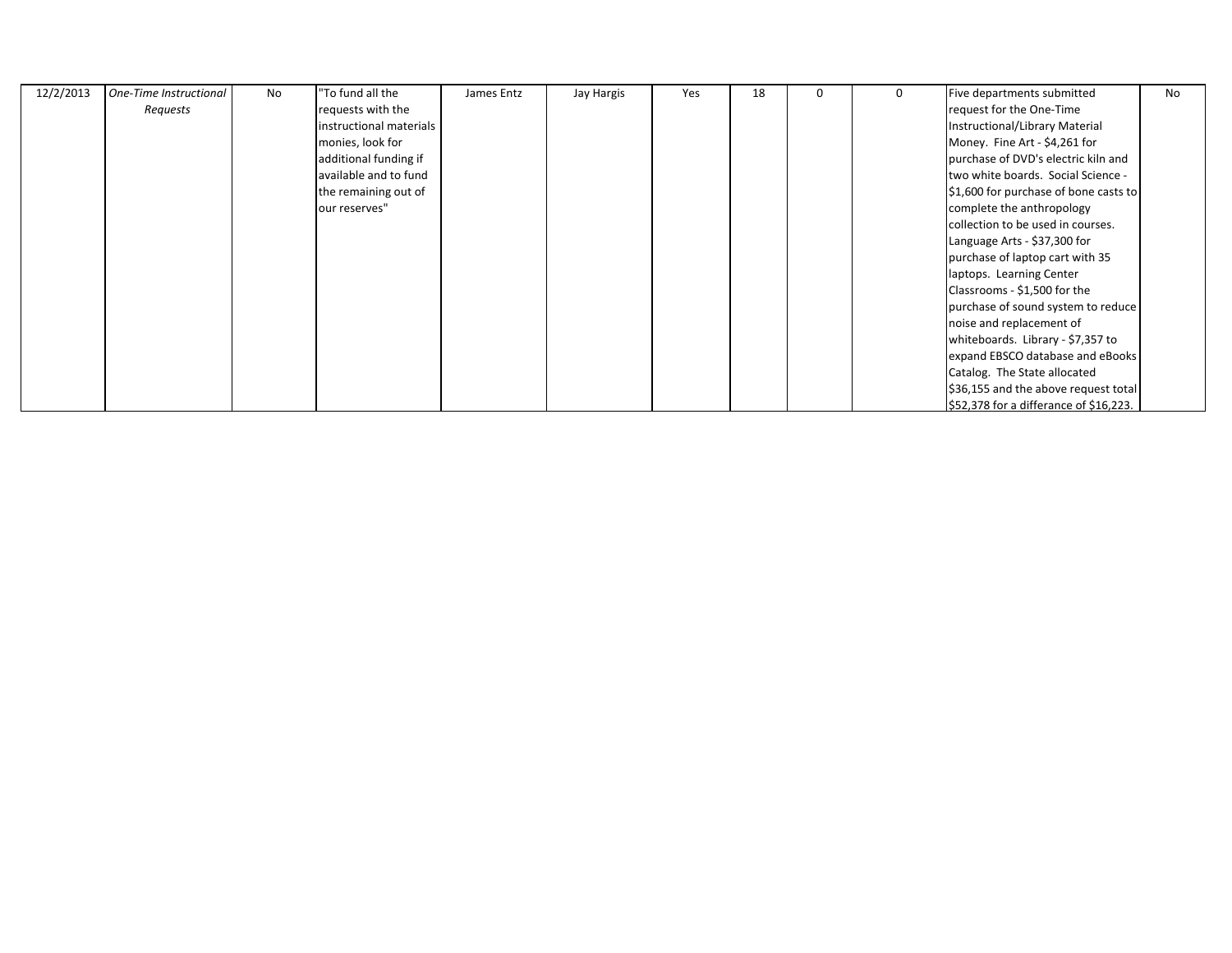| 12/2/2013 | One-Time Instructional | No | 'To fund all the        | James Entz | Jay Hargis | Yes | 18 | 0 | 0 | Five departments submitted             | No |
|-----------|------------------------|----|-------------------------|------------|------------|-----|----|---|---|----------------------------------------|----|
|           | Requests               |    | requests with the       |            |            |     |    |   |   | request for the One-Time               |    |
|           |                        |    | instructional materials |            |            |     |    |   |   | Instructional/Library Material         |    |
|           |                        |    | monies, look for        |            |            |     |    |   |   | Money. Fine Art - \$4,261 for          |    |
|           |                        |    | additional funding if   |            |            |     |    |   |   | purchase of DVD's electric kiln and    |    |
|           |                        |    | available and to fund   |            |            |     |    |   |   | two white boards. Social Science -     |    |
|           |                        |    | the remaining out of    |            |            |     |    |   |   | \$1,600 for purchase of bone casts to  |    |
|           |                        |    | our reserves"           |            |            |     |    |   |   | complete the anthropology              |    |
|           |                        |    |                         |            |            |     |    |   |   | collection to be used in courses.      |    |
|           |                        |    |                         |            |            |     |    |   |   | Language Arts - \$37,300 for           |    |
|           |                        |    |                         |            |            |     |    |   |   | purchase of laptop cart with 35        |    |
|           |                        |    |                         |            |            |     |    |   |   | laptops. Learning Center               |    |
|           |                        |    |                         |            |            |     |    |   |   | Classrooms - \$1,500 for the           |    |
|           |                        |    |                         |            |            |     |    |   |   | purchase of sound system to reduce     |    |
|           |                        |    |                         |            |            |     |    |   |   | noise and replacement of               |    |
|           |                        |    |                         |            |            |     |    |   |   | whiteboards. Library - \$7,357 to      |    |
|           |                        |    |                         |            |            |     |    |   |   | expand EBSCO database and eBooks       |    |
|           |                        |    |                         |            |            |     |    |   |   | Catalog. The State allocated           |    |
|           |                        |    |                         |            |            |     |    |   |   | \$36,155 and the above request total   |    |
|           |                        |    |                         |            |            |     |    |   |   | \$52,378 for a differance of \$16,223. |    |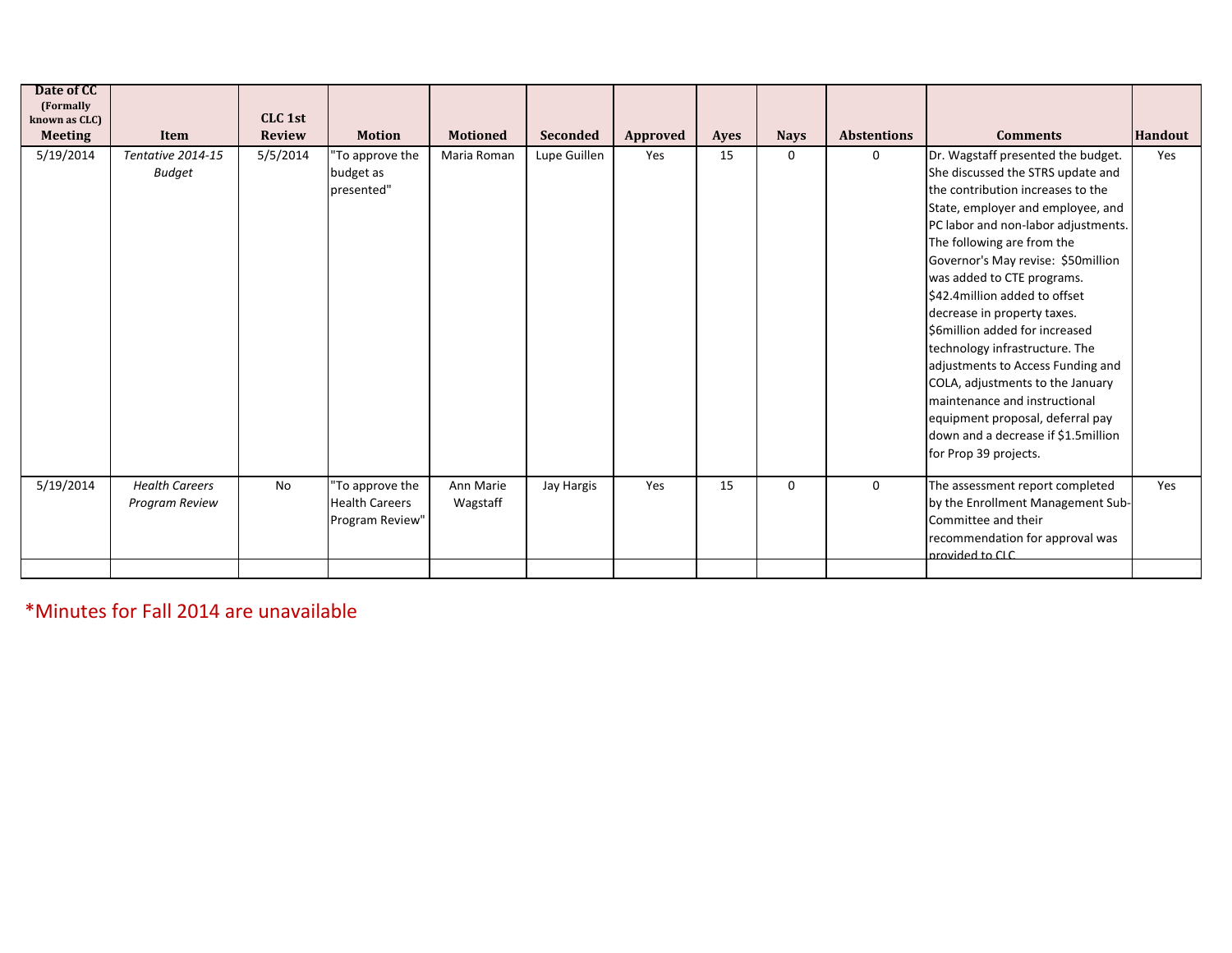| Date of CC<br>(Formally<br>known as CLC) |                                         | CLC 1st       |                                                             |                       |                 |          |      |             |                    |                                                                                                                                                                                                                                                                                                                                                                                                                                                                                                                                                                                                                                               |                |
|------------------------------------------|-----------------------------------------|---------------|-------------------------------------------------------------|-----------------------|-----------------|----------|------|-------------|--------------------|-----------------------------------------------------------------------------------------------------------------------------------------------------------------------------------------------------------------------------------------------------------------------------------------------------------------------------------------------------------------------------------------------------------------------------------------------------------------------------------------------------------------------------------------------------------------------------------------------------------------------------------------------|----------------|
| <b>Meeting</b>                           | Item                                    | <b>Review</b> | <b>Motion</b>                                               | <b>Motioned</b>       | <b>Seconded</b> | Approved | Ayes | <b>Nays</b> | <b>Abstentions</b> | <b>Comments</b>                                                                                                                                                                                                                                                                                                                                                                                                                                                                                                                                                                                                                               | <b>Handout</b> |
| 5/19/2014                                | Tentative 2014-15<br>Budget             | 5/5/2014      | "To approve the<br>budget as<br>presented"                  | Maria Roman           | Lupe Guillen    | Yes      | 15   | $\Omega$    | 0                  | Dr. Wagstaff presented the budget.<br>She discussed the STRS update and<br>the contribution increases to the<br>State, employer and employee, and<br>PC labor and non-labor adjustments.<br>The following are from the<br>Governor's May revise: \$50million<br>was added to CTE programs.<br>\$42.4 million added to offset<br>decrease in property taxes.<br>S6million added for increased<br>technology infrastructure. The<br>adjustments to Access Funding and<br>COLA, adjustments to the January<br>maintenance and instructional<br>equipment proposal, deferral pay<br>down and a decrease if \$1.5 million<br>for Prop 39 projects. | Yes            |
| 5/19/2014                                | <b>Health Careers</b><br>Program Review | No            | "To approve the<br><b>Health Careers</b><br>Program Review" | Ann Marie<br>Wagstaff | Jay Hargis      | Yes      | 15   | $\Omega$    | 0                  | The assessment report completed<br>by the Enrollment Management Sub-<br>Committee and their<br>recommendation for approval was<br>O D ot habivone                                                                                                                                                                                                                                                                                                                                                                                                                                                                                             | Yes            |

\*Minutes for Fall 2014 are unavailable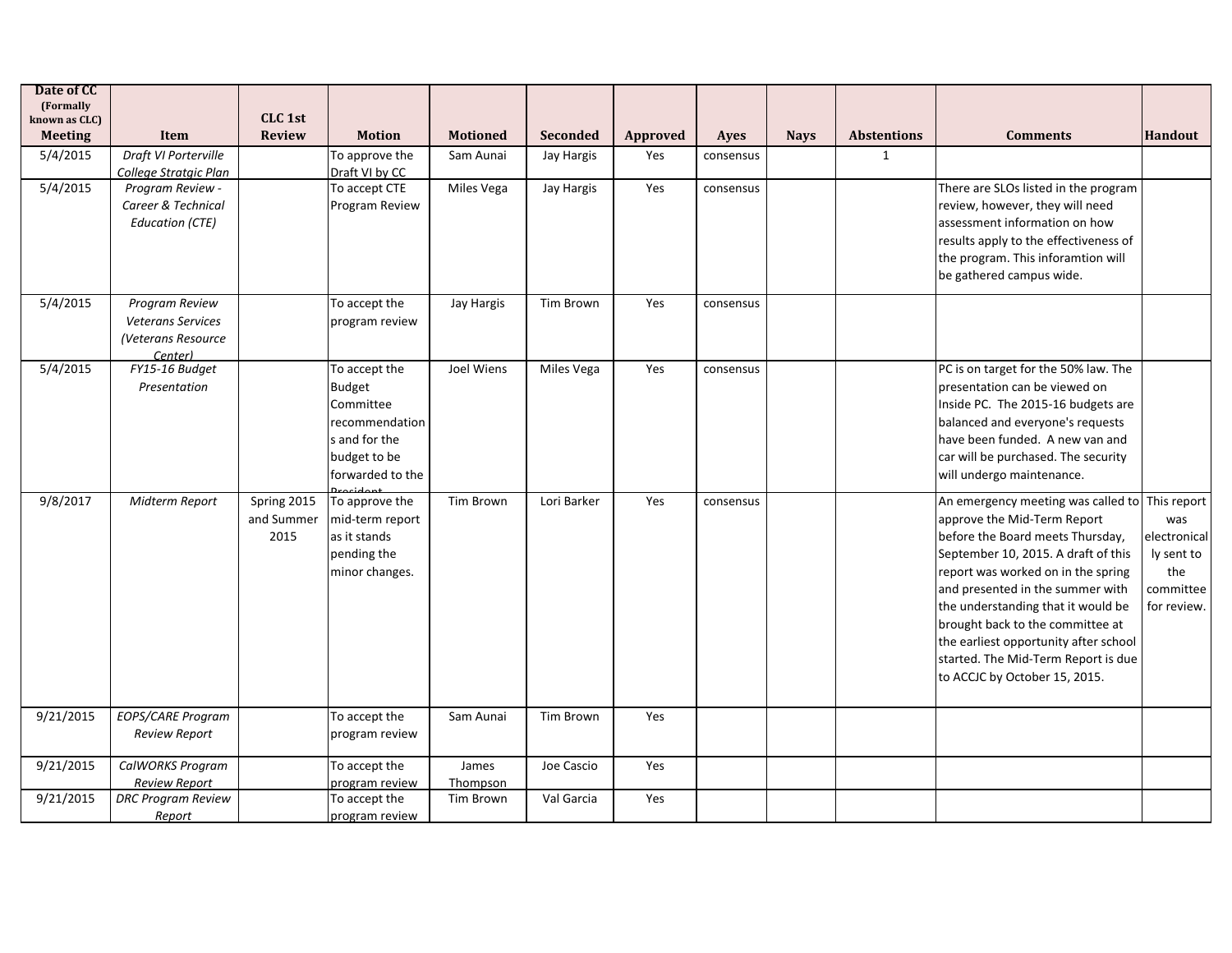| Date of CC<br>(Formally<br>known as CLC) |                                                                             | CLC <sub>1st</sub>                |                                                                                                                    |                   |                 |          |           |             |                    |                                                                                                                                                                                                                                                                                                                                                                                                                               |                                                                      |
|------------------------------------------|-----------------------------------------------------------------------------|-----------------------------------|--------------------------------------------------------------------------------------------------------------------|-------------------|-----------------|----------|-----------|-------------|--------------------|-------------------------------------------------------------------------------------------------------------------------------------------------------------------------------------------------------------------------------------------------------------------------------------------------------------------------------------------------------------------------------------------------------------------------------|----------------------------------------------------------------------|
| <b>Meeting</b>                           | <b>Item</b>                                                                 | <b>Review</b>                     | <b>Motion</b>                                                                                                      | <b>Motioned</b>   | <b>Seconded</b> | Approved | Ayes      | <b>Nays</b> | <b>Abstentions</b> | <b>Comments</b>                                                                                                                                                                                                                                                                                                                                                                                                               | Handout                                                              |
| 5/4/2015                                 | Draft VI Porterville<br>College Stratgic Plan                               |                                   | To approve the<br>Draft VI by CC                                                                                   | Sam Aunai         | Jay Hargis      | Yes      | consensus |             | $\mathbf{1}$       |                                                                                                                                                                                                                                                                                                                                                                                                                               |                                                                      |
| 5/4/2015                                 | Program Review -<br>Career & Technical<br><b>Education (CTE)</b>            |                                   | To accept CTE<br>Program Review                                                                                    | Miles Vega        | Jay Hargis      | Yes      | consensus |             |                    | There are SLOs listed in the program<br>review, however, they will need<br>assessment information on how<br>results apply to the effectiveness of<br>the program. This inforamtion will<br>be gathered campus wide.                                                                                                                                                                                                           |                                                                      |
| 5/4/2015                                 | Program Review<br><b>Veterans Services</b><br>(Veterans Resource<br>(enter) |                                   | To accept the<br>program review                                                                                    | Jay Hargis        | Tim Brown       | Yes      | consensus |             |                    |                                                                                                                                                                                                                                                                                                                                                                                                                               |                                                                      |
| 5/4/2015                                 | FY15-16 Budget<br>Presentation                                              |                                   | To accept the<br><b>Budget</b><br>Committee<br>recommendation<br>s and for the<br>budget to be<br>forwarded to the | Joel Wiens        | Miles Vega      | Yes      | consensus |             |                    | PC is on target for the 50% law. The<br>presentation can be viewed on<br>Inside PC. The 2015-16 budgets are<br>balanced and everyone's requests<br>have been funded. A new van and<br>car will be purchased. The security<br>will undergo maintenance.                                                                                                                                                                        |                                                                      |
| 9/8/2017                                 | Midterm Report                                                              | Spring 2015<br>and Summer<br>2015 | To approve the<br>mid-term report<br>as it stands<br>pending the<br>minor changes.                                 | <b>Tim Brown</b>  | Lori Barker     | Yes      | consensus |             |                    | An emergency meeting was called to This report<br>approve the Mid-Term Report<br>before the Board meets Thursday,<br>September 10, 2015. A draft of this<br>report was worked on in the spring<br>and presented in the summer with<br>the understanding that it would be<br>brought back to the committee at<br>the earliest opportunity after school<br>started. The Mid-Term Report is due<br>to ACCJC by October 15, 2015. | was<br>electronical<br>ly sent to<br>the<br>committee<br>for review. |
| 9/21/2015                                | EOPS/CARE Program<br>Review Report                                          |                                   | To accept the<br>program review                                                                                    | Sam Aunai         | Tim Brown       | Yes      |           |             |                    |                                                                                                                                                                                                                                                                                                                                                                                                                               |                                                                      |
| 9/21/2015                                | CalWORKS Program<br><b>Review Report</b>                                    |                                   | To accept the<br>program review                                                                                    | James<br>Thompson | Joe Cascio      | Yes      |           |             |                    |                                                                                                                                                                                                                                                                                                                                                                                                                               |                                                                      |
| 9/21/2015                                | <b>DRC Program Review</b><br>Report                                         |                                   | To accept the<br>program review                                                                                    | Tim Brown         | Val Garcia      | Yes      |           |             |                    |                                                                                                                                                                                                                                                                                                                                                                                                                               |                                                                      |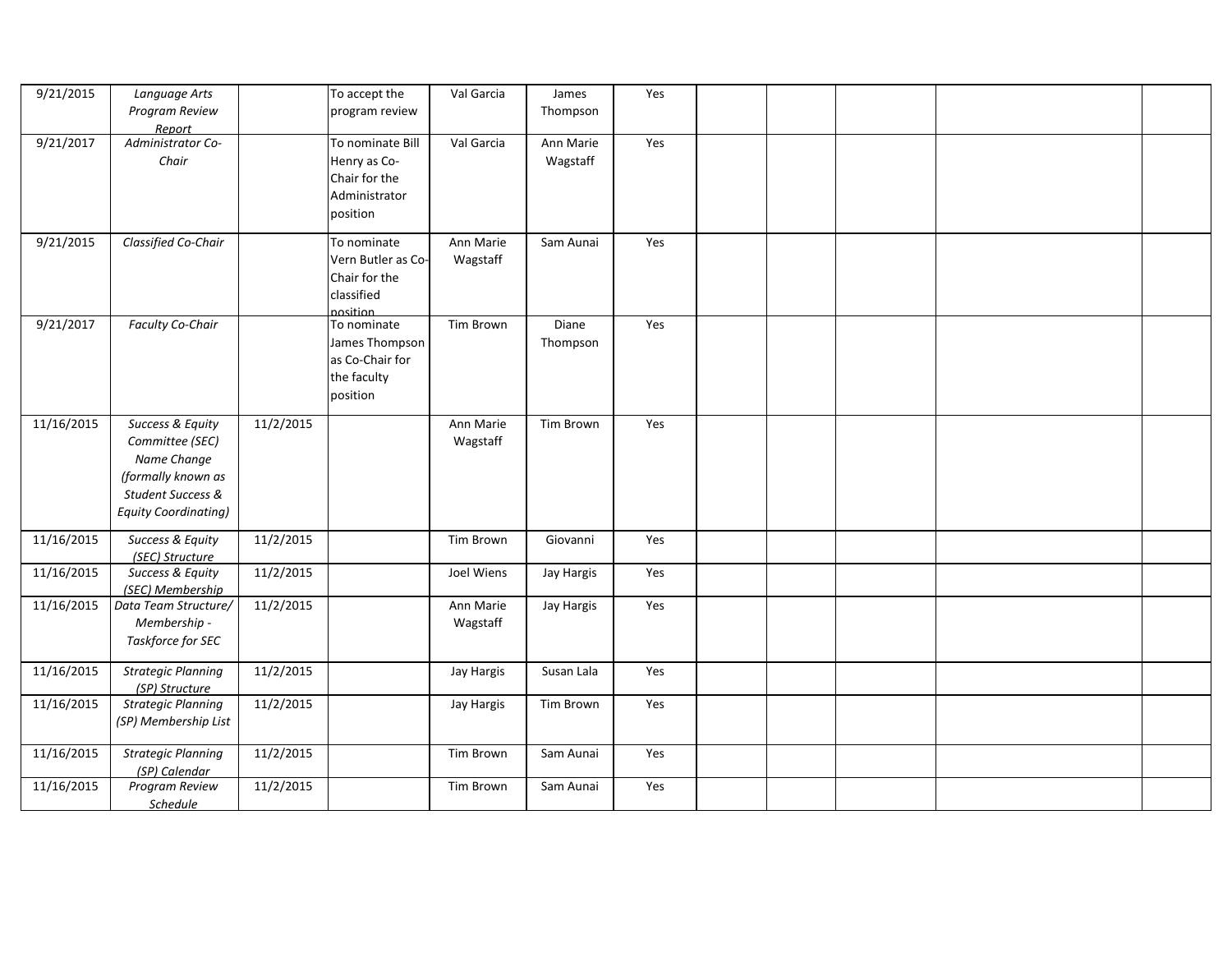| 9/21/2015  | Language Arts                                                                                                                |           | To accept the                                                                  | Val Garcia            | James                 | Yes |  |  |  |
|------------|------------------------------------------------------------------------------------------------------------------------------|-----------|--------------------------------------------------------------------------------|-----------------------|-----------------------|-----|--|--|--|
|            | Program Review<br>Report                                                                                                     |           | program review                                                                 |                       | Thompson              |     |  |  |  |
| 9/21/2017  | Administrator Co-<br>Chair                                                                                                   |           | To nominate Bill<br>Henry as Co-<br>Chair for the<br>Administrator<br>position | Val Garcia            | Ann Marie<br>Wagstaff | Yes |  |  |  |
| 9/21/2015  | Classified Co-Chair                                                                                                          |           | To nominate<br>Vern Butler as Co-<br>Chair for the<br>classified<br>nosition   | Ann Marie<br>Wagstaff | Sam Aunai             | Yes |  |  |  |
| 9/21/2017  | <b>Faculty Co-Chair</b>                                                                                                      |           | To nominate<br>James Thompson<br>as Co-Chair for<br>the faculty<br>position    | Tim Brown             | Diane<br>Thompson     | Yes |  |  |  |
| 11/16/2015 | Success & Equity<br>Committee (SEC)<br>Name Change<br>(formally known as<br>Student Success &<br><b>Equity Coordinating)</b> | 11/2/2015 |                                                                                | Ann Marie<br>Wagstaff | Tim Brown             | Yes |  |  |  |
| 11/16/2015 | Success & Equity<br>(SEC) Structure                                                                                          | 11/2/2015 |                                                                                | Tim Brown             | Giovanni              | Yes |  |  |  |
| 11/16/2015 | Success & Equity<br>(SEC) Membership                                                                                         | 11/2/2015 |                                                                                | Joel Wiens            | Jay Hargis            | Yes |  |  |  |
| 11/16/2015 | Data Team Structure/<br>Membership -<br>Taskforce for SEC                                                                    | 11/2/2015 |                                                                                | Ann Marie<br>Wagstaff | Jay Hargis            | Yes |  |  |  |
| 11/16/2015 | <b>Strategic Planning</b><br>(SP) Structure                                                                                  | 11/2/2015 |                                                                                | Jay Hargis            | Susan Lala            | Yes |  |  |  |
| 11/16/2015 | <b>Strategic Planning</b><br>(SP) Membership List                                                                            | 11/2/2015 |                                                                                | Jay Hargis            | Tim Brown             | Yes |  |  |  |
| 11/16/2015 | <b>Strategic Planning</b><br>(SP) Calendar                                                                                   | 11/2/2015 |                                                                                | Tim Brown             | Sam Aunai             | Yes |  |  |  |
| 11/16/2015 | Program Review<br><b>Schedule</b>                                                                                            | 11/2/2015 |                                                                                | Tim Brown             | Sam Aunai             | Yes |  |  |  |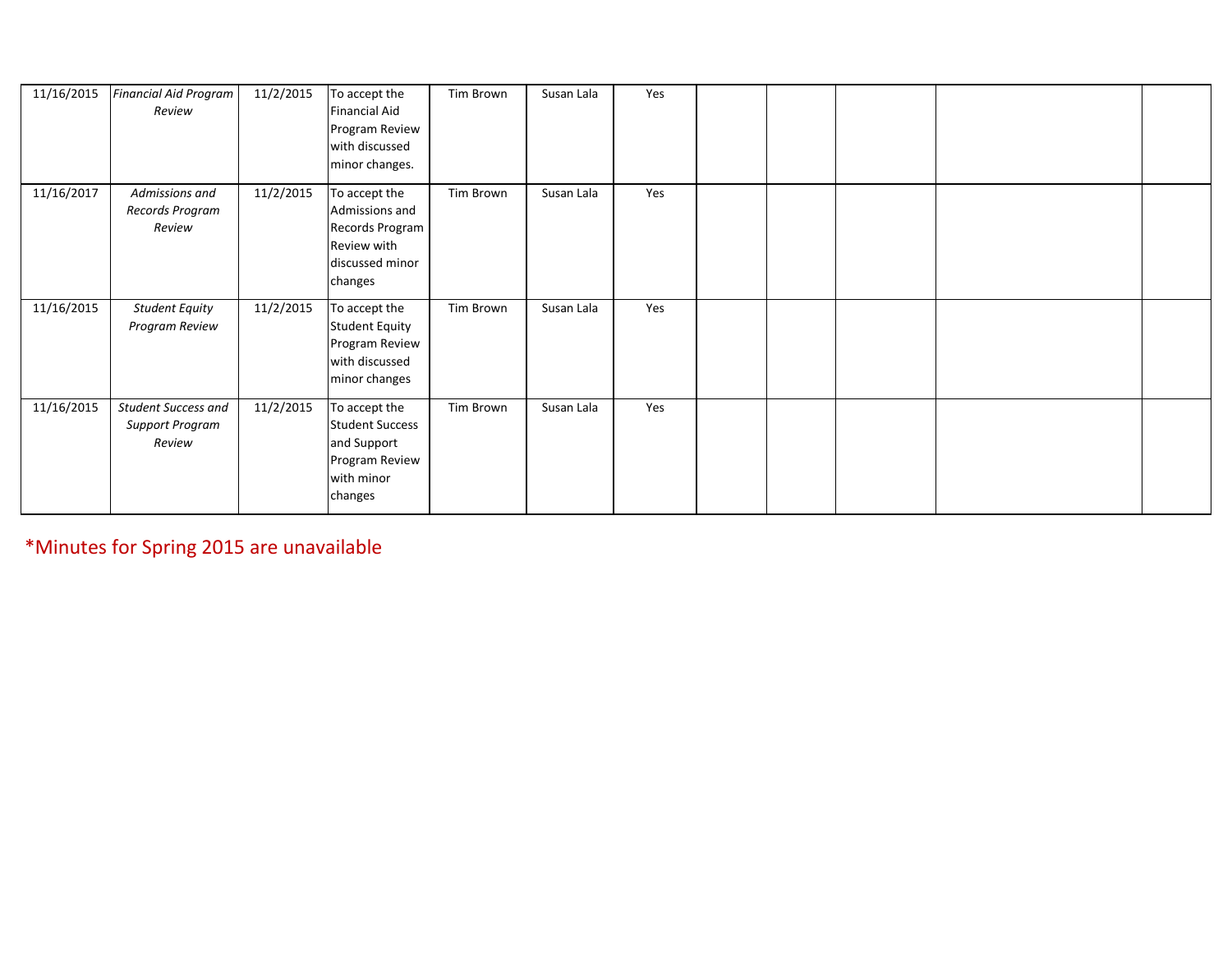| 11/16/2015 | Financial Aid Program<br>Review                         | 11/2/2015 | To accept the<br><b>Financial Aid</b><br>Program Review<br>with discussed<br>minor changes.       | Tim Brown | Susan Lala | Yes |  |  |  |
|------------|---------------------------------------------------------|-----------|---------------------------------------------------------------------------------------------------|-----------|------------|-----|--|--|--|
| 11/16/2017 | Admissions and<br>Records Program<br>Review             | 11/2/2015 | To accept the<br>Admissions and<br>Records Program<br>Review with<br>discussed minor<br>changes   | Tim Brown | Susan Lala | Yes |  |  |  |
| 11/16/2015 | <b>Student Equity</b><br>Program Review                 | 11/2/2015 | To accept the<br><b>Student Equity</b><br>Program Review<br>with discussed<br>minor changes       | Tim Brown | Susan Lala | Yes |  |  |  |
| 11/16/2015 | Student Success and<br><b>Support Program</b><br>Review | 11/2/2015 | To accept the<br><b>Student Success</b><br>and Support<br>Program Review<br>with minor<br>changes | Tim Brown | Susan Lala | Yes |  |  |  |

\*Minutes for Spring 2015 are unavailable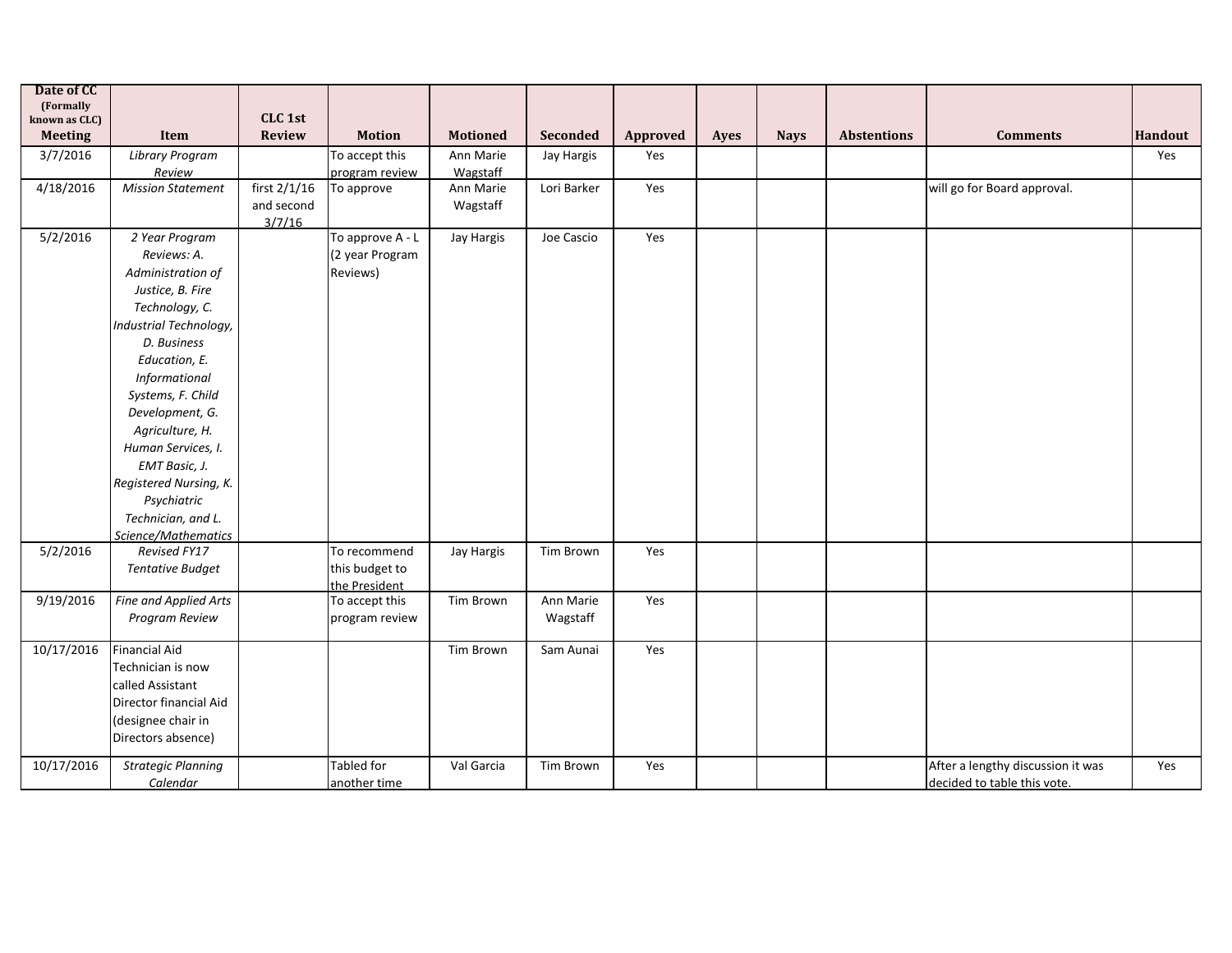| Date of CC                 |                           |               |                                 |                 |             |          |      |             |                    |                                   |         |
|----------------------------|---------------------------|---------------|---------------------------------|-----------------|-------------|----------|------|-------------|--------------------|-----------------------------------|---------|
| (Formally<br>known as CLC) |                           | CLC 1st       |                                 |                 |             |          |      |             |                    |                                   |         |
| <b>Meeting</b>             | Item                      | <b>Review</b> | <b>Motion</b>                   | <b>Motioned</b> | Seconded    | Approved | Ayes | <b>Nays</b> | <b>Abstentions</b> | <b>Comments</b>                   | Handout |
| 3/7/2016                   | <b>Library Program</b>    |               | To accept this                  | Ann Marie       | Jay Hargis  | Yes      |      |             |                    |                                   | Yes     |
|                            | Review                    |               | program review                  | Wagstaff        |             |          |      |             |                    |                                   |         |
| 4/18/2016                  | <b>Mission Statement</b>  | first 2/1/16  | To approve                      | Ann Marie       | Lori Barker | Yes      |      |             |                    | will go for Board approval.       |         |
|                            |                           | and second    |                                 | Wagstaff        |             |          |      |             |                    |                                   |         |
|                            |                           | 3/7/16        |                                 |                 |             |          |      |             |                    |                                   |         |
| 5/2/2016                   | 2 Year Program            |               | To approve A - L                | Jay Hargis      | Joe Cascio  | Yes      |      |             |                    |                                   |         |
|                            | Reviews: A.               |               | (2 year Program                 |                 |             |          |      |             |                    |                                   |         |
|                            | Administration of         |               | Reviews)                        |                 |             |          |      |             |                    |                                   |         |
|                            | Justice, B. Fire          |               |                                 |                 |             |          |      |             |                    |                                   |         |
|                            | Technology, C.            |               |                                 |                 |             |          |      |             |                    |                                   |         |
|                            | Industrial Technology,    |               |                                 |                 |             |          |      |             |                    |                                   |         |
|                            | D. Business               |               |                                 |                 |             |          |      |             |                    |                                   |         |
|                            | Education, E.             |               |                                 |                 |             |          |      |             |                    |                                   |         |
|                            | Informational             |               |                                 |                 |             |          |      |             |                    |                                   |         |
|                            | Systems, F. Child         |               |                                 |                 |             |          |      |             |                    |                                   |         |
|                            | Development, G.           |               |                                 |                 |             |          |      |             |                    |                                   |         |
|                            | Agriculture, H.           |               |                                 |                 |             |          |      |             |                    |                                   |         |
|                            | Human Services, I.        |               |                                 |                 |             |          |      |             |                    |                                   |         |
|                            | EMT Basic, J.             |               |                                 |                 |             |          |      |             |                    |                                   |         |
|                            | Registered Nursing, K.    |               |                                 |                 |             |          |      |             |                    |                                   |         |
|                            | Psychiatric               |               |                                 |                 |             |          |      |             |                    |                                   |         |
|                            | Technician, and L.        |               |                                 |                 |             |          |      |             |                    |                                   |         |
|                            | Science/Mathematics       |               |                                 |                 |             |          |      |             |                    |                                   |         |
| 5/2/2016                   | Revised FY17              |               | To recommend                    | Jay Hargis      | Tim Brown   | Yes      |      |             |                    |                                   |         |
|                            | <b>Tentative Budget</b>   |               | this budget to                  |                 |             |          |      |             |                    |                                   |         |
| 9/19/2016                  | Fine and Applied Arts     |               | the President<br>To accept this | Tim Brown       | Ann Marie   | Yes      |      |             |                    |                                   |         |
|                            | Program Review            |               | program review                  |                 | Wagstaff    |          |      |             |                    |                                   |         |
|                            |                           |               |                                 |                 |             |          |      |             |                    |                                   |         |
| 10/17/2016                 | <b>Financial Aid</b>      |               |                                 | Tim Brown       | Sam Aunai   | Yes      |      |             |                    |                                   |         |
|                            | Technician is now         |               |                                 |                 |             |          |      |             |                    |                                   |         |
|                            | called Assistant          |               |                                 |                 |             |          |      |             |                    |                                   |         |
|                            | Director financial Aid    |               |                                 |                 |             |          |      |             |                    |                                   |         |
|                            | (designee chair in        |               |                                 |                 |             |          |      |             |                    |                                   |         |
|                            | Directors absence)        |               |                                 |                 |             |          |      |             |                    |                                   |         |
| 10/17/2016                 | <b>Strategic Planning</b> |               | Tabled for                      | Val Garcia      | Tim Brown   | Yes      |      |             |                    | After a lengthy discussion it was | Yes     |
|                            |                           |               |                                 |                 |             |          |      |             |                    |                                   |         |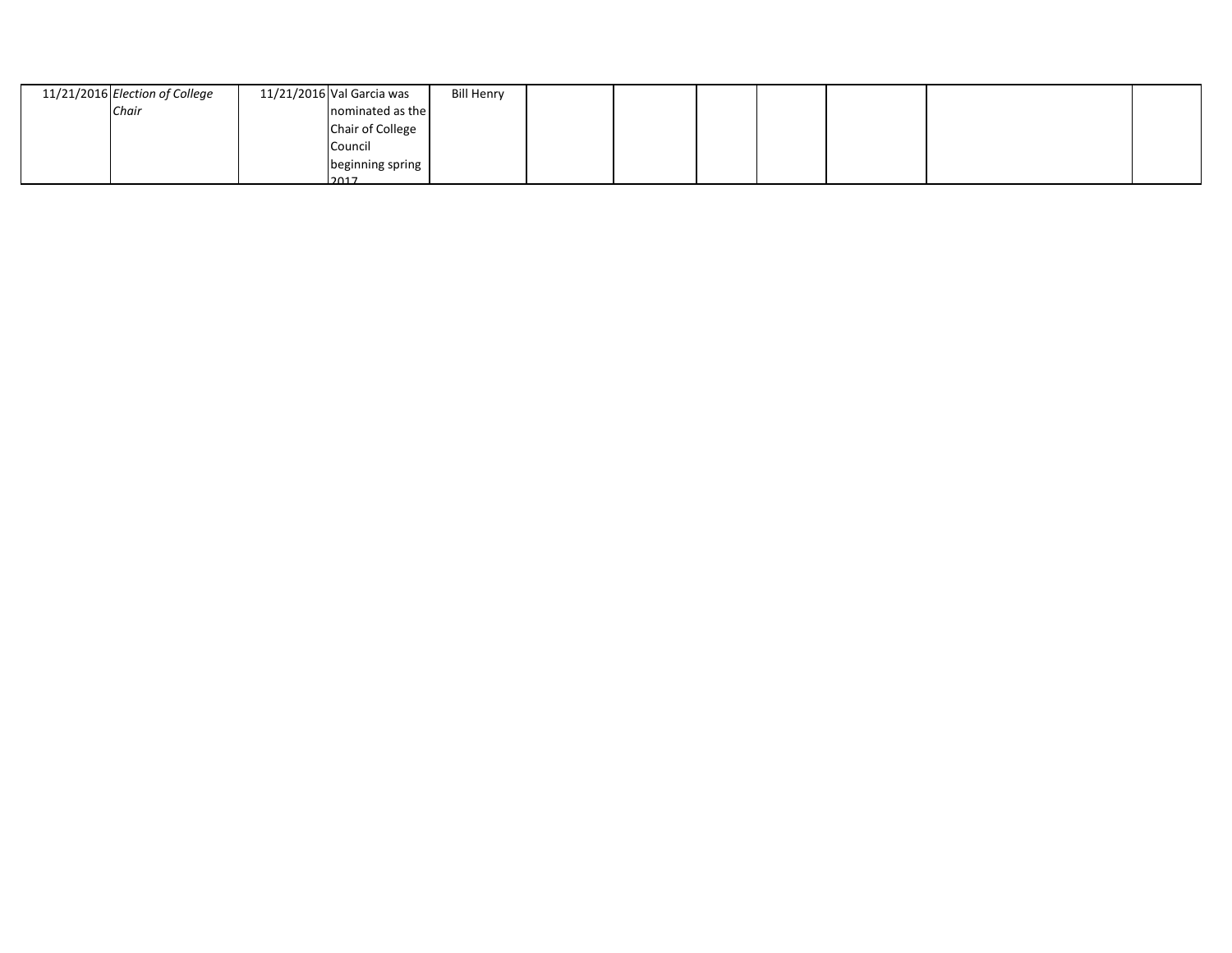| 11/21/2016 Election of College | 11/21/2016 Val Garcia was | <b>Bill Henry</b> |  |  |  |  |
|--------------------------------|---------------------------|-------------------|--|--|--|--|
| Chair                          | nominated as the          |                   |  |  |  |  |
|                                | Chair of College          |                   |  |  |  |  |
|                                | Council                   |                   |  |  |  |  |
|                                | beginning spring          |                   |  |  |  |  |
|                                | 2017                      |                   |  |  |  |  |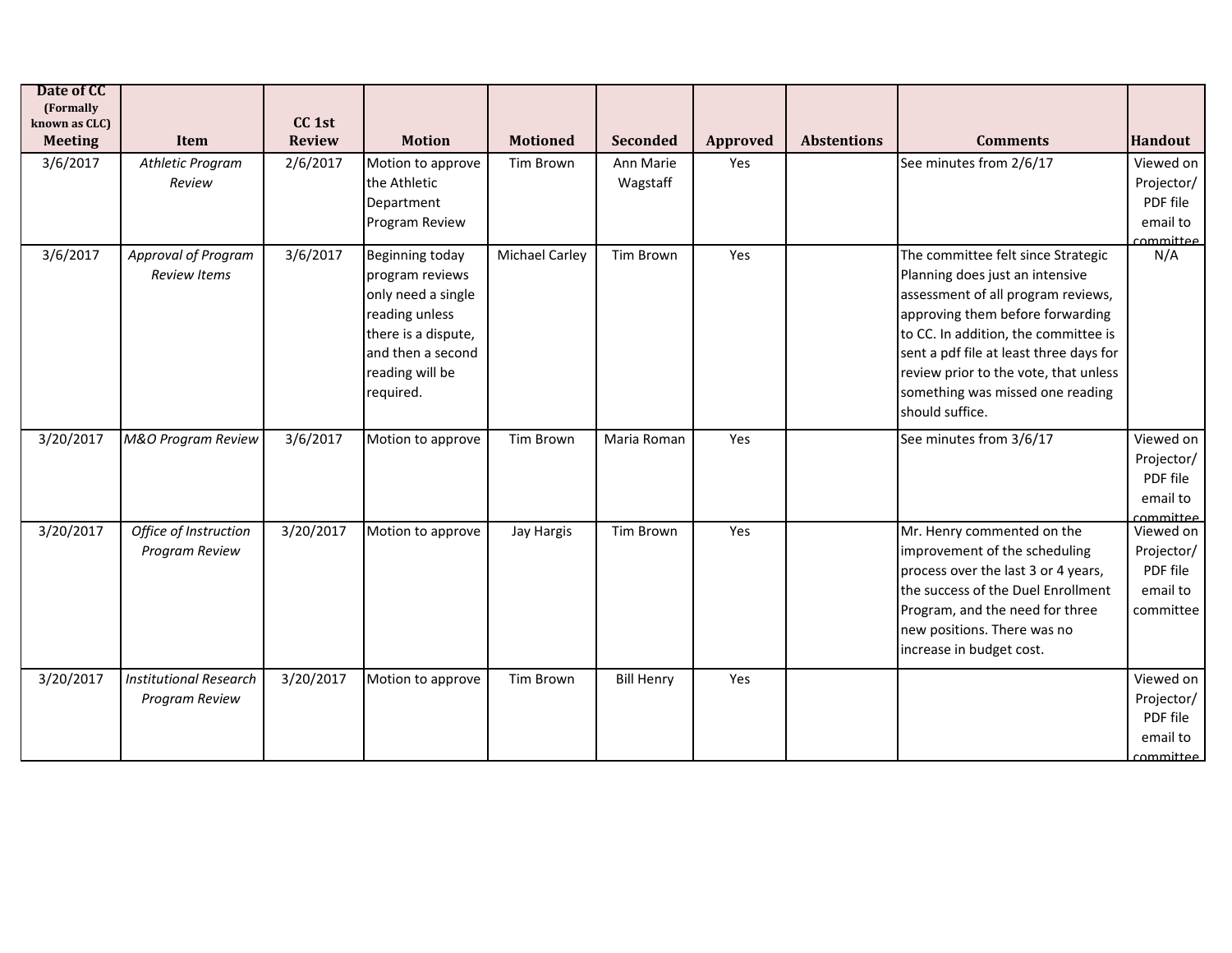| Date of CC<br>(Formally<br>known as CLC)<br><b>Meeting</b> | Item                                            | CC <sub>1st</sub><br><b>Review</b> | <b>Motion</b>                                                                                                                                                 | <b>Motioned</b>       | <b>Seconded</b>       | Approved | <b>Abstentions</b> | <b>Comments</b>                                                                                                                                                                                                                                                                                                                    | <b>Handout</b>                                                      |
|------------------------------------------------------------|-------------------------------------------------|------------------------------------|---------------------------------------------------------------------------------------------------------------------------------------------------------------|-----------------------|-----------------------|----------|--------------------|------------------------------------------------------------------------------------------------------------------------------------------------------------------------------------------------------------------------------------------------------------------------------------------------------------------------------------|---------------------------------------------------------------------|
| 3/6/2017                                                   | Athletic Program<br>Review                      | 2/6/2017                           | Motion to approve<br>the Athletic<br>Department<br>Program Review                                                                                             | Tim Brown             | Ann Marie<br>Wagstaff | Yes      |                    | See minutes from 2/6/17                                                                                                                                                                                                                                                                                                            | Viewed on<br>Projector/<br>PDF file<br>email to<br>committee        |
| 3/6/2017                                                   | Approval of Program<br>Review Items             | 3/6/2017                           | <b>Beginning today</b><br>program reviews<br>only need a single<br>reading unless<br>there is a dispute,<br>and then a second<br>reading will be<br>required. | <b>Michael Carley</b> | Tim Brown             | Yes      |                    | The committee felt since Strategic<br>Planning does just an intensive<br>assessment of all program reviews,<br>approving them before forwarding<br>to CC. In addition, the committee is<br>sent a pdf file at least three days for<br>review prior to the vote, that unless<br>something was missed one reading<br>should suffice. | N/A                                                                 |
| 3/20/2017                                                  | M&O Program Review                              | 3/6/2017                           | Motion to approve                                                                                                                                             | Tim Brown             | Maria Roman           | Yes      |                    | See minutes from 3/6/17                                                                                                                                                                                                                                                                                                            | Viewed on<br>Projector/<br>PDF file<br>email to<br><u>committee</u> |
| 3/20/2017                                                  | Office of Instruction<br>Program Review         | 3/20/2017                          | Motion to approve                                                                                                                                             | Jay Hargis            | Tim Brown             | Yes      |                    | Mr. Henry commented on the<br>improvement of the scheduling<br>process over the last 3 or 4 years,<br>the success of the Duel Enrollment<br>Program, and the need for three<br>new positions. There was no<br>increase in budget cost.                                                                                             | Viewed on<br>Projector/<br>PDF file<br>email to<br>committee        |
| 3/20/2017                                                  | <b>Institutional Research</b><br>Program Review | 3/20/2017                          | Motion to approve                                                                                                                                             | Tim Brown             | <b>Bill Henry</b>     | Yes      |                    |                                                                                                                                                                                                                                                                                                                                    | Viewed on<br>Projector/<br>PDF file<br>email to<br>committee        |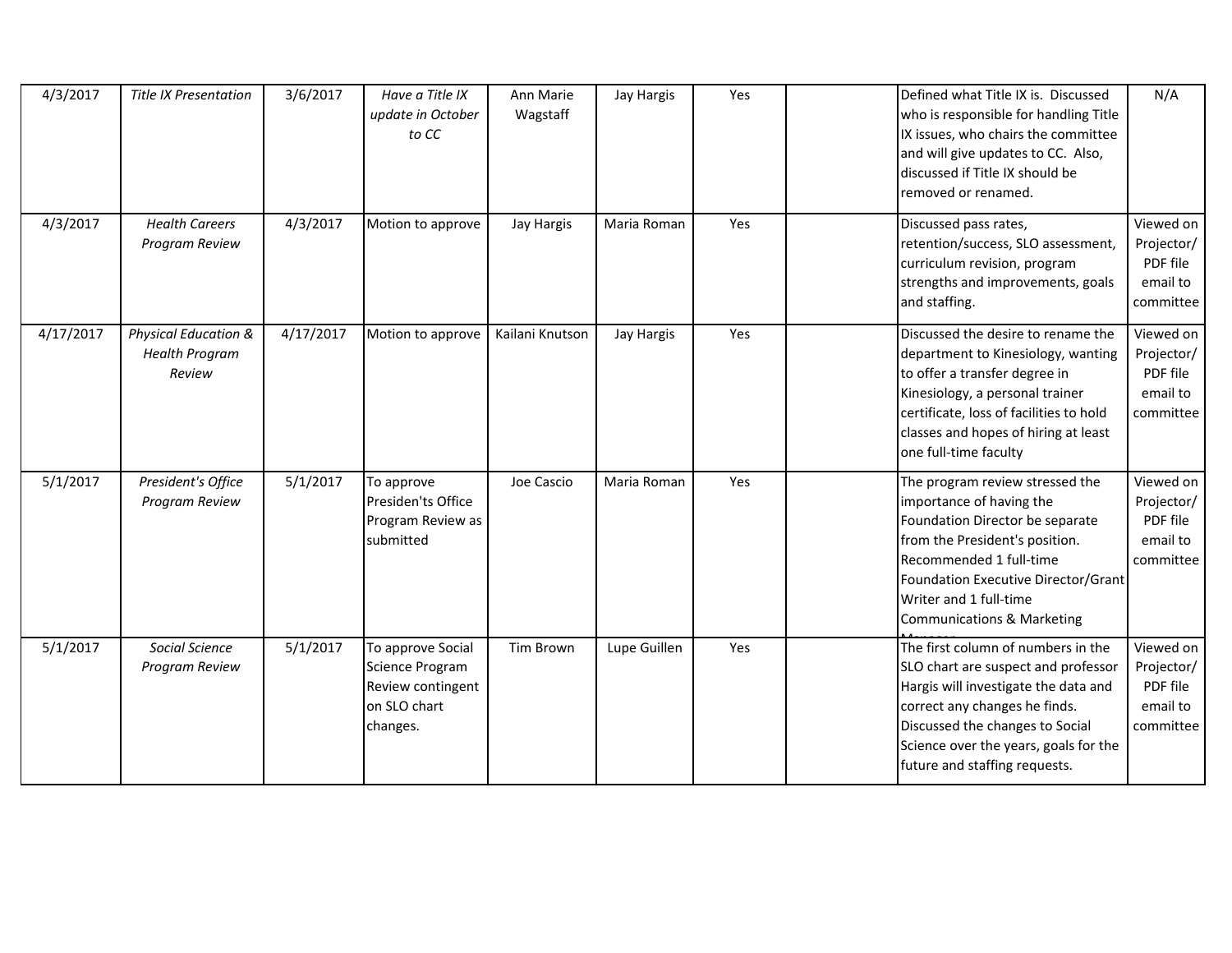| 4/3/2017  | <b>Title IX Presentation</b>                            | 3/6/2017  | Have a Title IX<br>update in October<br>to CC                                         | Ann Marie<br>Wagstaff | Jay Hargis   | Yes | Defined what Title IX is. Discussed<br>who is responsible for handling Title<br>IX issues, who chairs the committee<br>and will give updates to CC. Also,<br>discussed if Title IX should be<br>removed or renamed.                                                   | N/A                                                          |
|-----------|---------------------------------------------------------|-----------|---------------------------------------------------------------------------------------|-----------------------|--------------|-----|-----------------------------------------------------------------------------------------------------------------------------------------------------------------------------------------------------------------------------------------------------------------------|--------------------------------------------------------------|
| 4/3/2017  | <b>Health Careers</b><br>Program Review                 | 4/3/2017  | Motion to approve                                                                     | <b>Jay Hargis</b>     | Maria Roman  | Yes | Discussed pass rates,<br>retention/success, SLO assessment,<br>curriculum revision, program<br>strengths and improvements, goals<br>and staffing.                                                                                                                     | Viewed on<br>Projector/<br>PDF file<br>email to<br>committee |
| 4/17/2017 | Physical Education &<br><b>Health Program</b><br>Review | 4/17/2017 | Motion to approve                                                                     | Kailani Knutson       | Jay Hargis   | Yes | Discussed the desire to rename the<br>department to Kinesiology, wanting<br>to offer a transfer degree in<br>Kinesiology, a personal trainer<br>certificate, loss of facilities to hold<br>classes and hopes of hiring at least<br>one full-time faculty              | Viewed on<br>Projector/<br>PDF file<br>email to<br>committee |
| 5/1/2017  | President's Office<br>Program Review                    | 5/1/2017  | To approve<br>Presiden'ts Office<br>Program Review as<br>submitted                    | Joe Cascio            | Maria Roman  | Yes | The program review stressed the<br>importance of having the<br>Foundation Director be separate<br>from the President's position.<br>Recommended 1 full-time<br>Foundation Executive Director/Grant<br>Writer and 1 full-time<br><b>Communications &amp; Marketing</b> | Viewed on<br>Projector/<br>PDF file<br>email to<br>committee |
| 5/1/2017  | Social Science<br>Program Review                        | 5/1/2017  | To approve Social<br>Science Program<br>Review contingent<br>on SLO chart<br>changes. | Tim Brown             | Lupe Guillen | Yes | The first column of numbers in the<br>SLO chart are suspect and professor<br>Hargis will investigate the data and<br>correct any changes he finds.<br>Discussed the changes to Social<br>Science over the years, goals for the<br>future and staffing requests.       | Viewed on<br>Projector/<br>PDF file<br>email to<br>committee |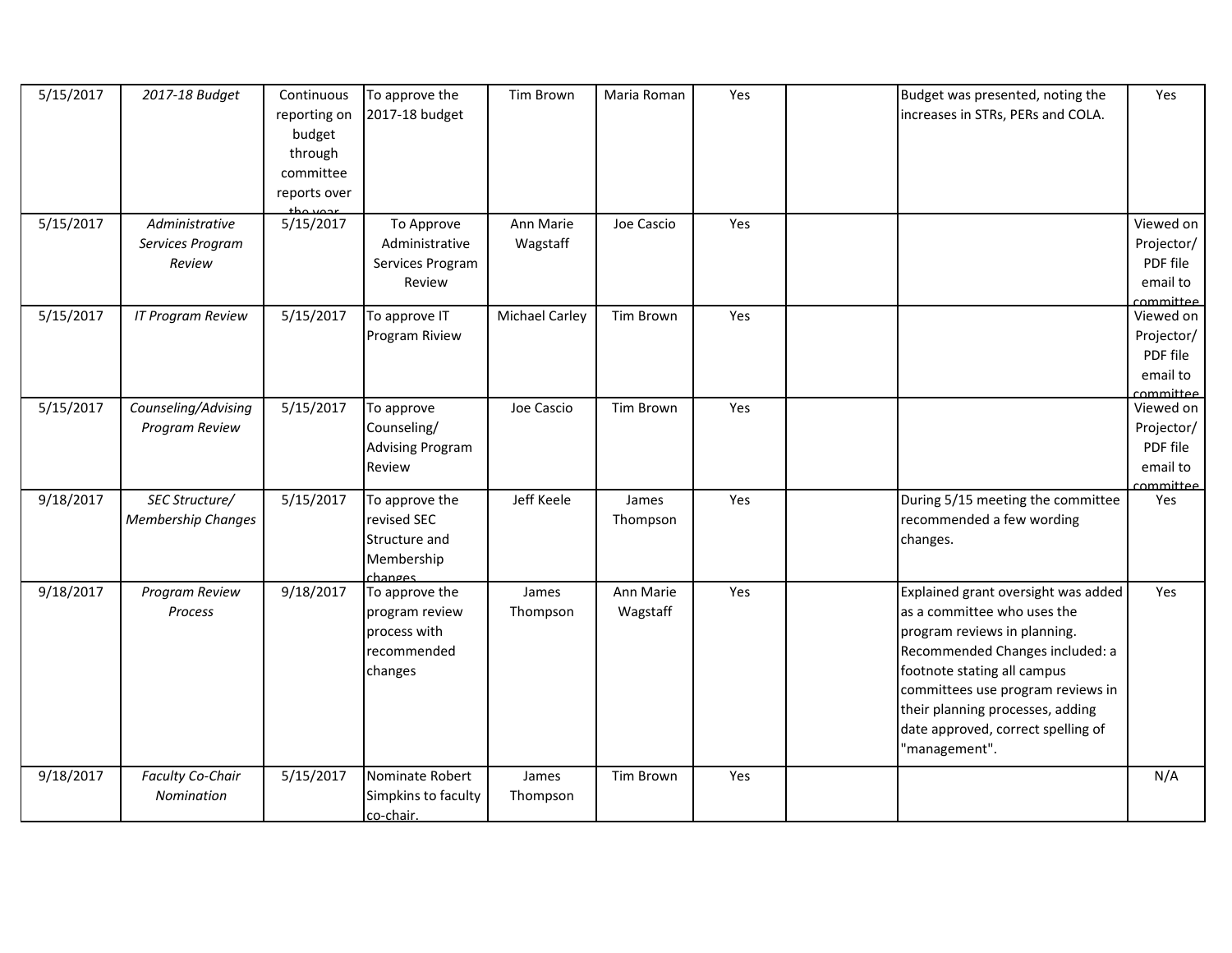| 5/15/2017<br>5/15/2017 | 2017-18 Budget<br>Administrative            | Continuous<br>reporting on<br>budget<br>through<br>committee<br>reports over<br>tha waar<br>5/15/2017 | To approve the<br>2017-18 budget<br>To Approve                             | Tim Brown<br>Ann Marie | Maria Roman<br>Joe Cascio | Yes<br>Yes | Budget was presented, noting the<br>increases in STRs, PERs and COLA.                                                                                                                                                                                                                                | Yes<br>Viewed on                                             |
|------------------------|---------------------------------------------|-------------------------------------------------------------------------------------------------------|----------------------------------------------------------------------------|------------------------|---------------------------|------------|------------------------------------------------------------------------------------------------------------------------------------------------------------------------------------------------------------------------------------------------------------------------------------------------------|--------------------------------------------------------------|
|                        | Services Program<br>Review                  |                                                                                                       | Administrative<br>Services Program<br>Review                               | Wagstaff               |                           |            |                                                                                                                                                                                                                                                                                                      | Projector/<br>PDF file<br>email to<br>committee              |
| 5/15/2017              | <b>IT Program Review</b>                    | 5/15/2017                                                                                             | To approve IT<br>Program Riview                                            | <b>Michael Carley</b>  | Tim Brown                 | Yes        |                                                                                                                                                                                                                                                                                                      | Viewed on<br>Projector/<br>PDF file<br>email to<br>committee |
| 5/15/2017              | Counseling/Advising<br>Program Review       | 5/15/2017                                                                                             | To approve<br>Counseling/<br><b>Advising Program</b><br>Review             | Joe Cascio             | Tim Brown                 | Yes        |                                                                                                                                                                                                                                                                                                      | Viewed on<br>Projector/<br>PDF file<br>email to<br>ommittee  |
| 9/18/2017              | SEC Structure/<br><b>Membership Changes</b> | 5/15/2017                                                                                             | To approve the<br>revised SEC<br>Structure and<br>Membership<br>changes    | Jeff Keele             | James<br>Thompson         | Yes        | During 5/15 meeting the committee<br>recommended a few wording<br>changes.                                                                                                                                                                                                                           | Yes                                                          |
| 9/18/2017              | Program Review<br><b>Process</b>            | 9/18/2017                                                                                             | To approve the<br>program review<br>process with<br>recommended<br>changes | James<br>Thompson      | Ann Marie<br>Wagstaff     | Yes        | Explained grant oversight was added<br>as a committee who uses the<br>program reviews in planning.<br>Recommended Changes included: a<br>footnote stating all campus<br>committees use program reviews in<br>their planning processes, adding<br>date approved, correct spelling of<br>"management". | Yes                                                          |
| 9/18/2017              | Faculty Co-Chair<br>Nomination              | 5/15/2017                                                                                             | Nominate Robert<br>Simpkins to faculty<br>co-chair.                        | James<br>Thompson      | Tim Brown                 | Yes        |                                                                                                                                                                                                                                                                                                      | N/A                                                          |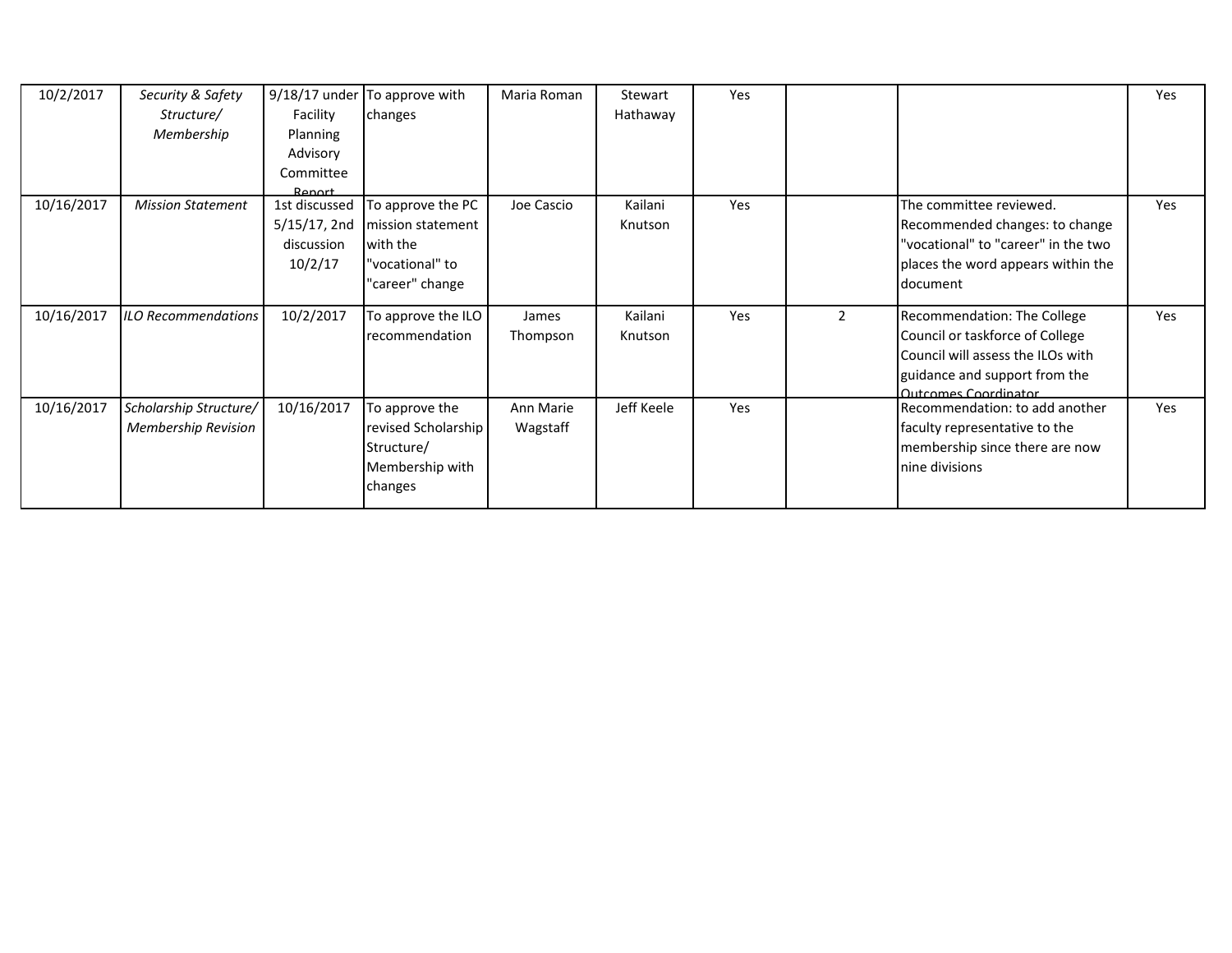| 10/2/2017  | Security & Safety<br>Structure/<br>Membership        | Facility<br>Planning<br>Advisory<br>Committee<br>Renort | $9/18/17$ under To approve with<br>changes                                               | Maria Roman           | Stewart<br>Hathaway | Yes |                |                                                                                                                                                              | Yes        |
|------------|------------------------------------------------------|---------------------------------------------------------|------------------------------------------------------------------------------------------|-----------------------|---------------------|-----|----------------|--------------------------------------------------------------------------------------------------------------------------------------------------------------|------------|
| 10/16/2017 | <b>Mission Statement</b>                             | 1st discussed<br>5/15/17, 2nd<br>discussion<br>10/2/17  | To approve the PC<br>mission statement<br>with the<br>"vocational" to<br>"career" change | Joe Cascio            | Kailani<br>Knutson  | Yes |                | The committee reviewed.<br>Recommended changes: to change<br>"vocational" to "career" in the two<br>places the word appears within the<br>document           | Yes        |
| 10/16/2017 | <b>ILO Recommendations</b>                           | 10/2/2017                                               | To approve the ILO<br>recommendation                                                     | James<br>Thompson     | Kailani<br>Knutson  | Yes | $\overline{2}$ | Recommendation: The College<br>Council or taskforce of College<br>Council will assess the ILOs with<br>guidance and support from the<br>Outcomes Coordinator | <b>Yes</b> |
| 10/16/2017 | Scholarship Structure/<br><b>Membership Revision</b> | 10/16/2017                                              | To approve the<br>revised Scholarship<br>Structure/<br>Membership with<br>changes        | Ann Marie<br>Wagstaff | Jeff Keele          | Yes |                | Recommendation: to add another<br>faculty representative to the<br>membership since there are now<br>nine divisions                                          | <b>Yes</b> |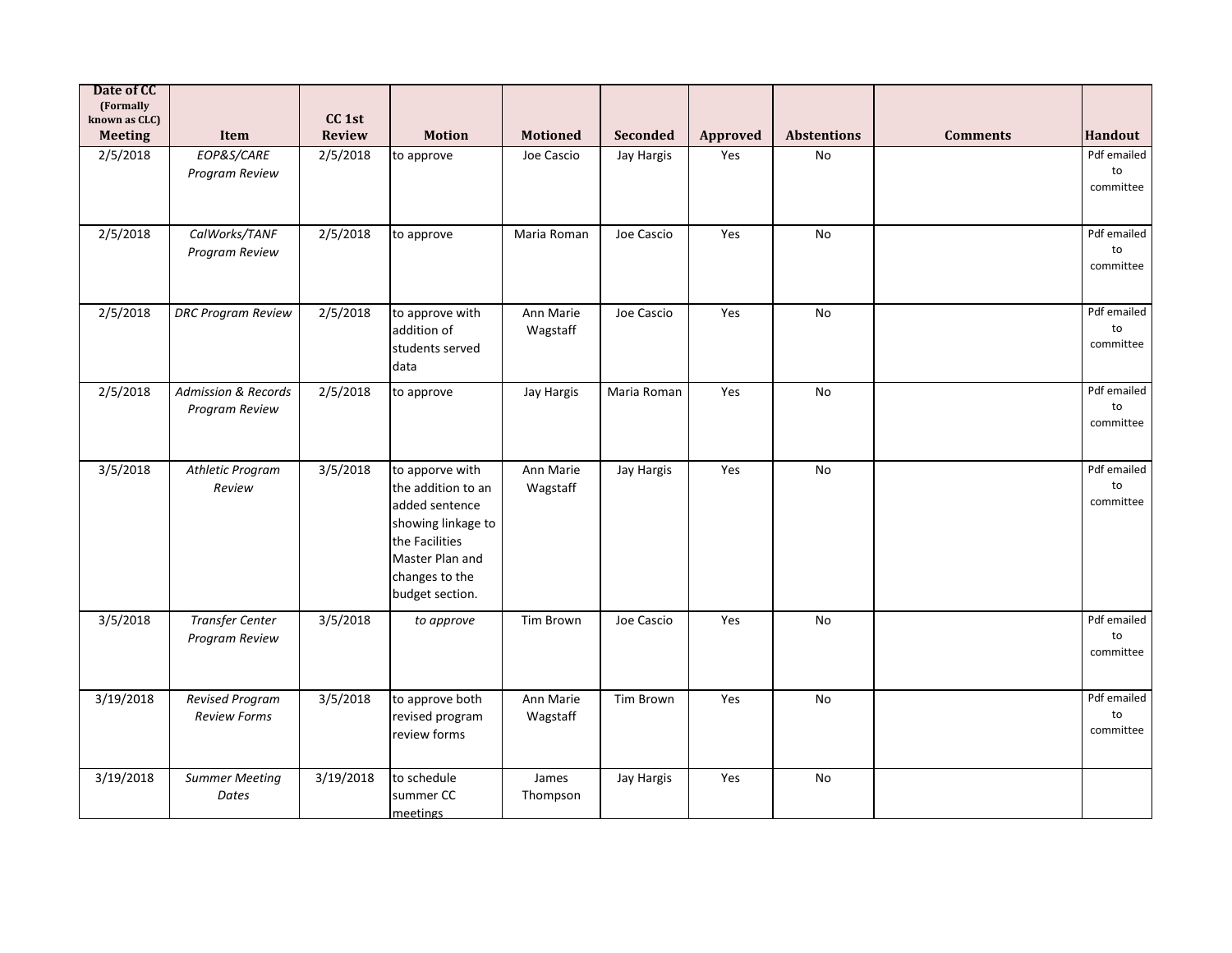| Date of CC<br>(Formally         |                                               |                             |                                                                                                                                                         |                       |             |          |                    |                 |                                           |
|---------------------------------|-----------------------------------------------|-----------------------------|---------------------------------------------------------------------------------------------------------------------------------------------------------|-----------------------|-------------|----------|--------------------|-----------------|-------------------------------------------|
| known as CLC)<br><b>Meeting</b> | Item                                          | CC <sub>1st</sub><br>Review | <b>Motion</b>                                                                                                                                           | <b>Motioned</b>       | Seconded    | Approved | <b>Abstentions</b> | <b>Comments</b> | <b>Handout</b>                            |
| 2/5/2018                        | EOP&S/CARE<br>Program Review                  | 2/5/2018                    | to approve                                                                                                                                              | Joe Cascio            | Jay Hargis  | Yes      | No                 |                 | Pdf emailed<br>$\mathsf{to}$<br>committee |
| 2/5/2018                        | CalWorks/TANF<br>Program Review               | 2/5/2018                    | to approve                                                                                                                                              | Maria Roman           | Joe Cascio  | Yes      | No                 |                 | Pdf emailed<br>to<br>committee            |
| 2/5/2018                        | <b>DRC Program Review</b>                     | 2/5/2018                    | to approve with<br>addition of<br>students served<br>data                                                                                               | Ann Marie<br>Wagstaff | Joe Cascio  | Yes      | No                 |                 | Pdf emailed<br>to<br>committee            |
| 2/5/2018                        | Admission & Records<br>Program Review         | 2/5/2018                    | to approve                                                                                                                                              | Jay Hargis            | Maria Roman | Yes      | No                 |                 | Pdf emailed<br>to<br>committee            |
| 3/5/2018                        | <b>Athletic Program</b><br>Review             | 3/5/2018                    | to apporve with<br>the addition to an<br>added sentence<br>showing linkage to<br>the Facilities<br>Master Plan and<br>changes to the<br>budget section. | Ann Marie<br>Wagstaff | Jay Hargis  | Yes      | No                 |                 | Pdf emailed<br>to<br>committee            |
| 3/5/2018                        | <b>Transfer Center</b><br>Program Review      | 3/5/2018                    | to approve                                                                                                                                              | <b>Tim Brown</b>      | Joe Cascio  | Yes      | No                 |                 | Pdf emailed<br>to<br>committee            |
| 3/19/2018                       | <b>Revised Program</b><br><b>Review Forms</b> | 3/5/2018                    | to approve both<br>revised program<br>review forms                                                                                                      | Ann Marie<br>Wagstaff | Tim Brown   | Yes      | No                 |                 | Pdf emailed<br>to<br>committee            |
| 3/19/2018                       | <b>Summer Meeting</b><br>Dates                | 3/19/2018                   | to schedule<br>summer CC<br>meetings                                                                                                                    | James<br>Thompson     | Jay Hargis  | Yes      | No                 |                 |                                           |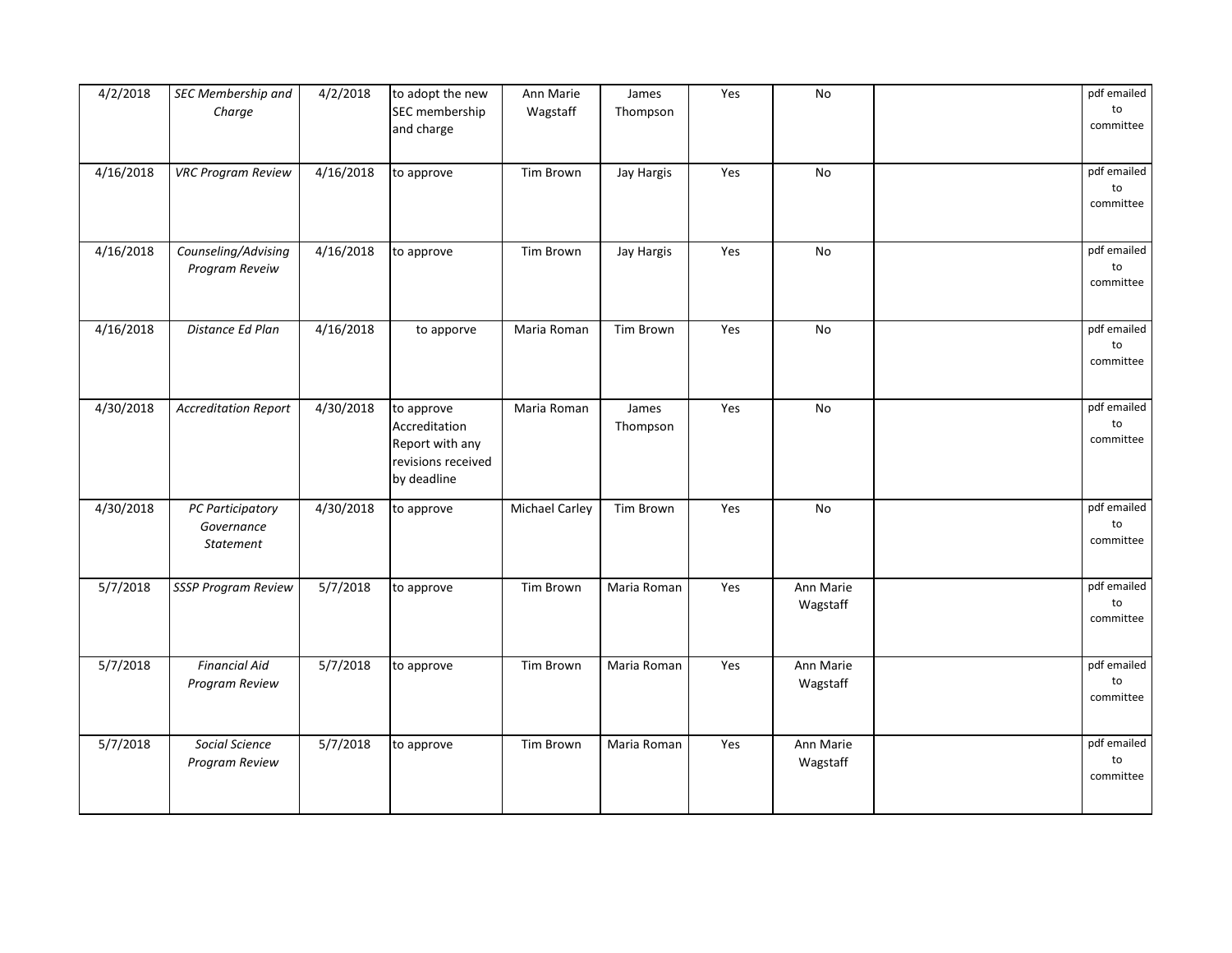| 4/2/2018              | SEC Membership and<br>Charge                       | 4/2/2018  | to adopt the new<br>SEC membership<br>and charge                                    | Ann Marie<br>Wagstaff | James<br>Thompson | Yes | No                    | pdf emailed<br>to<br>committee |
|-----------------------|----------------------------------------------------|-----------|-------------------------------------------------------------------------------------|-----------------------|-------------------|-----|-----------------------|--------------------------------|
| 4/16/2018             | <b>VRC Program Review</b>                          | 4/16/2018 | to approve                                                                          | Tim Brown             | Jay Hargis        | Yes | No                    | pdf emailed<br>to<br>committee |
| 4/16/2018             | Counseling/Advising<br>Program Reveiw              | 4/16/2018 | to approve                                                                          | Tim Brown             | Jay Hargis        | Yes | No                    | pdf emailed<br>to<br>committee |
| $\frac{1}{4}$ 16/2018 | Distance Ed Plan                                   | 4/16/2018 | to apporve                                                                          | Maria Roman           | Tim Brown         | Yes | No                    | pdf emailed<br>to<br>committee |
| 4/30/2018             | <b>Accreditation Report</b>                        | 4/30/2018 | to approve<br>Accreditation<br>Report with any<br>revisions received<br>by deadline | Maria Roman           | James<br>Thompson | Yes | No                    | pdf emailed<br>to<br>committee |
| 4/30/2018             | PC Participatory<br>Governance<br><b>Statement</b> | 4/30/2018 | to approve                                                                          | <b>Michael Carley</b> | Tim Brown         | Yes | No                    | pdf emailed<br>to<br>committee |
| 5/7/2018              | <b>SSSP Program Review</b>                         | 5/7/2018  | to approve                                                                          | Tim Brown             | Maria Roman       | Yes | Ann Marie<br>Wagstaff | pdf emailed<br>to<br>committee |
| 5/7/2018              | <b>Financial Aid</b><br>Program Review             | 5/7/2018  | to approve                                                                          | Tim Brown             | Maria Roman       | Yes | Ann Marie<br>Wagstaff | pdf emailed<br>to<br>committee |
| 5/7/2018              | Social Science<br>Program Review                   | 5/7/2018  | to approve                                                                          | <b>Tim Brown</b>      | Maria Roman       | Yes | Ann Marie<br>Wagstaff | pdf emailed<br>to<br>committee |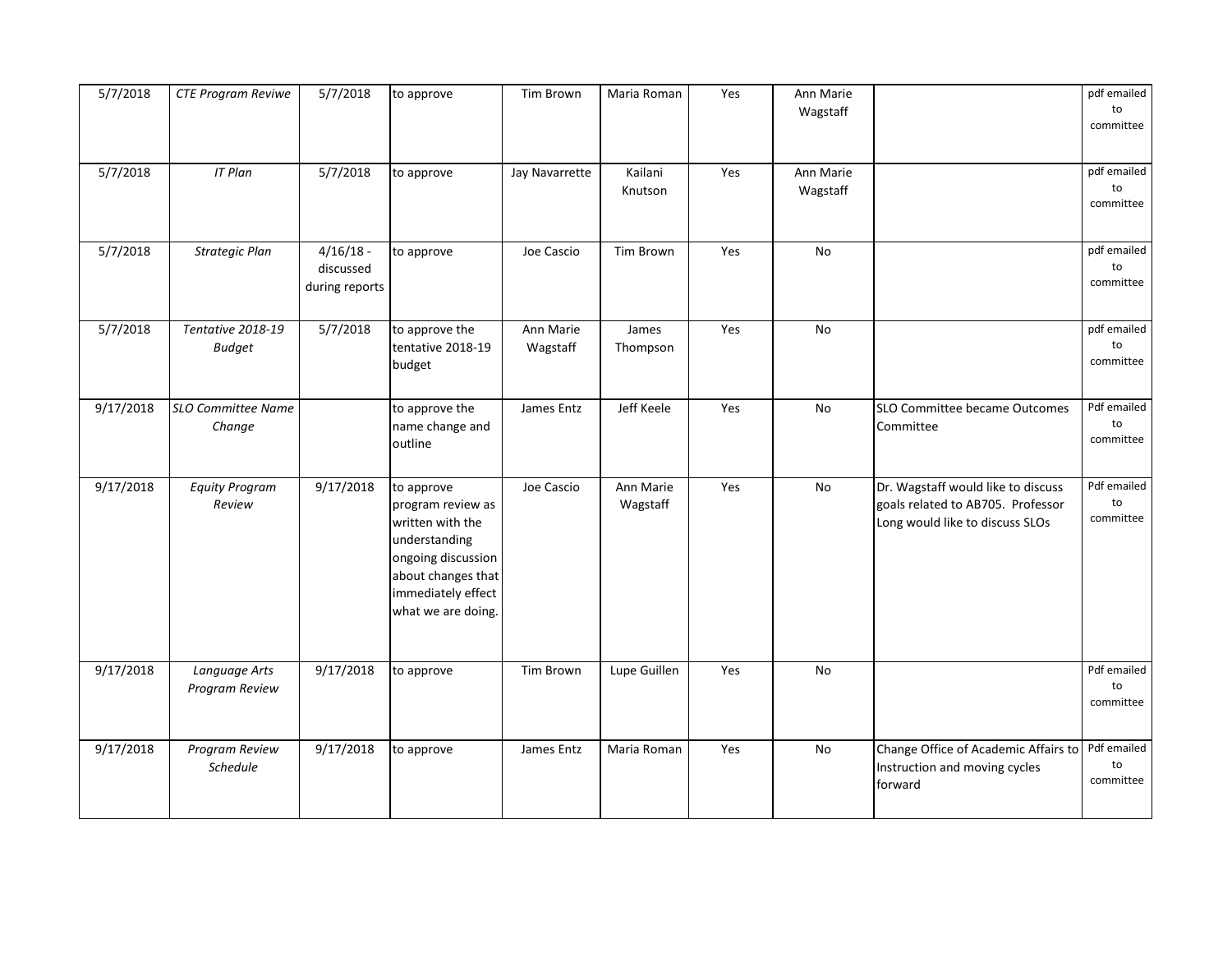| 5/7/2018  | <b>CTE Program Reviwe</b>           | 5/7/2018                                   | to approve                                                                                                                                                   | Tim Brown             | Maria Roman           | Yes | Ann Marie<br>Wagstaff |                                                                                                            | pdf emailed<br>to<br>committee |
|-----------|-------------------------------------|--------------------------------------------|--------------------------------------------------------------------------------------------------------------------------------------------------------------|-----------------------|-----------------------|-----|-----------------------|------------------------------------------------------------------------------------------------------------|--------------------------------|
| 5/7/2018  | <b>IT Plan</b>                      | 5/7/2018                                   | to approve                                                                                                                                                   | Jay Navarrette        | Kailani<br>Knutson    | Yes | Ann Marie<br>Wagstaff |                                                                                                            | pdf emailed<br>to<br>committee |
| 5/7/2018  | Strategic Plan                      | $4/16/18$ -<br>discussed<br>during reports | to approve                                                                                                                                                   | Joe Cascio            | <b>Tim Brown</b>      | Yes | <b>No</b>             |                                                                                                            | pdf emailed<br>to<br>committee |
| 5/7/2018  | Tentative 2018-19<br><b>Budget</b>  | 5/7/2018                                   | to approve the<br>tentative 2018-19<br>budget                                                                                                                | Ann Marie<br>Wagstaff | James<br>Thompson     | Yes | No                    |                                                                                                            | pdf emailed<br>to<br>committee |
| 9/17/2018 | <b>SLO Committee Name</b><br>Change |                                            | to approve the<br>name change and<br>outline                                                                                                                 | James Entz            | Jeff Keele            | Yes | No                    | SLO Committee became Outcomes<br>Committee                                                                 | Pdf emailed<br>to<br>committee |
| 9/17/2018 | <b>Equity Program</b><br>Review     | 9/17/2018                                  | to approve<br>program review as<br>written with the<br>understanding<br>ongoing discussion<br>about changes that<br>immediately effect<br>what we are doing. | Joe Cascio            | Ann Marie<br>Wagstaff | Yes | No                    | Dr. Wagstaff would like to discuss<br>goals related to AB705. Professor<br>Long would like to discuss SLOs | Pdf emailed<br>to<br>committee |
| 9/17/2018 | Language Arts<br>Program Review     | 9/17/2018                                  | to approve                                                                                                                                                   | Tim Brown             | Lupe Guillen          | Yes | No                    |                                                                                                            | Pdf emailed<br>to<br>committee |
| 9/17/2018 | Program Review<br>Schedule          | 9/17/2018                                  | to approve                                                                                                                                                   | James Entz            | Maria Roman           | Yes | No                    | Change Office of Academic Affairs to<br>Instruction and moving cycles<br>forward                           | Pdf emailed<br>to<br>committee |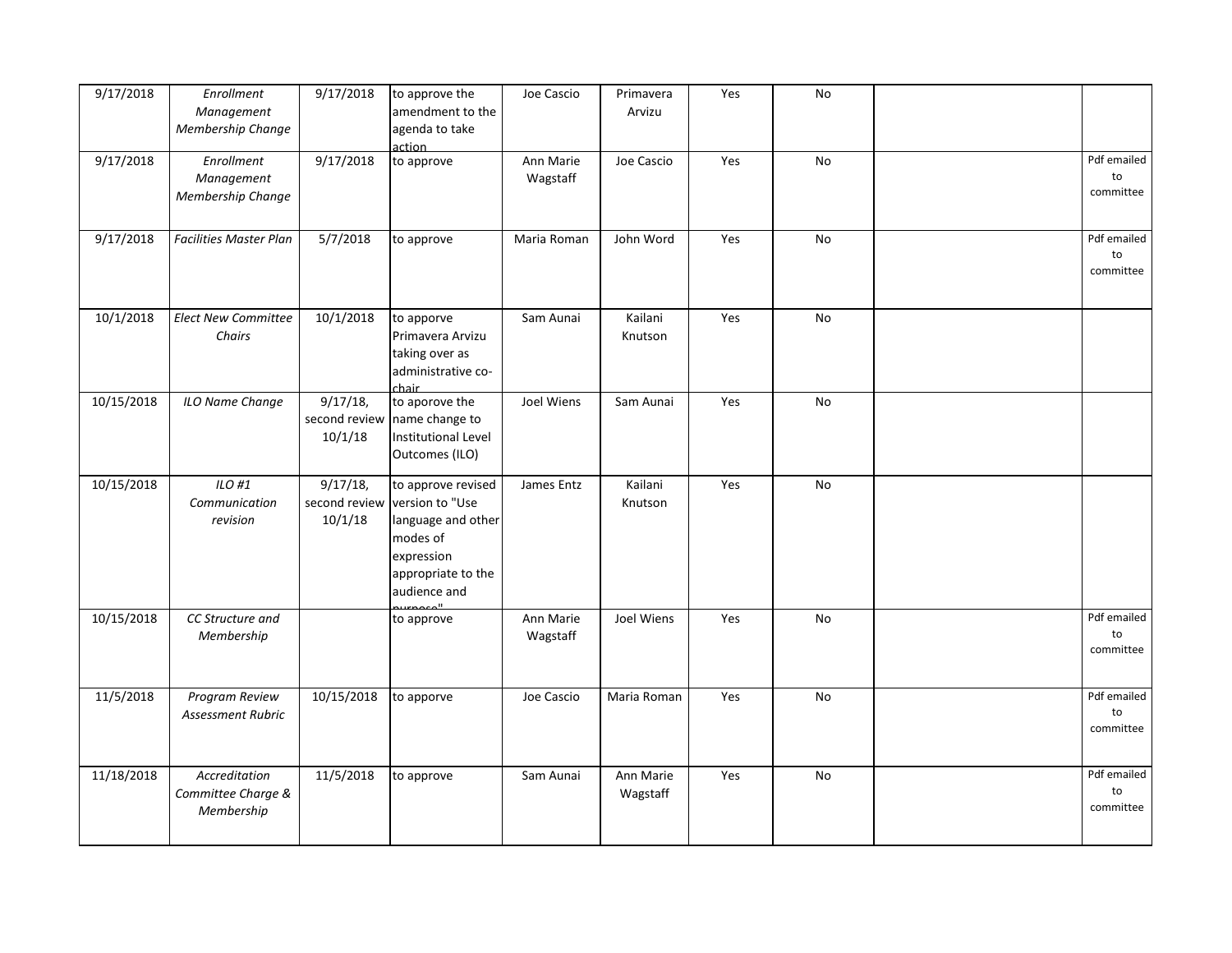| 9/17/2018  | Enrollment<br>Management<br>Membership Change     | 9/17/2018                               | to approve the<br>amendment to the<br>agenda to take<br>action                                                              | Joe Cascio            | Primavera<br>Arvizu   | Yes | No |                                           |
|------------|---------------------------------------------------|-----------------------------------------|-----------------------------------------------------------------------------------------------------------------------------|-----------------------|-----------------------|-----|----|-------------------------------------------|
| 9/17/2018  | Enrollment<br>Management<br>Membership Change     | 9/17/2018                               | to approve                                                                                                                  | Ann Marie<br>Wagstaff | Joe Cascio            | Yes | No | Pdf emailed<br>to<br>committee            |
| 9/17/2018  | <b>Facilities Master Plan</b>                     | 5/7/2018                                | to approve                                                                                                                  | Maria Roman           | John Word             | Yes | No | Pdf emailed<br>$\mathsf{to}$<br>committee |
| 10/1/2018  | <b>Elect New Committee</b><br>Chairs              | 10/1/2018                               | to apporve<br>Primavera Arvizu<br>taking over as<br>administrative co-<br>chair                                             | Sam Aunai             | Kailani<br>Knutson    | Yes | No |                                           |
| 10/15/2018 | ILO Name Change                                   | $9/17/18$ ,<br>second review<br>10/1/18 | to aporove the<br>name change to<br>Institutional Level<br>Outcomes (ILO)                                                   | Joel Wiens            | Sam Aunai             | Yes | No |                                           |
| 10/15/2018 | ILO #1<br>Communication<br>revision               | $9/17/18$ ,<br>second review<br>10/1/18 | to approve revised<br>version to "Use<br>language and other<br>modes of<br>expression<br>appropriate to the<br>audience and | James Entz            | Kailani<br>Knutson    | Yes | No |                                           |
| 10/15/2018 | CC Structure and<br>Membership                    |                                         | to approve                                                                                                                  | Ann Marie<br>Wagstaff | Joel Wiens            | Yes | No | Pdf emailed<br>to<br>committee            |
| 11/5/2018  | Program Review<br>Assessment Rubric               | 10/15/2018                              | to apporve                                                                                                                  | Joe Cascio            | Maria Roman           | Yes | No | Pdf emailed<br>$\mathsf{to}$<br>committee |
| 11/18/2018 | Accreditation<br>Committee Charge &<br>Membership | 11/5/2018                               | to approve                                                                                                                  | Sam Aunai             | Ann Marie<br>Wagstaff | Yes | No | Pdf emailed<br>to<br>committee            |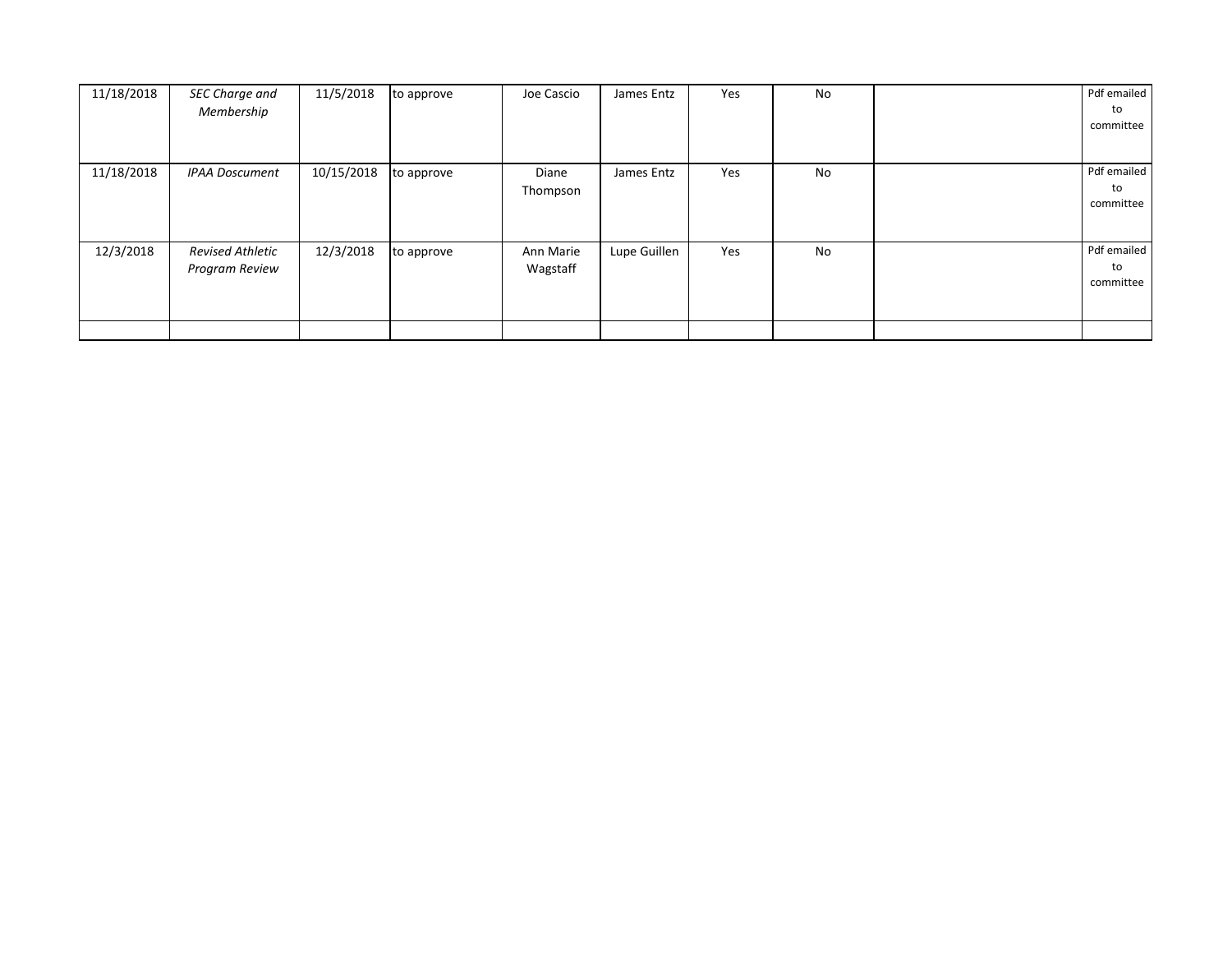| 11/18/2018 | SEC Charge and<br>Membership              | 11/5/2018  | to approve | Joe Cascio            | James Entz   | Yes | No | Pdf emailed<br>to<br>committee |
|------------|-------------------------------------------|------------|------------|-----------------------|--------------|-----|----|--------------------------------|
| 11/18/2018 | <b>IPAA Doscument</b>                     | 10/15/2018 | to approve | Diane<br>Thompson     | James Entz   | Yes | No | Pdf emailed<br>to<br>committee |
| 12/3/2018  | <b>Revised Athletic</b><br>Program Review | 12/3/2018  | to approve | Ann Marie<br>Wagstaff | Lupe Guillen | Yes | No | Pdf emailed<br>to<br>committee |
|            |                                           |            |            |                       |              |     |    |                                |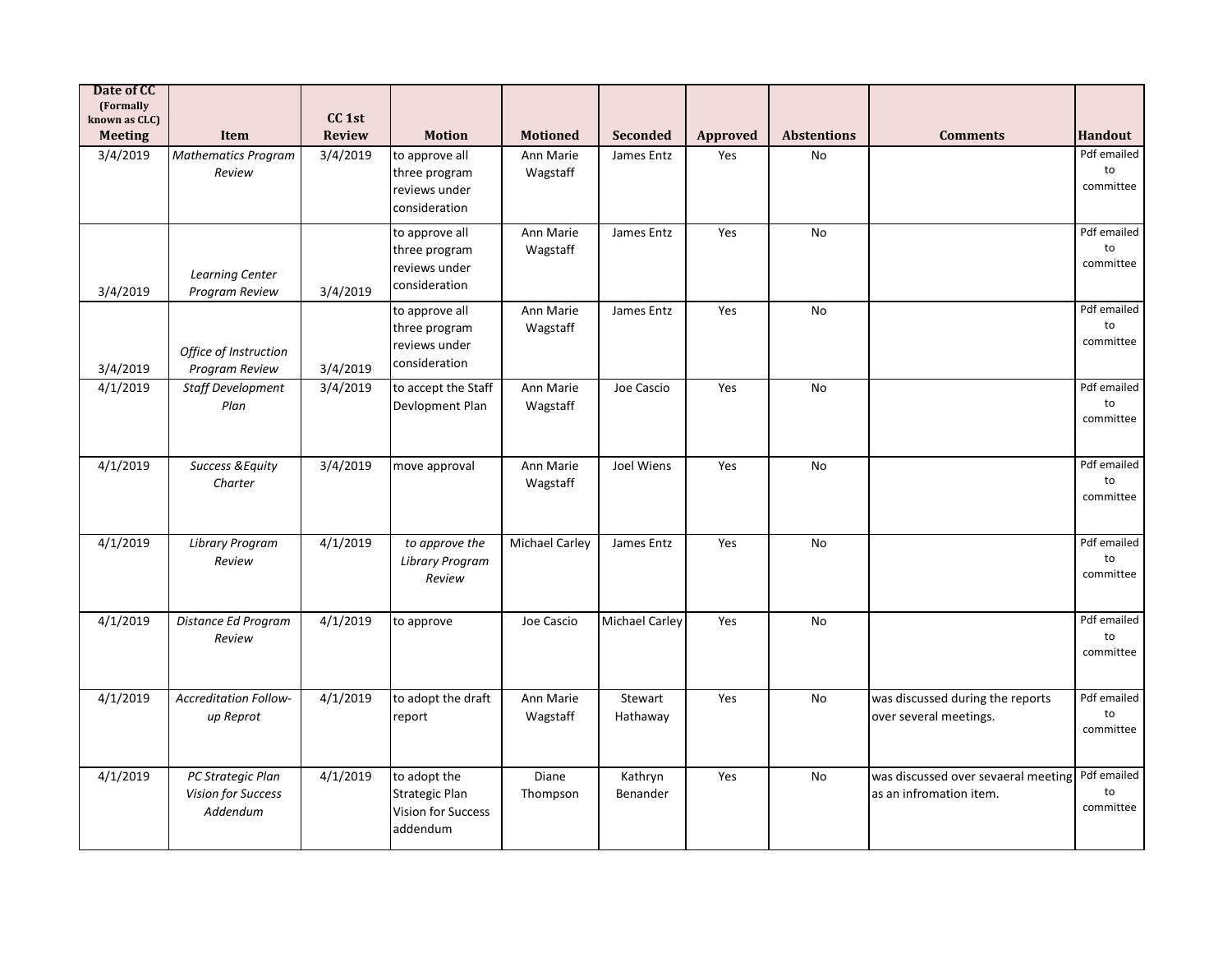| Date of CC<br>(Formally<br>known as CLC) |                                                     | CC <sub>1st</sub> |                                                                                |                       |                       |                 |                    |                                                                |                                |
|------------------------------------------|-----------------------------------------------------|-------------------|--------------------------------------------------------------------------------|-----------------------|-----------------------|-----------------|--------------------|----------------------------------------------------------------|--------------------------------|
| <b>Meeting</b>                           | Item                                                | <b>Review</b>     | <b>Motion</b>                                                                  | <b>Motioned</b>       | <b>Seconded</b>       | <b>Approved</b> | <b>Abstentions</b> | <b>Comments</b>                                                | <b>Handout</b>                 |
| 3/4/2019                                 | <b>Mathematics Program</b><br>Review                | 3/4/2019          | to approve all<br>three program<br>reviews under<br>consideration              | Ann Marie<br>Wagstaff | James Entz            | Yes             | <b>No</b>          |                                                                | Pdf emailed<br>to<br>committee |
| 3/4/2019                                 | Learning Center<br>Program Review                   | 3/4/2019          | to approve all<br>three program<br>reviews under<br>consideration              | Ann Marie<br>Wagstaff | James Entz            | Yes             | <b>No</b>          |                                                                | Pdf emailed<br>to<br>committee |
| 3/4/2019                                 | Office of Instruction<br>Program Review             | 3/4/2019          | to approve all<br>three program<br>reviews under<br>consideration              | Ann Marie<br>Wagstaff | James Entz            | Yes             | <b>No</b>          |                                                                | Pdf emailed<br>to<br>committee |
| 4/1/2019                                 | <b>Staff Development</b><br>Plan                    | 3/4/2019          | to accept the Staff<br>Devlopment Plan                                         | Ann Marie<br>Wagstaff | Joe Cascio            | Yes             | <b>No</b>          |                                                                | Pdf emailed<br>to<br>committee |
| 4/1/2019                                 | <b>Success &amp; Equity</b><br>Charter              | 3/4/2019          | move approval                                                                  | Ann Marie<br>Wagstaff | Joel Wiens            | Yes             | No                 |                                                                | Pdf emailed<br>to<br>committee |
| 4/1/2019                                 | <b>Library Program</b><br>Review                    | 4/1/2019          | to approve the<br><b>Library Program</b><br>Review                             | <b>Michael Carley</b> | James Entz            | Yes             | No                 |                                                                | Pdf emailed<br>to<br>committee |
| 4/1/2019                                 | Distance Ed Program<br>Review                       | 4/1/2019          | to approve                                                                     | Joe Cascio            | <b>Michael Carley</b> | Yes             | <b>No</b>          |                                                                | Pdf emailed<br>to<br>committee |
| 4/1/2019                                 | <b>Accreditation Follow-</b><br>up Reprot           | 4/1/2019          | to adopt the draft<br>report                                                   | Ann Marie<br>Wagstaff | Stewart<br>Hathaway   | Yes             | No                 | was discussed during the reports<br>over several meetings.     | Pdf emailed<br>to<br>committee |
| 4/1/2019                                 | PC Strategic Plan<br>Vision for Success<br>Addendum | 4/1/2019          | to adopt the<br><b>Strategic Plan</b><br><b>Vision for Success</b><br>addendum | Diane<br>Thompson     | Kathryn<br>Benander   | Yes             | No                 | was discussed over sevaeral meeting<br>as an infromation item. | Pdf emailed<br>to<br>committee |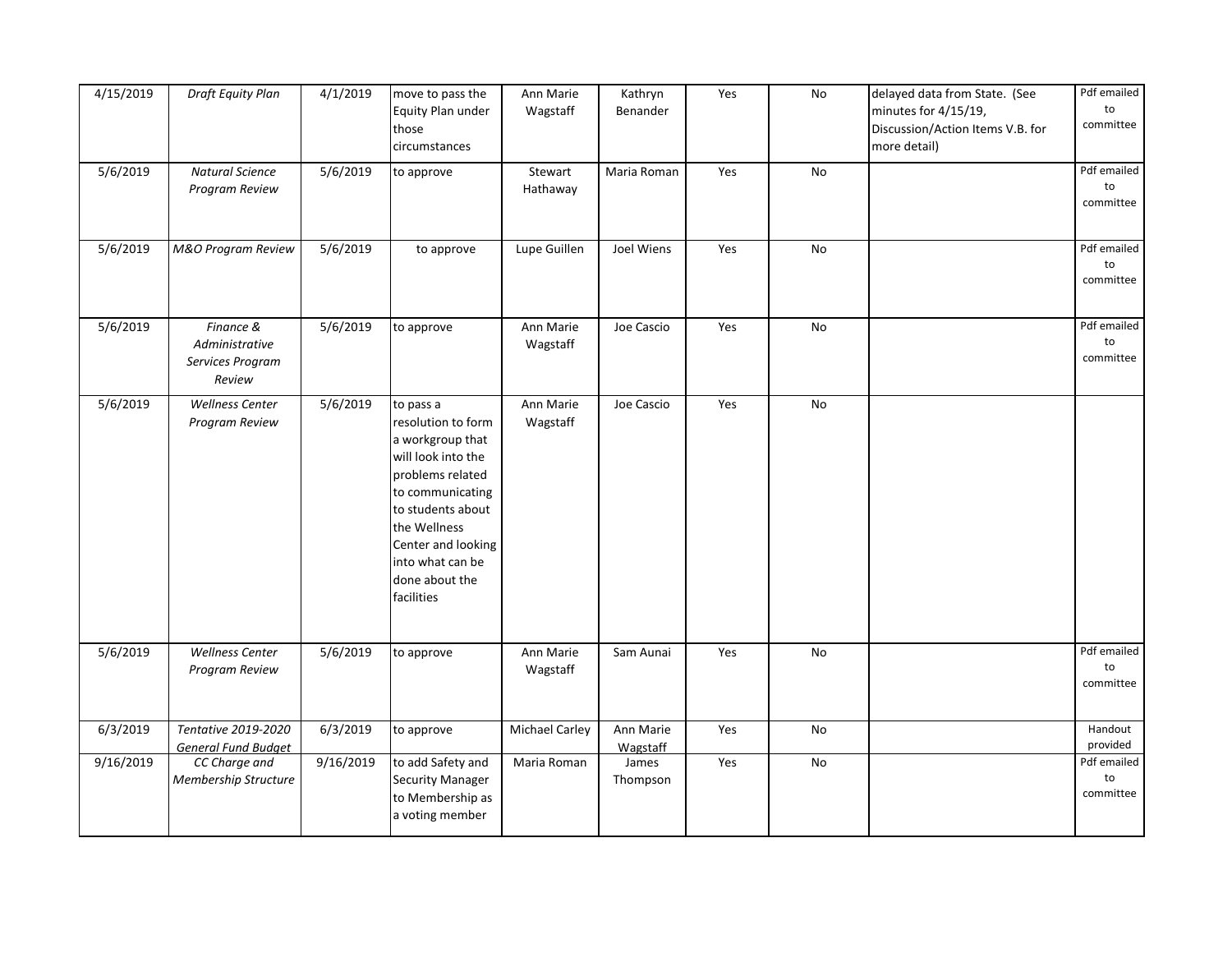| 4/15/2019 | Draft Equity Plan                                         | 4/1/2019  | move to pass the<br>Equity Plan under<br>those<br>circumstances                                                                                                                                                                  | Ann Marie<br>Wagstaff | Kathryn<br>Benander   | Yes | ${\sf No}$    | delayed data from State. (See<br>minutes for 4/15/19,<br>Discussion/Action Items V.B. for<br>more detail) | Pdf emailed<br>to<br>committee            |
|-----------|-----------------------------------------------------------|-----------|----------------------------------------------------------------------------------------------------------------------------------------------------------------------------------------------------------------------------------|-----------------------|-----------------------|-----|---------------|-----------------------------------------------------------------------------------------------------------|-------------------------------------------|
| 5/6/2019  | <b>Natural Science</b><br>Program Review                  | 5/6/2019  | to approve                                                                                                                                                                                                                       | Stewart<br>Hathaway   | Maria Roman           | Yes | No            |                                                                                                           | Pdf emailed<br>to<br>committee            |
| 5/6/2019  | M&O Program Review                                        | 5/6/2019  | to approve                                                                                                                                                                                                                       | Lupe Guillen          | Joel Wiens            | Yes | $\mathsf{No}$ |                                                                                                           | Pdf emailed<br>$\mathsf{to}$<br>committee |
| 5/6/2019  | Finance &<br>Administrative<br>Services Program<br>Review | 5/6/2019  | to approve                                                                                                                                                                                                                       | Ann Marie<br>Wagstaff | Joe Cascio            | Yes | No            |                                                                                                           | Pdf emailed<br>to<br>committee            |
| 5/6/2019  | <b>Wellness Center</b><br>Program Review                  | 5/6/2019  | to pass a<br>resolution to form<br>a workgroup that<br>will look into the<br>problems related<br>to communicating<br>to students about<br>the Wellness<br>Center and looking<br>into what can be<br>done about the<br>facilities | Ann Marie<br>Wagstaff | Joe Cascio            | Yes | No            |                                                                                                           |                                           |
| 5/6/2019  | Wellness Center<br>Program Review                         | 5/6/2019  | to approve                                                                                                                                                                                                                       | Ann Marie<br>Wagstaff | Sam Aunai             | Yes | No            |                                                                                                           | Pdf emailed<br>to<br>committee            |
| 6/3/2019  | Tentative 2019-2020<br><b>General Fund Budget</b>         | 6/3/2019  | to approve                                                                                                                                                                                                                       | <b>Michael Carley</b> | Ann Marie<br>Wagstaff | Yes | No            |                                                                                                           | Handout<br>provided                       |
| 9/16/2019 | CC Charge and<br>Membership Structure                     | 9/16/2019 | to add Safety and<br><b>Security Manager</b><br>to Membership as<br>a voting member                                                                                                                                              | Maria Roman           | James<br>Thompson     | Yes | No            |                                                                                                           | Pdf emailed<br>to<br>committee            |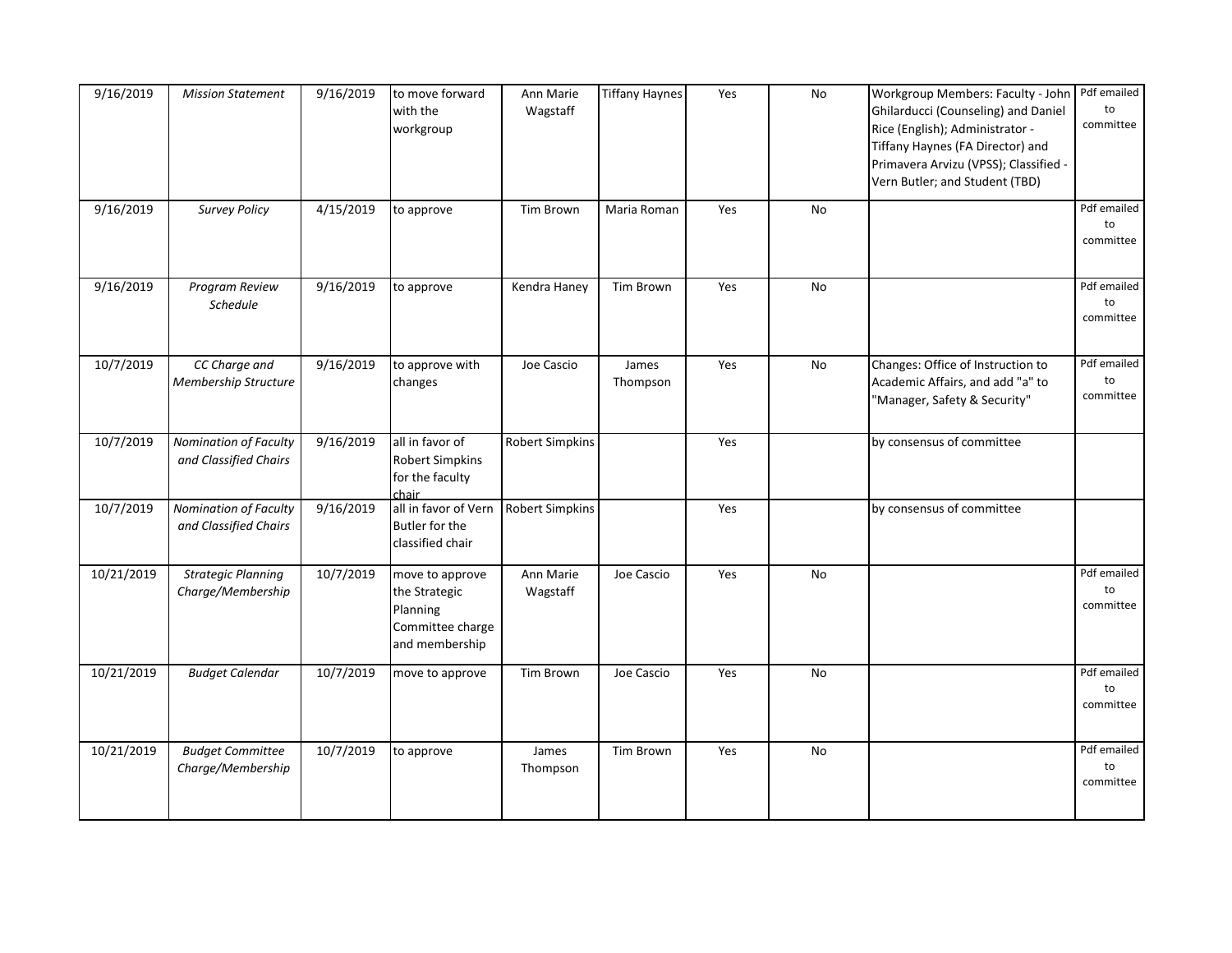| 9/16/2019  | <b>Mission Statement</b>                       | 9/16/2019 | to move forward<br>with the<br>workgroup                                           | Ann Marie<br>Wagstaff  | <b>Tiffany Haynes</b> | Yes | No | Workgroup Members: Faculty - John<br>Ghilarducci (Counseling) and Daniel<br>Rice (English); Administrator -<br>Tiffany Haynes (FA Director) and<br>Primavera Arvizu (VPSS); Classified -<br>Vern Butler; and Student (TBD) | Pdf emailed<br>to<br>committee |
|------------|------------------------------------------------|-----------|------------------------------------------------------------------------------------|------------------------|-----------------------|-----|----|----------------------------------------------------------------------------------------------------------------------------------------------------------------------------------------------------------------------------|--------------------------------|
| 9/16/2019  | <b>Survey Policy</b>                           | 4/15/2019 | to approve                                                                         | Tim Brown              | Maria Roman           | Yes | No |                                                                                                                                                                                                                            | Pdf emailed<br>to<br>committee |
| 9/16/2019  | Program Review<br>Schedule                     | 9/16/2019 | to approve                                                                         | Kendra Haney           | <b>Tim Brown</b>      | Yes | No |                                                                                                                                                                                                                            | Pdf emailed<br>to<br>committee |
| 10/7/2019  | CC Charge and<br>Membership Structure          | 9/16/2019 | to approve with<br>changes                                                         | Joe Cascio             | James<br>Thompson     | Yes | No | Changes: Office of Instruction to<br>Academic Affairs, and add "a" to<br>"Manager, Safety & Security"                                                                                                                      | Pdf emailed<br>to<br>committee |
| 10/7/2019  | Nomination of Faculty<br>and Classified Chairs | 9/16/2019 | all in favor of<br><b>Robert Simpkins</b><br>for the faculty<br>chair              | <b>Robert Simpkins</b> |                       | Yes |    | by consensus of committee                                                                                                                                                                                                  |                                |
| 10/7/2019  | Nomination of Faculty<br>and Classified Chairs | 9/16/2019 | all in favor of Vern<br>Butler for the<br>classified chair                         | <b>Robert Simpkins</b> |                       | Yes |    | by consensus of committee                                                                                                                                                                                                  |                                |
| 10/21/2019 | <b>Strategic Planning</b><br>Charge/Membership | 10/7/2019 | move to approve<br>the Strategic<br>Planning<br>Committee charge<br>and membership | Ann Marie<br>Wagstaff  | Joe Cascio            | Yes | No |                                                                                                                                                                                                                            | Pdf emailed<br>to<br>committee |
| 10/21/2019 | <b>Budget Calendar</b>                         | 10/7/2019 | move to approve                                                                    | Tim Brown              | Joe Cascio            | Yes | No |                                                                                                                                                                                                                            | Pdf emailed<br>to<br>committee |
| 10/21/2019 | <b>Budget Committee</b><br>Charge/Membership   | 10/7/2019 | to approve                                                                         | James<br>Thompson      | Tim Brown             | Yes | No |                                                                                                                                                                                                                            | Pdf emailed<br>to<br>committee |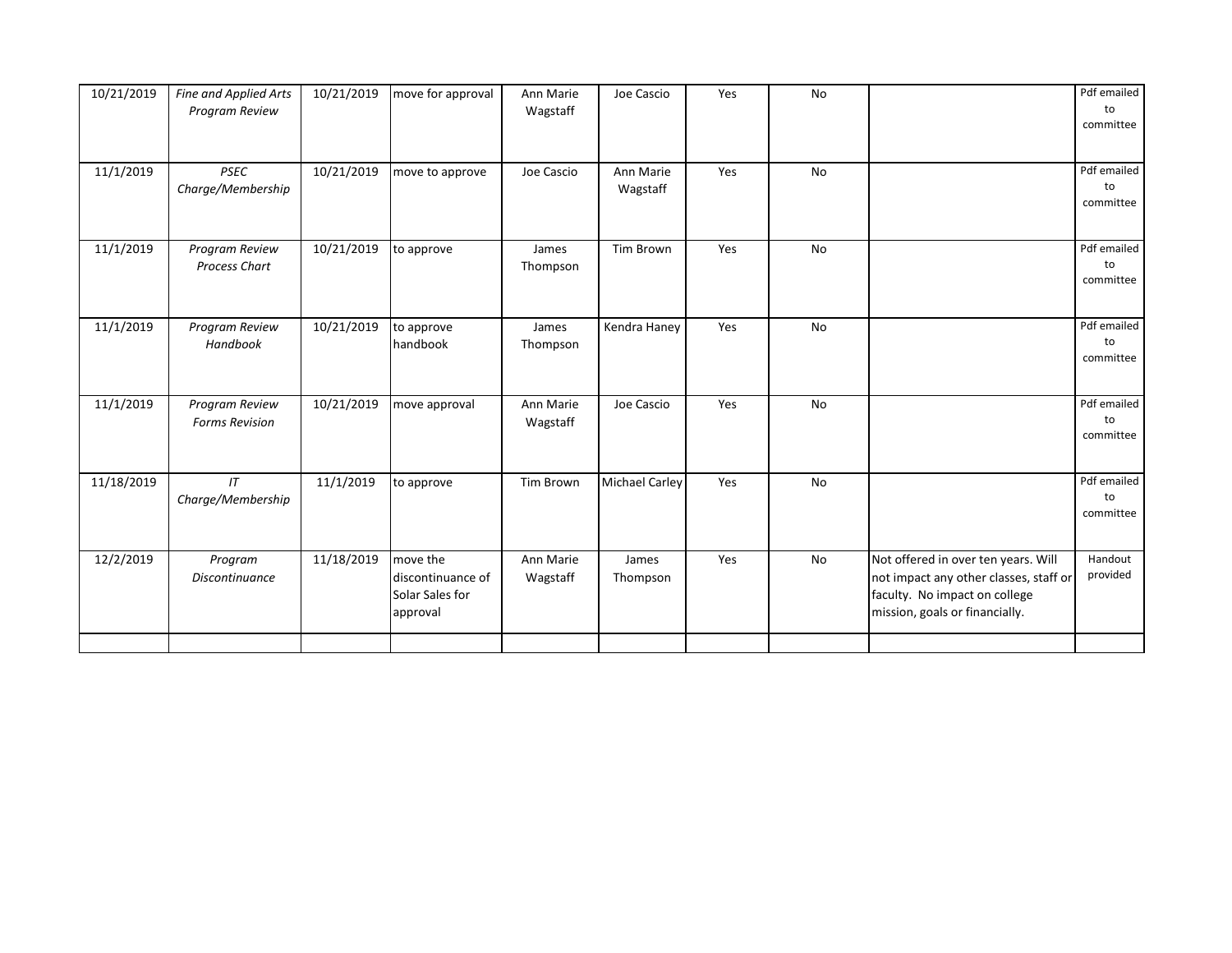| 10/21/2019 | Fine and Applied Arts<br>Program Review | 10/21/2019 | move for approval                                            | Ann Marie<br>Wagstaff | Joe Cascio            | Yes | No        |                                                                                                                                                  | Pdf emailed<br>to<br>committee |
|------------|-----------------------------------------|------------|--------------------------------------------------------------|-----------------------|-----------------------|-----|-----------|--------------------------------------------------------------------------------------------------------------------------------------------------|--------------------------------|
| 11/1/2019  | <b>PSEC</b><br>Charge/Membership        | 10/21/2019 | move to approve                                              | Joe Cascio            | Ann Marie<br>Wagstaff | Yes | <b>No</b> |                                                                                                                                                  | Pdf emailed<br>to<br>committee |
| 11/1/2019  | Program Review<br>Process Chart         | 10/21/2019 | to approve                                                   | James<br>Thompson     | <b>Tim Brown</b>      | Yes | No        |                                                                                                                                                  | Pdf emailed<br>to<br>committee |
| 11/1/2019  | Program Review<br>Handbook              | 10/21/2019 | to approve<br>handbook                                       | James<br>Thompson     | Kendra Haney          | Yes | No        |                                                                                                                                                  | Pdf emailed<br>to<br>committee |
| 11/1/2019  | Program Review<br><b>Forms Revision</b> | 10/21/2019 | move approval                                                | Ann Marie<br>Wagstaff | Joe Cascio            | Yes | <b>No</b> |                                                                                                                                                  | Pdf emailed<br>to<br>committee |
| 11/18/2019 | IT<br>Charge/Membership                 | 11/1/2019  | to approve                                                   | Tim Brown             | <b>Michael Carley</b> | Yes | <b>No</b> |                                                                                                                                                  | Pdf emailed<br>to<br>committee |
| 12/2/2019  | Program<br><b>Discontinuance</b>        | 11/18/2019 | move the<br>discontinuance of<br>Solar Sales for<br>approval | Ann Marie<br>Wagstaff | James<br>Thompson     | Yes | No        | Not offered in over ten years. Will<br>not impact any other classes, staff or<br>faculty. No impact on college<br>mission, goals or financially. | Handout<br>provided            |
|            |                                         |            |                                                              |                       |                       |     |           |                                                                                                                                                  |                                |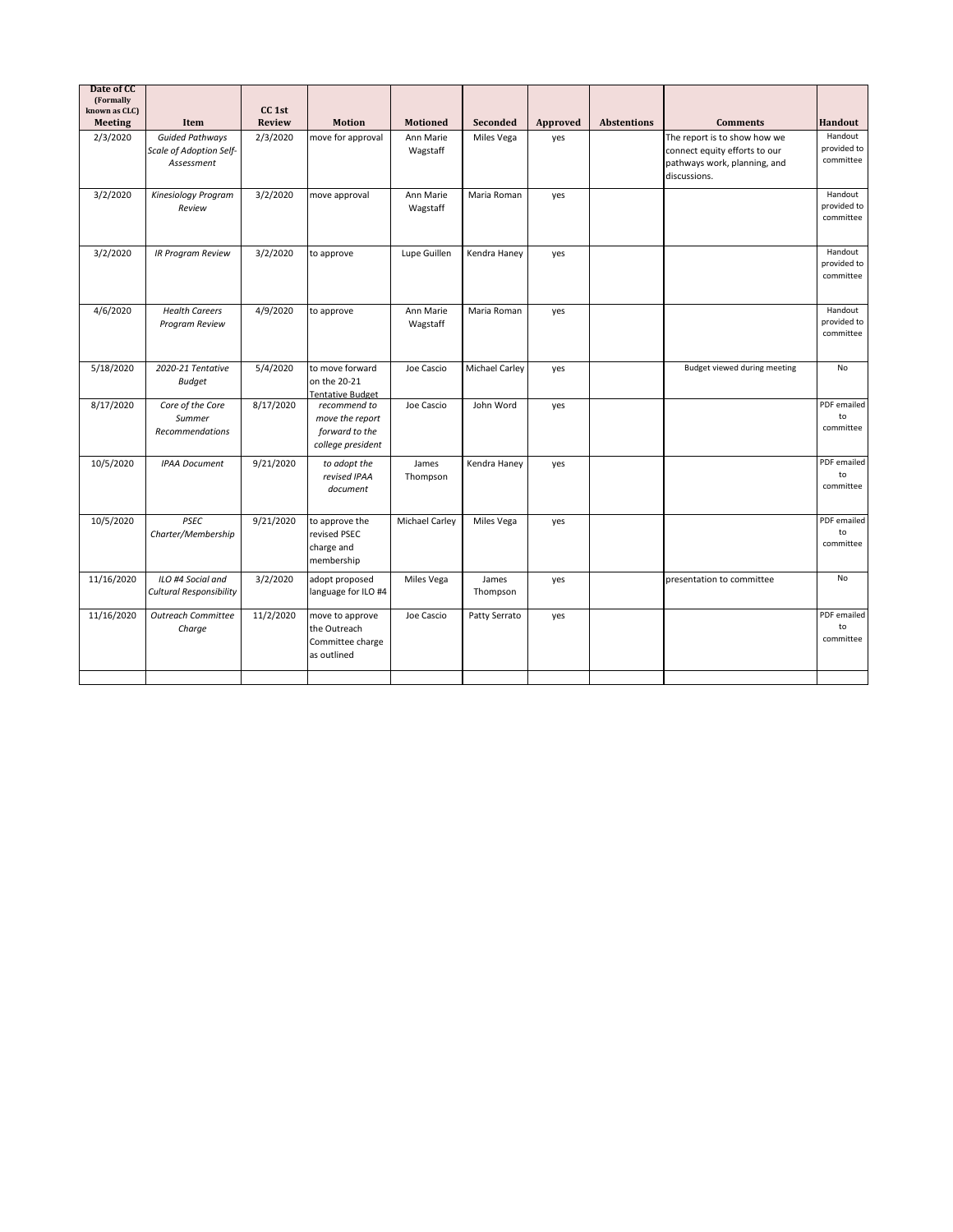| Date of CC<br>(Formally<br>known as CLC)<br><b>Meeting</b> | Item                                                            | CC <sub>1st</sub><br>Review | <b>Motion</b>                                                          | <b>Motioned</b>       | Seconded              | Approved | <b>Abstentions</b> | <b>Comments</b>                                                                                               | Handout                             |
|------------------------------------------------------------|-----------------------------------------------------------------|-----------------------------|------------------------------------------------------------------------|-----------------------|-----------------------|----------|--------------------|---------------------------------------------------------------------------------------------------------------|-------------------------------------|
| 2/3/2020                                                   | <b>Guided Pathways</b><br>Scale of Adoption Self-<br>Assessment | 2/3/2020                    | move for approval                                                      | Ann Marie<br>Wagstaff | Miles Vega            | yes      |                    | The report is to show how we<br>connect equity efforts to our<br>pathways work, planning, and<br>discussions. | Handout<br>provided to<br>committee |
| 3/2/2020                                                   | Kinesiology Program<br>Review                                   | 3/2/2020                    | move approval                                                          | Ann Marie<br>Wagstaff | Maria Roman           | yes      |                    |                                                                                                               | Handout<br>provided to<br>committee |
| 3/2/2020                                                   | <b>IR Program Review</b>                                        | 3/2/2020                    | to approve                                                             | Lupe Guillen          | Kendra Haney          | yes      |                    |                                                                                                               | Handout<br>provided to<br>committee |
| 4/6/2020                                                   | <b>Health Careers</b><br>Program Review                         | 4/9/2020                    | to approve                                                             | Ann Marie<br>Wagstaff | Maria Roman           | yes      |                    |                                                                                                               | Handout<br>provided to<br>committee |
| 5/18/2020                                                  | 2020-21 Tentative<br><b>Budget</b>                              | 5/4/2020                    | to move forward<br>on the 20-21<br><b>Tentative Budget</b>             | Joe Cascio            | <b>Michael Carley</b> | yes      |                    | Budget viewed during meeting                                                                                  | <b>No</b>                           |
| 8/17/2020                                                  | Core of the Core<br>Summer<br>Recommendations                   | 8/17/2020                   | recommend to<br>move the report<br>forward to the<br>college president | Joe Cascio            | John Word             | yes      |                    |                                                                                                               | PDF emailed<br>to<br>committee      |
| 10/5/2020                                                  | <b>IPAA Document</b>                                            | 9/21/2020                   | to adopt the<br>revised IPAA<br>document                               | James<br>Thompson     | Kendra Haney          | yes      |                    |                                                                                                               | PDF emailed<br>to<br>committee      |
| 10/5/2020                                                  | <b>PSEC</b><br>Charter/Membership                               | 9/21/2020                   | to approve the<br>revised PSEC<br>charge and<br>membership             | Michael Carley        | Miles Vega            | yes      |                    |                                                                                                               | PDF emailed<br>to<br>committee      |
| 11/16/2020                                                 | ILO #4 Social and<br><b>Cultural Responsibility</b>             | 3/2/2020                    | adopt proposed<br>language for ILO #4                                  | Miles Vega            | James<br>Thompson     | yes      |                    | presentation to committee                                                                                     | <b>No</b>                           |
| 11/16/2020                                                 | <b>Outreach Committee</b><br>Charge                             | 11/2/2020                   | move to approve<br>the Outreach<br>Committee charge<br>as outlined     | Joe Cascio            | Patty Serrato         | yes      |                    |                                                                                                               | PDF emailed<br>to<br>committee      |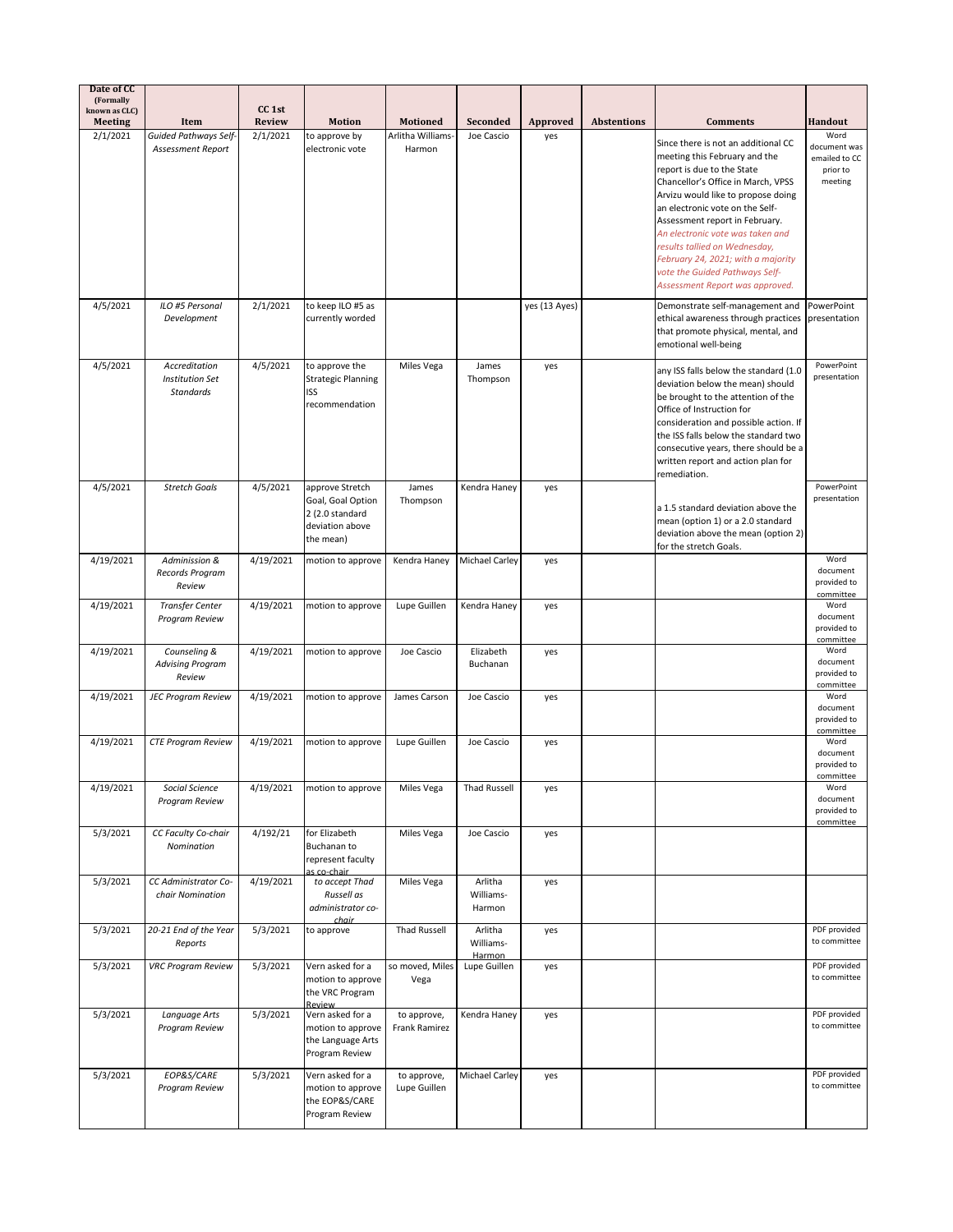| Date of CC<br>(Formally         |                                                             |                                    |                                                                                         |                              |                                |               |                    |                                                                                                                                                                                                                                                                                                                                                                                                                                     |                                                      |
|---------------------------------|-------------------------------------------------------------|------------------------------------|-----------------------------------------------------------------------------------------|------------------------------|--------------------------------|---------------|--------------------|-------------------------------------------------------------------------------------------------------------------------------------------------------------------------------------------------------------------------------------------------------------------------------------------------------------------------------------------------------------------------------------------------------------------------------------|------------------------------------------------------|
| known as CLC)<br><b>Meeting</b> | Item                                                        | CC <sub>1st</sub><br><b>Review</b> | <b>Motion</b>                                                                           | <b>Motioned</b>              | Seconded                       | Approved      | <b>Abstentions</b> | <b>Comments</b>                                                                                                                                                                                                                                                                                                                                                                                                                     | <b>Handout</b>                                       |
| 2/1/2021                        | <b>Guided Pathways Self-</b>                                | 2/1/2021                           | to approve by                                                                           | Arlitha Williams-            | Joe Cascio                     | yes           |                    |                                                                                                                                                                                                                                                                                                                                                                                                                                     | Word                                                 |
|                                 | Assessment Report                                           |                                    | electronic vote                                                                         | Harmon                       |                                |               |                    | Since there is not an additional CC<br>meeting this February and the<br>report is due to the State<br>Chancellor's Office in March, VPSS<br>Arvizu would like to propose doing<br>an electronic vote on the Self-<br>Assessment report in February.<br>An electronic vote was taken and<br>results tallied on Wednesday,<br>February 24, 2021; with a majority<br>vote the Guided Pathways Self-<br>Assessment Report was approved. | document was<br>emailed to CC<br>prior to<br>meeting |
| 4/5/2021                        | ILO #5 Personal                                             | 2/1/2021                           | to keep ILO #5 as                                                                       |                              |                                | yes (13 Ayes) |                    | Demonstrate self-management and                                                                                                                                                                                                                                                                                                                                                                                                     | PowerPoint                                           |
|                                 | Development                                                 |                                    | currently worded                                                                        |                              |                                |               |                    | ethical awareness through practices<br>that promote physical, mental, and<br>emotional well-being                                                                                                                                                                                                                                                                                                                                   | presentation                                         |
| 4/5/2021                        | Accreditation<br><b>Institution Set</b><br><b>Standards</b> | 4/5/2021                           | to approve the<br><b>Strategic Planning</b><br>ISS<br>recommendation                    | Miles Vega                   | James<br>Thompson              | yes           |                    | any ISS falls below the standard (1.0<br>deviation below the mean) should<br>be brought to the attention of the<br>Office of Instruction for<br>consideration and possible action. If<br>the ISS falls below the standard two<br>consecutive years, there should be a<br>written report and action plan for<br>remediation.                                                                                                         | PowerPoint<br>presentation                           |
| 4/5/2021                        | <b>Stretch Goals</b>                                        | 4/5/2021                           | approve Stretch<br>Goal, Goal Option<br>2 (2.0 standard<br>deviation above<br>the mean) | James<br>Thompson            | Kendra Haney                   | yes           |                    | a 1.5 standard deviation above the<br>mean (option 1) or a 2.0 standard<br>deviation above the mean (option 2)<br>for the stretch Goals.                                                                                                                                                                                                                                                                                            | PowerPoint<br>presentation                           |
| 4/19/2021                       | Adminission &<br>Records Program<br>Review                  | 4/19/2021                          | motion to approve                                                                       | Kendra Haney                 | Michael Carley                 | yes           |                    |                                                                                                                                                                                                                                                                                                                                                                                                                                     | Word<br>document<br>provided to<br>committee         |
| 4/19/2021                       | <b>Transfer Center</b><br>Program Review                    | 4/19/2021                          | motion to approve                                                                       | Lupe Guillen                 | Kendra Haney                   | yes           |                    |                                                                                                                                                                                                                                                                                                                                                                                                                                     | Word<br>document<br>provided to<br>committee         |
| 4/19/2021                       | Counseling &<br><b>Advising Program</b><br>Review           | 4/19/2021                          | motion to approve                                                                       | Joe Cascio                   | Elizabeth<br>Buchanan          | yes           |                    |                                                                                                                                                                                                                                                                                                                                                                                                                                     | Word<br>document<br>provided to<br>committee         |
| 4/19/2021                       | <b>JEC Program Review</b>                                   | 4/19/2021                          | motion to approve                                                                       | James Carson                 | Joe Cascio                     | yes           |                    |                                                                                                                                                                                                                                                                                                                                                                                                                                     | Word<br>document<br>provided to<br>committee         |
| 4/19/2021                       | <b>CTE Program Review</b>                                   | 4/19/2021                          | motion to approve                                                                       | Lupe Guillen                 | Joe Cascio                     | yes           |                    |                                                                                                                                                                                                                                                                                                                                                                                                                                     | Word<br>document<br>provided to<br>committee         |
| 4/19/2021                       | Social Science<br>Program Review                            | 4/19/2021                          | motion to approve                                                                       | Miles Vega                   | Thad Russell                   | yes           |                    |                                                                                                                                                                                                                                                                                                                                                                                                                                     | Word<br>document<br>provided to<br>committee         |
| 5/3/2021                        | CC Faculty Co-chair<br>Nomination                           | 4/192/21                           | for Elizabeth<br>Buchanan to<br>represent faculty<br>as co-chair                        | Miles Vega                   | Joe Cascio                     | yes           |                    |                                                                                                                                                                                                                                                                                                                                                                                                                                     |                                                      |
| 5/3/2021                        | CC Administrator Co-<br>chair Nomination                    | 4/19/2021                          | to accept Thad<br>Russell as<br>administrator co-<br>chair                              | Miles Vega                   | Arlitha<br>Williams-<br>Harmon | yes           |                    |                                                                                                                                                                                                                                                                                                                                                                                                                                     |                                                      |
| 5/3/2021                        | 20-21 End of the Year<br>Reports                            | 5/3/2021                           | to approve                                                                              | <b>Thad Russell</b>          | Arlitha<br>Williams-<br>Harmon | yes           |                    |                                                                                                                                                                                                                                                                                                                                                                                                                                     | PDF provided<br>to committee                         |
| 5/3/2021                        | <b>VRC Program Review</b>                                   | 5/3/2021                           | Vern asked for a<br>motion to approve<br>the VRC Program<br>Review                      | so moved, Miles<br>Vega      | Lupe Guillen                   | yes           |                    |                                                                                                                                                                                                                                                                                                                                                                                                                                     | PDF provided<br>to committee                         |
| 5/3/2021                        | Language Arts<br>Program Review                             | 5/3/2021                           | Vern asked for a<br>motion to approve<br>the Language Arts<br>Program Review            | to approve,<br>Frank Ramirez | Kendra Haney                   | yes           |                    |                                                                                                                                                                                                                                                                                                                                                                                                                                     | PDF provided<br>to committee                         |
| 5/3/2021                        | EOP&S/CARE<br>Program Review                                | 5/3/2021                           | Vern asked for a<br>motion to approve<br>the EOP&S/CARE<br>Program Review               | to approve,<br>Lupe Guillen  | Michael Carley                 | yes           |                    |                                                                                                                                                                                                                                                                                                                                                                                                                                     | PDF provided<br>to committee                         |